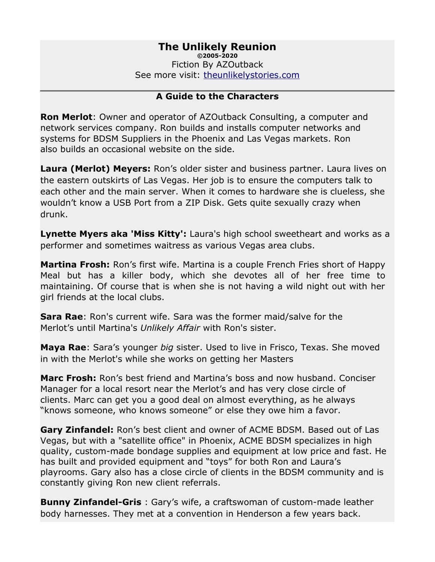# **The Unlikely Reunion**

**©2005-2020** Fiction By AZOutback See more visit: [theunlikelystories.com](http://theunlikelystories.com/)

#### **A Guide to the Characters**

**Ron Merlot**: Owner and operator of AZOutback Consulting, a computer and network services company. Ron builds and installs computer networks and systems for BDSM Suppliers in the Phoenix and Las Vegas markets. Ron also builds an occasional website on the side.

**Laura (Merlot) Meyers:** Ron's older sister and business partner. Laura lives on the eastern outskirts of Las Vegas. Her job is to ensure the computers talk to each other and the main server. When it comes to hardware she is clueless, she wouldn't know a USB Port from a ZIP Disk. Gets quite sexually crazy when drunk.

**Lynette Myers aka 'Miss Kitty':** Laura's high school sweetheart and works as a performer and sometimes waitress as various Vegas area clubs.

**Martina Frosh:** Ron's first wife. Martina is a couple French Fries short of Happy Meal but has a killer body, which she devotes all of her free time to maintaining. Of course that is when she is not having a wild night out with her girl friends at the local clubs.

**Sara Rae**: Ron's current wife. Sara was the former maid/salve for the Merlot's until Martina's *Unlikely Affair* with Ron's sister.

**Maya Rae**: Sara's younger *big* sister. Used to live in Frisco, Texas. She moved in with the Merlot's while she works on getting her Masters

**Marc Frosh:** Ron's best friend and Martina's boss and now husband. Conciser Manager for a local resort near the Merlot's and has very close circle of clients. Marc can get you a good deal on almost everything, as he always "knows someone, who knows someone" or else they owe him a favor.

**Gary Zinfandel:** Ron's best client and owner of ACME BDSM. Based out of Las Vegas, but with a "satellite office" in Phoenix, ACME BDSM specializes in high quality, custom-made bondage supplies and equipment at low price and fast. He has built and provided equipment and "toys" for both Ron and Laura's playrooms. Gary also has a close circle of clients in the BDSM community and is constantly giving Ron new client referrals.

**Bunny Zinfandel-Gris** : Gary's wife, a craftswoman of custom-made leather body harnesses. They met at a convention in Henderson a few years back.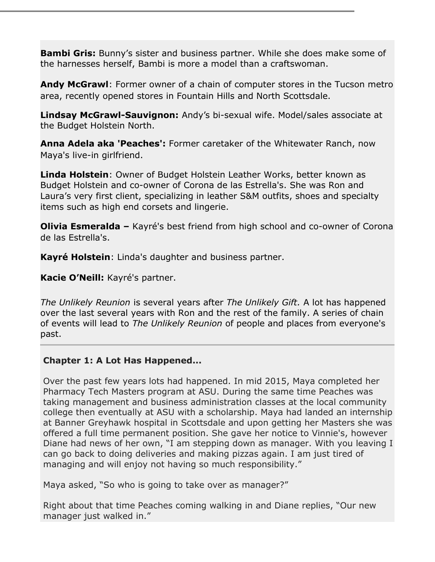**Bambi Gris:** Bunny's sister and business partner. While she does make some of the harnesses herself, Bambi is more a model than a craftswoman.

**Andy McGrawl**: Former owner of a chain of computer stores in the Tucson metro area, recently opened stores in Fountain Hills and North Scottsdale.

**Lindsay McGrawl-Sauvignon:** Andy's bi-sexual wife. Model/sales associate at the Budget Holstein North.

**Anna Adela aka 'Peaches':** Former caretaker of the Whitewater Ranch, now Maya's live-in girlfriend.

**Linda Holstein**: Owner of Budget Holstein Leather Works, better known as Budget Holstein and co-owner of Corona de las Estrella's. She was Ron and Laura's very first client, specializing in leather S&M outfits, shoes and specialty items such as high end corsets and lingerie.

**Olivia Esmeralda –** Kayré's best friend from high school and co-owner of Corona de las Estrella's.

**Kayré Holstein**: Linda's daughter and business partner.

**Kacie O'Neill:** Kayré's partner.

*The Unlikely Reunion* is several years after *The Unlikely Gift.* A lot has happened over the last several years with Ron and the rest of the family. A series of chain of events will lead to *The Unlikely Reunion* of people and places from everyone's past.

### **Chapter 1: A Lot Has Happened...**

Over the past few years lots had happened. In mid 2015, Maya completed her Pharmacy Tech Masters program at ASU. During the same time Peaches was taking management and business administration classes at the local community college then eventually at ASU with a scholarship. Maya had landed an internship at Banner Greyhawk hospital in Scottsdale and upon getting her Masters she was offered a full time permanent position. She gave her notice to Vinnie's, however Diane had news of her own, "I am stepping down as manager. With you leaving I can go back to doing deliveries and making pizzas again. I am just tired of managing and will enjoy not having so much responsibility."

Maya asked, "So who is going to take over as manager?"

Right about that time Peaches coming walking in and Diane replies, "Our new manager just walked in."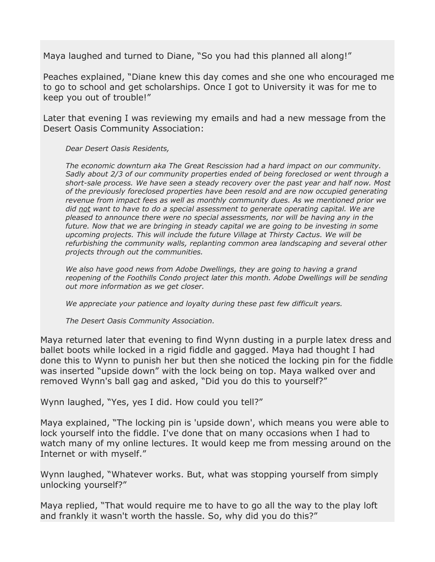Maya laughed and turned to Diane, "So you had this planned all along!"

Peaches explained, "Diane knew this day comes and she one who encouraged me to go to school and get scholarships. Once I got to University it was for me to keep you out of trouble!"

Later that evening I was reviewing my emails and had a new message from the Desert Oasis Community Association:

*Dear Desert Oasis Residents,*

*The economic downturn aka The Great Rescission had a hard impact on our community. Sadly about 2/3 of our community properties ended of being foreclosed or went through a short-sale process. We have seen a steady recovery over the past year and half now. Most of the previously foreclosed properties have been resold and are now occupied generating revenue from impact fees as well as monthly community dues. As we mentioned prior we did not want to have to do a special assessment to generate operating capital. We are pleased to announce there were no special assessments, nor will be having any in the future. Now that we are bringing in steady capital we are going to be investing in some upcoming projects. This will include the future Village at Thirsty Cactus. We will be refurbishing the community walls, replanting common area landscaping and several other projects through out the communities.* 

*We also have good news from Adobe Dwellings, they are going to having a grand reopening of the Foothills Condo project later this month. Adobe Dwellings will be sending out more information as we get closer.*

*We appreciate your patience and loyalty during these past few difficult years.* 

*The Desert Oasis Community Association.* 

Maya returned later that evening to find Wynn dusting in a purple latex dress and ballet boots while locked in a rigid fiddle and gagged. Maya had thought I had done this to Wynn to punish her but then she noticed the locking pin for the fiddle was inserted "upside down" with the lock being on top. Maya walked over and removed Wynn's ball gag and asked, "Did you do this to yourself?"

Wynn laughed, "Yes, yes I did. How could you tell?"

Maya explained, "The locking pin is 'upside down', which means you were able to lock yourself into the fiddle. I've done that on many occasions when I had to watch many of my online lectures. It would keep me from messing around on the Internet or with myself."

Wynn laughed, "Whatever works. But, what was stopping yourself from simply unlocking yourself?"

Maya replied, "That would require me to have to go all the way to the play loft and frankly it wasn't worth the hassle. So, why did you do this?"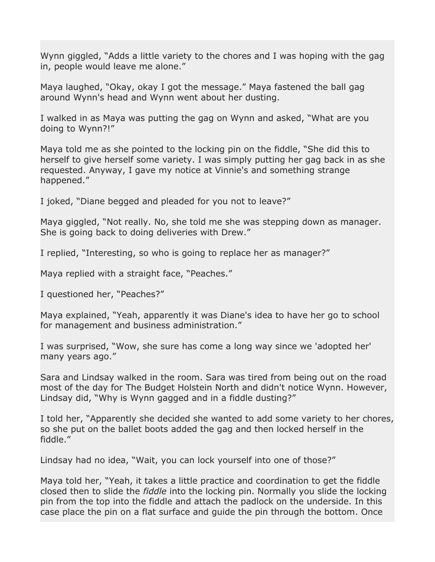Wynn giggled, "Adds a little variety to the chores and I was hoping with the gag in, people would leave me alone."

Maya laughed, "Okay, okay I got the message." Maya fastened the ball gag around Wynn's head and Wynn went about her dusting.

I walked in as Maya was putting the gag on Wynn and asked, "What are you doing to Wynn?!"

Maya told me as she pointed to the locking pin on the fiddle, "She did this to herself to give herself some variety. I was simply putting her gag back in as she requested. Anyway, I gave my notice at Vinnie's and something strange happened."

I joked, "Diane begged and pleaded for you not to leave?"

Maya giggled, "Not really. No, she told me she was stepping down as manager. She is going back to doing deliveries with Drew."

I replied, "Interesting, so who is going to replace her as manager?"

Maya replied with a straight face, "Peaches."

I questioned her, "Peaches?"

Maya explained, "Yeah, apparently it was Diane's idea to have her go to school for management and business administration."

I was surprised, "Wow, she sure has come a long way since we 'adopted her' many years ago."

Sara and Lindsay walked in the room. Sara was tired from being out on the road most of the day for The Budget Holstein North and didn't notice Wynn. However, Lindsay did, "Why is Wynn gagged and in a fiddle dusting?"

I told her, "Apparently she decided she wanted to add some variety to her chores, so she put on the ballet boots added the gag and then locked herself in the fiddle."

Lindsay had no idea, "Wait, you can lock yourself into one of those?"

Maya told her, "Yeah, it takes a little practice and coordination to get the fiddle closed then to slide the *fiddle* into the locking pin. Normally you slide the locking pin from the top into the fiddle and attach the padlock on the underside. In this case place the pin on a flat surface and guide the pin through the bottom. Once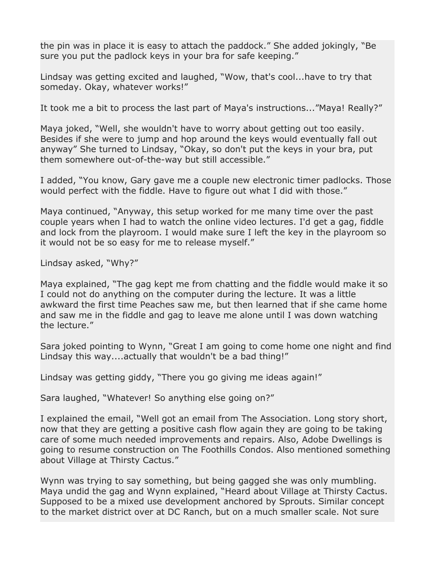the pin was in place it is easy to attach the paddock." She added jokingly, "Be sure you put the padlock keys in your bra for safe keeping."

Lindsay was getting excited and laughed, "Wow, that's cool...have to try that someday. Okay, whatever works!"

It took me a bit to process the last part of Maya's instructions..."Maya! Really?"

Maya joked, "Well, she wouldn't have to worry about getting out too easily. Besides if she were to jump and hop around the keys would eventually fall out anyway" She turned to Lindsay, "Okay, so don't put the keys in your bra, put them somewhere out-of-the-way but still accessible."

I added, "You know, Gary gave me a couple new electronic timer padlocks. Those would perfect with the fiddle. Have to figure out what I did with those."

Maya continued, "Anyway, this setup worked for me many time over the past couple years when I had to watch the online video lectures. I'd get a gag, fiddle and lock from the playroom. I would make sure I left the key in the playroom so it would not be so easy for me to release myself."

Lindsay asked, "Why?"

Maya explained, "The gag kept me from chatting and the fiddle would make it so I could not do anything on the computer during the lecture. It was a little awkward the first time Peaches saw me, but then learned that if she came home and saw me in the fiddle and gag to leave me alone until I was down watching the lecture."

Sara joked pointing to Wynn, "Great I am going to come home one night and find Lindsay this way....actually that wouldn't be a bad thing!"

Lindsay was getting giddy, "There you go giving me ideas again!"

Sara laughed, "Whatever! So anything else going on?"

I explained the email, "Well got an email from The Association. Long story short, now that they are getting a positive cash flow again they are going to be taking care of some much needed improvements and repairs. Also, Adobe Dwellings is going to resume construction on The Foothills Condos. Also mentioned something about Village at Thirsty Cactus."

Wynn was trying to say something, but being gagged she was only mumbling. Maya undid the gag and Wynn explained, "Heard about Village at Thirsty Cactus. Supposed to be a mixed use development anchored by Sprouts. Similar concept to the market district over at DC Ranch, but on a much smaller scale. Not sure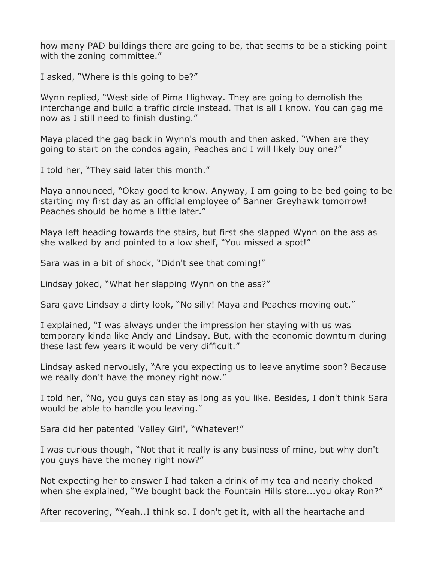how many PAD buildings there are going to be, that seems to be a sticking point with the zoning committee."

I asked, "Where is this going to be?"

Wynn replied, "West side of Pima Highway. They are going to demolish the interchange and build a traffic circle instead. That is all I know. You can gag me now as I still need to finish dusting."

Maya placed the gag back in Wynn's mouth and then asked, "When are they going to start on the condos again, Peaches and I will likely buy one?"

I told her, "They said later this month."

Maya announced, "Okay good to know. Anyway, I am going to be bed going to be starting my first day as an official employee of Banner Greyhawk tomorrow! Peaches should be home a little later."

Maya left heading towards the stairs, but first she slapped Wynn on the ass as she walked by and pointed to a low shelf, "You missed a spot!"

Sara was in a bit of shock, "Didn't see that coming!"

Lindsay joked, "What her slapping Wynn on the ass?"

Sara gave Lindsay a dirty look, "No silly! Maya and Peaches moving out."

I explained, "I was always under the impression her staying with us was temporary kinda like Andy and Lindsay. But, with the economic downturn during these last few years it would be very difficult."

Lindsay asked nervously, "Are you expecting us to leave anytime soon? Because we really don't have the money right now."

I told her, "No, you guys can stay as long as you like. Besides, I don't think Sara would be able to handle you leaving."

Sara did her patented 'Valley Girl', "Whatever!"

I was curious though, "Not that it really is any business of mine, but why don't you guys have the money right now?"

Not expecting her to answer I had taken a drink of my tea and nearly choked when she explained, "We bought back the Fountain Hills store...you okay Ron?"

After recovering, "Yeah..I think so. I don't get it, with all the heartache and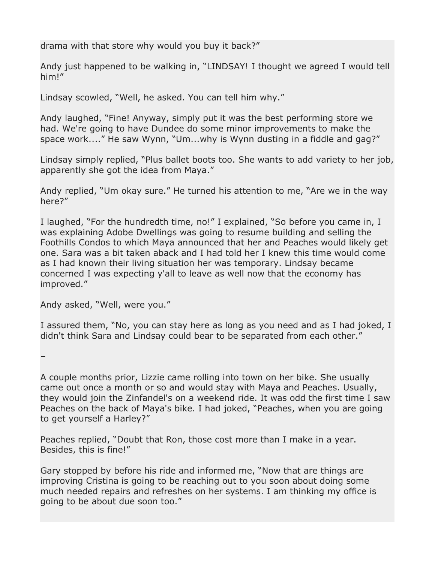drama with that store why would you buy it back?"

Andy just happened to be walking in, "LINDSAY! I thought we agreed I would tell him!"

Lindsay scowled, "Well, he asked. You can tell him why."

Andy laughed, "Fine! Anyway, simply put it was the best performing store we had. We're going to have Dundee do some minor improvements to make the space work...." He saw Wynn, "Um...why is Wynn dusting in a fiddle and gag?"

Lindsay simply replied, "Plus ballet boots too. She wants to add variety to her job, apparently she got the idea from Maya."

Andy replied, "Um okay sure." He turned his attention to me, "Are we in the way here?"

I laughed, "For the hundredth time, no!" I explained, "So before you came in, I was explaining Adobe Dwellings was going to resume building and selling the Foothills Condos to which Maya announced that her and Peaches would likely get one. Sara was a bit taken aback and I had told her I knew this time would come as I had known their living situation her was temporary. Lindsay became concerned I was expecting y'all to leave as well now that the economy has improved."

Andy asked, "Well, were you."

–

I assured them, "No, you can stay here as long as you need and as I had joked, I didn't think Sara and Lindsay could bear to be separated from each other."

A couple months prior, Lizzie came rolling into town on her bike. She usually came out once a month or so and would stay with Maya and Peaches. Usually, they would join the Zinfandel's on a weekend ride. It was odd the first time I saw Peaches on the back of Maya's bike. I had joked, "Peaches, when you are going to get yourself a Harley?"

Peaches replied, "Doubt that Ron, those cost more than I make in a year. Besides, this is fine!"

Gary stopped by before his ride and informed me, "Now that are things are improving Cristina is going to be reaching out to you soon about doing some much needed repairs and refreshes on her systems. I am thinking my office is going to be about due soon too."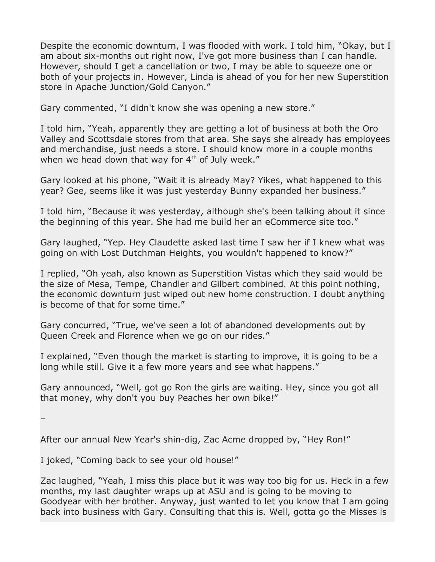Despite the economic downturn, I was flooded with work. I told him, "Okay, but I am about six-months out right now, I've got more business than I can handle. However, should I get a cancellation or two, I may be able to squeeze one or both of your projects in. However, Linda is ahead of you for her new Superstition store in Apache Junction/Gold Canyon."

Gary commented, "I didn't know she was opening a new store."

I told him, "Yeah, apparently they are getting a lot of business at both the Oro Valley and Scottsdale stores from that area. She says she already has employees and merchandise, just needs a store. I should know more in a couple months when we head down that way for  $4<sup>th</sup>$  of July week."

Gary looked at his phone, "Wait it is already May? Yikes, what happened to this year? Gee, seems like it was just yesterday Bunny expanded her business."

I told him, "Because it was yesterday, although she's been talking about it since the beginning of this year. She had me build her an eCommerce site too."

Gary laughed, "Yep. Hey Claudette asked last time I saw her if I knew what was going on with Lost Dutchman Heights, you wouldn't happened to know?"

I replied, "Oh yeah, also known as Superstition Vistas which they said would be the size of Mesa, Tempe, Chandler and Gilbert combined. At this point nothing, the economic downturn just wiped out new home construction. I doubt anything is become of that for some time."

Gary concurred, "True, we've seen a lot of abandoned developments out by Queen Creek and Florence when we go on our rides."

I explained, "Even though the market is starting to improve, it is going to be a long while still. Give it a few more years and see what happens."

Gary announced, "Well, got go Ron the girls are waiting. Hey, since you got all that money, why don't you buy Peaches her own bike!"

–

After our annual New Year's shin-dig, Zac Acme dropped by, "Hey Ron!"

I joked, "Coming back to see your old house!"

Zac laughed, "Yeah, I miss this place but it was way too big for us. Heck in a few months, my last daughter wraps up at ASU and is going to be moving to Goodyear with her brother. Anyway, just wanted to let you know that I am going back into business with Gary. Consulting that this is. Well, gotta go the Misses is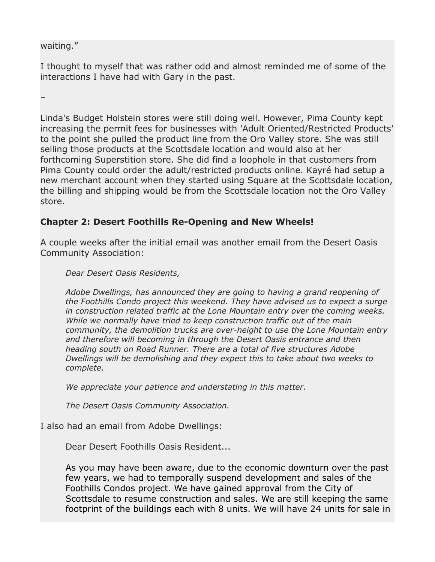#### waiting."

–

I thought to myself that was rather odd and almost reminded me of some of the interactions I have had with Gary in the past.

Linda's Budget Holstein stores were still doing well. However, Pima County kept increasing the permit fees for businesses with 'Adult Oriented/Restricted Products' to the point she pulled the product line from the Oro Valley store. She was still selling those products at the Scottsdale location and would also at her forthcoming Superstition store. She did find a loophole in that customers from Pima County could order the adult/restricted products online. Kayré had setup a new merchant account when they started using Square at the Scottsdale location, the billing and shipping would be from the Scottsdale location not the Oro Valley store.

### **Chapter 2: Desert Foothills Re-Opening and New Wheels!**

A couple weeks after the initial email was another email from the Desert Oasis Community Association:

*Dear Desert Oasis Residents,*

*Adobe Dwellings, has announced they are going to having a grand reopening of the Foothills Condo project this weekend. They have advised us to expect a surge in construction related traffic at the Lone Mountain entry over the coming weeks. While we normally have tried to keep construction traffic out of the main community, the demolition trucks are over-height to use the Lone Mountain entry and therefore will becoming in through the Desert Oasis entrance and then heading south on Road Runner. There are a total of five structures Adobe Dwellings will be demolishing and they expect this to take about two weeks to complete.* 

*We appreciate your patience and understating in this matter.* 

*The Desert Oasis Community Association.* 

I also had an email from Adobe Dwellings:

Dear Desert Foothills Oasis Resident...

As you may have been aware, due to the economic downturn over the past few years, we had to temporally suspend development and sales of the Foothills Condos project. We have gained approval from the City of Scottsdale to resume construction and sales. We are still keeping the same footprint of the buildings each with 8 units. We will have 24 units for sale in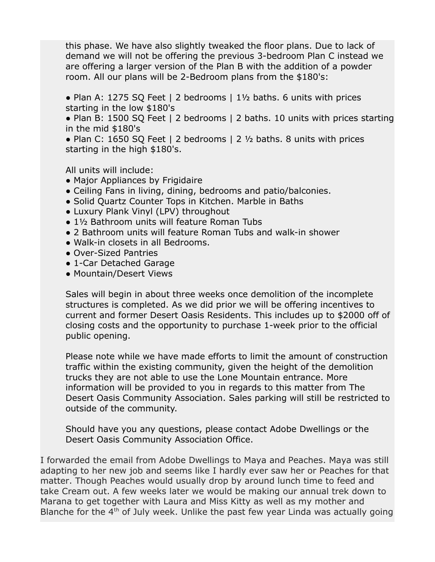this phase. We have also slightly tweaked the floor plans. Due to lack of demand we will not be offering the previous 3-bedroom Plan C instead we are offering a larger version of the Plan B with the addition of a powder room. All our plans will be 2-Bedroom plans from the \$180's:

• Plan A: 1275 SQ Feet | 2 bedrooms  $|1 \frac{1}{2}$  baths. 6 units with prices starting in the low \$180's

• Plan B: 1500 SQ Feet | 2 bedrooms | 2 baths. 10 units with prices starting in the mid \$180's

• Plan C: 1650 SQ Feet | 2 bedrooms | 2  $\frac{1}{2}$  baths. 8 units with prices starting in the high \$180's.

All units will include:

- Major Appliances by Frigidaire
- Ceiling Fans in living, dining, bedrooms and patio/balconies.
- Solid Quartz Counter Tops in Kitchen. Marble in Baths
- Luxury Plank Vinyl (LPV) throughout
- 1½ Bathroom units will feature Roman Tubs
- 2 Bathroom units will feature Roman Tubs and walk-in shower
- Walk-in closets in all Bedrooms.
- Over-Sized Pantries
- 1-Car Detached Garage
- Mountain/Desert Views

Sales will begin in about three weeks once demolition of the incomplete structures is completed. As we did prior we will be offering incentives to current and former Desert Oasis Residents. This includes up to \$2000 off of closing costs and the opportunity to purchase 1-week prior to the official public opening.

Please note while we have made efforts to limit the amount of construction traffic within the existing community, given the height of the demolition trucks they are not able to use the Lone Mountain entrance. More information will be provided to you in regards to this matter from The Desert Oasis Community Association. Sales parking will still be restricted to outside of the community.

Should have you any questions, please contact Adobe Dwellings or the Desert Oasis Community Association Office.

I forwarded the email from Adobe Dwellings to Maya and Peaches. Maya was still adapting to her new job and seems like I hardly ever saw her or Peaches for that matter. Though Peaches would usually drop by around lunch time to feed and take Cream out. A few weeks later we would be making our annual trek down to Marana to get together with Laura and Miss Kitty as well as my mother and Blanche for the  $4<sup>th</sup>$  of July week. Unlike the past few year Linda was actually going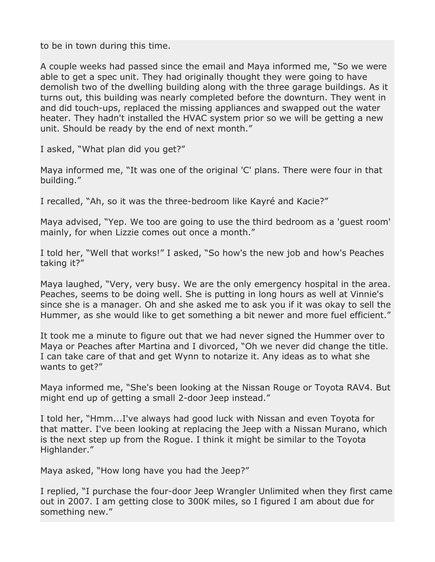to be in town during this time.

A couple weeks had passed since the email and Maya informed me, "So we were able to get a spec unit. They had originally thought they were going to have demolish two of the dwelling building along with the three garage buildings. As it turns out, this building was nearly completed before the downturn. They went in and did touch-ups, replaced the missing appliances and swapped out the water heater. They hadn't installed the HVAC system prior so we will be getting a new unit. Should be ready by the end of next month."

I asked, "What plan did you get?"

Maya informed me, "It was one of the original 'C' plans. There were four in that building."

I recalled, "Ah, so it was the three-bedroom like Kayré and Kacie?"

Maya advised, "Yep. We too are going to use the third bedroom as a 'guest room' mainly, for when Lizzie comes out once a month."

I told her, "Well that works!" I asked, "So how's the new job and how's Peaches taking it?"

Maya laughed, "Very, very busy. We are the only emergency hospital in the area. Peaches, seems to be doing well. She is putting in long hours as well at Vinnie's since she is a manager. Oh and she asked me to ask you if it was okay to sell the Hummer, as she would like to get something a bit newer and more fuel efficient."

It took me a minute to figure out that we had never signed the Hummer over to Maya or Peaches after Martina and I divorced, "Oh we never did change the title. I can take care of that and get Wynn to notarize it. Any ideas as to what she wants to get?"

Maya informed me, "She's been looking at the Nissan Rouge or Toyota RAV4. But might end up of getting a small 2-door Jeep instead."

I told her, "Hmm...I've always had good luck with Nissan and even Toyota for that matter. I've been looking at replacing the Jeep with a Nissan Murano, which is the next step up from the Rogue. I think it might be similar to the Toyota Highlander."

Maya asked, "How long have you had the Jeep?"

I replied, "I purchase the four-door Jeep Wrangler Unlimited when they first came out in 2007. I am getting close to 300K miles, so I figured I am about due for something new."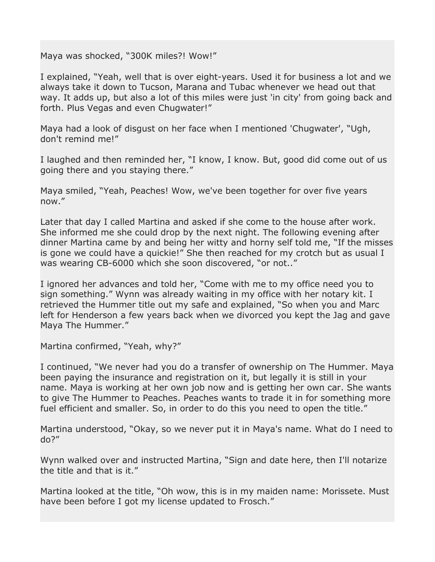Maya was shocked, "300K miles?! Wow!"

I explained, "Yeah, well that is over eight-years. Used it for business a lot and we always take it down to Tucson, Marana and Tubac whenever we head out that way. It adds up, but also a lot of this miles were just 'in city' from going back and forth. Plus Vegas and even Chugwater!"

Maya had a look of disgust on her face when I mentioned 'Chugwater', "Ugh, don't remind me!"

I laughed and then reminded her, "I know, I know. But, good did come out of us going there and you staying there."

Maya smiled, "Yeah, Peaches! Wow, we've been together for over five years now."

Later that day I called Martina and asked if she come to the house after work. She informed me she could drop by the next night. The following evening after dinner Martina came by and being her witty and horny self told me, "If the misses is gone we could have a quickie!" She then reached for my crotch but as usual I was wearing CB-6000 which she soon discovered, "or not.."

I ignored her advances and told her, "Come with me to my office need you to sign something." Wynn was already waiting in my office with her notary kit. I retrieved the Hummer title out my safe and explained, "So when you and Marc left for Henderson a few years back when we divorced you kept the Jag and gave Maya The Hummer."

Martina confirmed, "Yeah, why?"

I continued, "We never had you do a transfer of ownership on The Hummer. Maya been paying the insurance and registration on it, but legally it is still in your name. Maya is working at her own job now and is getting her own car. She wants to give The Hummer to Peaches. Peaches wants to trade it in for something more fuel efficient and smaller. So, in order to do this you need to open the title."

Martina understood, "Okay, so we never put it in Maya's name. What do I need to do?"

Wynn walked over and instructed Martina, "Sign and date here, then I'll notarize the title and that is it."

Martina looked at the title, "Oh wow, this is in my maiden name: Morissete. Must have been before I got my license updated to Frosch."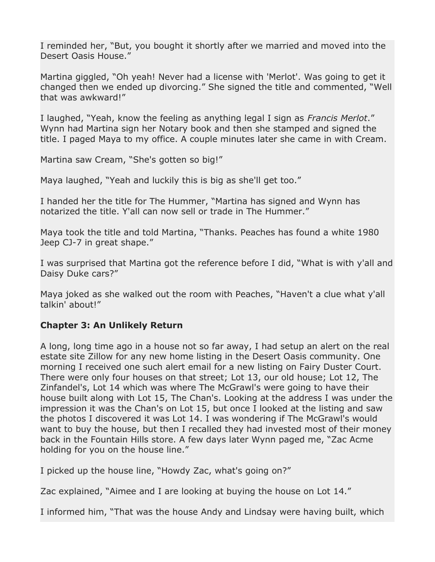I reminded her, "But, you bought it shortly after we married and moved into the Desert Oasis House."

Martina giggled, "Oh yeah! Never had a license with 'Merlot'. Was going to get it changed then we ended up divorcing." She signed the title and commented, "Well that was awkward!"

I laughed, "Yeah, know the feeling as anything legal I sign as *Francis Merlot*." Wynn had Martina sign her Notary book and then she stamped and signed the title. I paged Maya to my office. A couple minutes later she came in with Cream.

Martina saw Cream, "She's gotten so big!"

Maya laughed, "Yeah and luckily this is big as she'll get too."

I handed her the title for The Hummer, "Martina has signed and Wynn has notarized the title. Y'all can now sell or trade in The Hummer."

Maya took the title and told Martina, "Thanks. Peaches has found a white 1980 Jeep CJ-7 in great shape."

I was surprised that Martina got the reference before I did, "What is with y'all and Daisy Duke cars?"

Maya joked as she walked out the room with Peaches, "Haven't a clue what y'all talkin' about!"

### **Chapter 3: An Unlikely Return**

A long, long time ago in a house not so far away, I had setup an alert on the real estate site Zillow for any new home listing in the Desert Oasis community. One morning I received one such alert email for a new listing on Fairy Duster Court. There were only four houses on that street; Lot 13, our old house; Lot 12, The Zinfandel's, Lot 14 which was where The McGrawl's were going to have their house built along with Lot 15, The Chan's. Looking at the address I was under the impression it was the Chan's on Lot 15, but once I looked at the listing and saw the photos I discovered it was Lot 14. I was wondering if The McGrawl's would want to buy the house, but then I recalled they had invested most of their money back in the Fountain Hills store. A few days later Wynn paged me, "Zac Acme holding for you on the house line."

I picked up the house line, "Howdy Zac, what's going on?"

Zac explained, "Aimee and I are looking at buying the house on Lot 14."

I informed him, "That was the house Andy and Lindsay were having built, which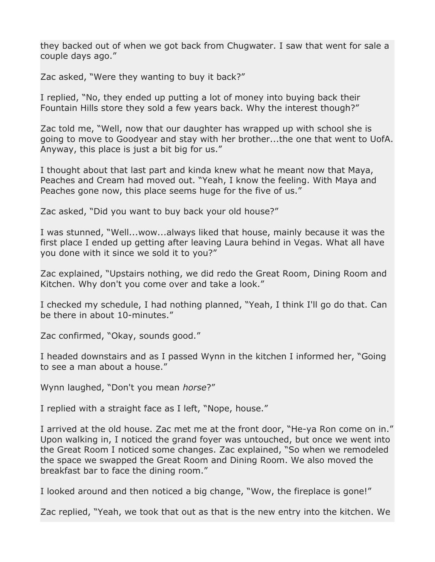they backed out of when we got back from Chugwater. I saw that went for sale a couple days ago."

Zac asked, "Were they wanting to buy it back?"

I replied, "No, they ended up putting a lot of money into buying back their Fountain Hills store they sold a few years back. Why the interest though?"

Zac told me, "Well, now that our daughter has wrapped up with school she is going to move to Goodyear and stay with her brother...the one that went to UofA. Anyway, this place is just a bit big for us."

I thought about that last part and kinda knew what he meant now that Maya, Peaches and Cream had moved out. "Yeah, I know the feeling. With Maya and Peaches gone now, this place seems huge for the five of us."

Zac asked, "Did you want to buy back your old house?"

I was stunned, "Well...wow...always liked that house, mainly because it was the first place I ended up getting after leaving Laura behind in Vegas. What all have you done with it since we sold it to you?"

Zac explained, "Upstairs nothing, we did redo the Great Room, Dining Room and Kitchen. Why don't you come over and take a look."

I checked my schedule, I had nothing planned, "Yeah, I think I'll go do that. Can be there in about 10-minutes."

Zac confirmed, "Okay, sounds good."

I headed downstairs and as I passed Wynn in the kitchen I informed her, "Going to see a man about a house."

Wynn laughed, "Don't you mean *horse*?"

I replied with a straight face as I left, "Nope, house."

I arrived at the old house. Zac met me at the front door, "He-ya Ron come on in." Upon walking in, I noticed the grand foyer was untouched, but once we went into the Great Room I noticed some changes. Zac explained, "So when we remodeled the space we swapped the Great Room and Dining Room. We also moved the breakfast bar to face the dining room."

I looked around and then noticed a big change, "Wow, the fireplace is gone!"

Zac replied, "Yeah, we took that out as that is the new entry into the kitchen. We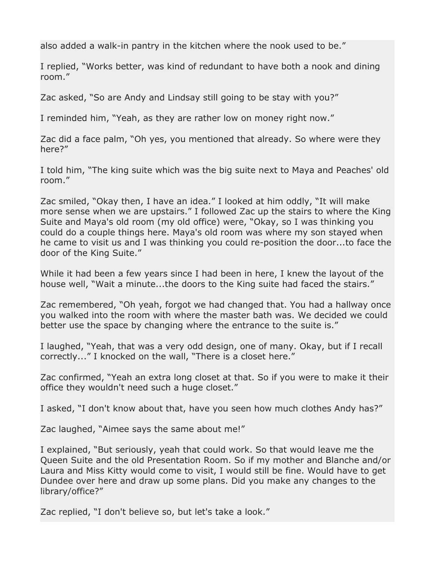also added a walk-in pantry in the kitchen where the nook used to be."

I replied, "Works better, was kind of redundant to have both a nook and dining room."

Zac asked, "So are Andy and Lindsay still going to be stay with you?"

I reminded him, "Yeah, as they are rather low on money right now."

Zac did a face palm, "Oh yes, you mentioned that already. So where were they here?"

I told him, "The king suite which was the big suite next to Maya and Peaches' old room."

Zac smiled, "Okay then, I have an idea." I looked at him oddly, "It will make more sense when we are upstairs." I followed Zac up the stairs to where the King Suite and Maya's old room (my old office) were, "Okay, so I was thinking you could do a couple things here. Maya's old room was where my son stayed when he came to visit us and I was thinking you could re-position the door...to face the door of the King Suite."

While it had been a few years since I had been in here, I knew the layout of the house well, "Wait a minute...the doors to the King suite had faced the stairs."

Zac remembered, "Oh yeah, forgot we had changed that. You had a hallway once you walked into the room with where the master bath was. We decided we could better use the space by changing where the entrance to the suite is."

I laughed, "Yeah, that was a very odd design, one of many. Okay, but if I recall correctly..." I knocked on the wall, "There is a closet here."

Zac confirmed, "Yeah an extra long closet at that. So if you were to make it their office they wouldn't need such a huge closet."

I asked, "I don't know about that, have you seen how much clothes Andy has?"

Zac laughed, "Aimee says the same about me!"

I explained, "But seriously, yeah that could work. So that would leave me the Queen Suite and the old Presentation Room. So if my mother and Blanche and/or Laura and Miss Kitty would come to visit, I would still be fine. Would have to get Dundee over here and draw up some plans. Did you make any changes to the library/office?"

Zac replied, "I don't believe so, but let's take a look."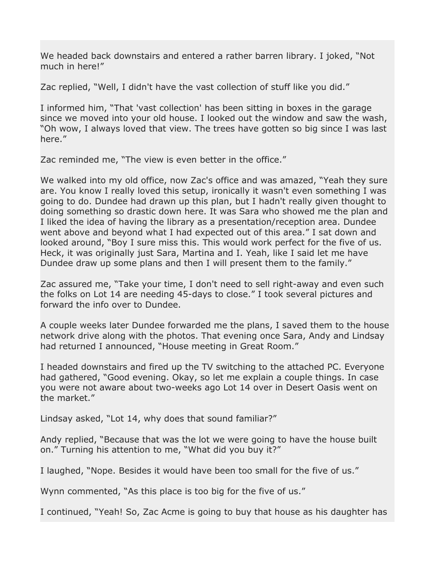We headed back downstairs and entered a rather barren library. I joked, "Not much in here!"

Zac replied, "Well, I didn't have the vast collection of stuff like you did."

I informed him, "That 'vast collection' has been sitting in boxes in the garage since we moved into your old house. I looked out the window and saw the wash, "Oh wow, I always loved that view. The trees have gotten so big since I was last here."

Zac reminded me, "The view is even better in the office."

We walked into my old office, now Zac's office and was amazed, "Yeah they sure are. You know I really loved this setup, ironically it wasn't even something I was going to do. Dundee had drawn up this plan, but I hadn't really given thought to doing something so drastic down here. It was Sara who showed me the plan and I liked the idea of having the library as a presentation/reception area. Dundee went above and beyond what I had expected out of this area." I sat down and looked around, "Boy I sure miss this. This would work perfect for the five of us. Heck, it was originally just Sara, Martina and I. Yeah, like I said let me have Dundee draw up some plans and then I will present them to the family."

Zac assured me, "Take your time, I don't need to sell right-away and even such the folks on Lot 14 are needing 45-days to close." I took several pictures and forward the info over to Dundee.

A couple weeks later Dundee forwarded me the plans, I saved them to the house network drive along with the photos. That evening once Sara, Andy and Lindsay had returned I announced, "House meeting in Great Room."

I headed downstairs and fired up the TV switching to the attached PC. Everyone had gathered, "Good evening. Okay, so let me explain a couple things. In case you were not aware about two-weeks ago Lot 14 over in Desert Oasis went on the market."

Lindsay asked, "Lot 14, why does that sound familiar?"

Andy replied, "Because that was the lot we were going to have the house built on." Turning his attention to me, "What did you buy it?"

I laughed, "Nope. Besides it would have been too small for the five of us."

Wynn commented, "As this place is too big for the five of us."

I continued, "Yeah! So, Zac Acme is going to buy that house as his daughter has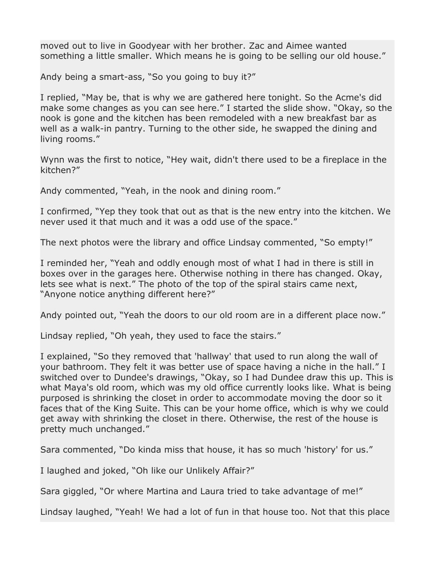moved out to live in Goodyear with her brother. Zac and Aimee wanted something a little smaller. Which means he is going to be selling our old house."

Andy being a smart-ass, "So you going to buy it?"

I replied, "May be, that is why we are gathered here tonight. So the Acme's did make some changes as you can see here." I started the slide show. "Okay, so the nook is gone and the kitchen has been remodeled with a new breakfast bar as well as a walk-in pantry. Turning to the other side, he swapped the dining and living rooms."

Wynn was the first to notice, "Hey wait, didn't there used to be a fireplace in the kitchen?"

Andy commented, "Yeah, in the nook and dining room."

I confirmed, "Yep they took that out as that is the new entry into the kitchen. We never used it that much and it was a odd use of the space."

The next photos were the library and office Lindsay commented, "So empty!"

I reminded her, "Yeah and oddly enough most of what I had in there is still in boxes over in the garages here. Otherwise nothing in there has changed. Okay, lets see what is next." The photo of the top of the spiral stairs came next, "Anyone notice anything different here?"

Andy pointed out, "Yeah the doors to our old room are in a different place now."

Lindsay replied, "Oh yeah, they used to face the stairs."

I explained, "So they removed that 'hallway' that used to run along the wall of your bathroom. They felt it was better use of space having a niche in the hall." I switched over to Dundee's drawings, "Okay, so I had Dundee draw this up. This is what Maya's old room, which was my old office currently looks like. What is being purposed is shrinking the closet in order to accommodate moving the door so it faces that of the King Suite. This can be your home office, which is why we could get away with shrinking the closet in there. Otherwise, the rest of the house is pretty much unchanged."

Sara commented, "Do kinda miss that house, it has so much 'history' for us."

I laughed and joked, "Oh like our Unlikely Affair?"

Sara giggled, "Or where Martina and Laura tried to take advantage of me!"

Lindsay laughed, "Yeah! We had a lot of fun in that house too. Not that this place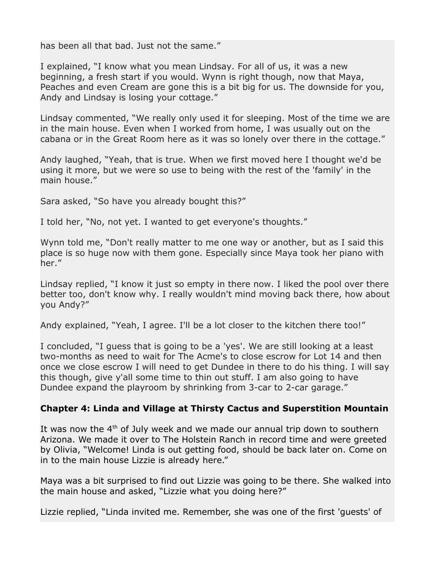has been all that bad. Just not the same."

I explained, "I know what you mean Lindsay. For all of us, it was a new beginning, a fresh start if you would. Wynn is right though, now that Maya, Peaches and even Cream are gone this is a bit big for us. The downside for you, Andy and Lindsay is losing your cottage."

Lindsay commented, "We really only used it for sleeping. Most of the time we are in the main house. Even when I worked from home, I was usually out on the cabana or in the Great Room here as it was so lonely over there in the cottage."

Andy laughed, "Yeah, that is true. When we first moved here I thought we'd be using it more, but we were so use to being with the rest of the 'family' in the main house."

Sara asked, "So have you already bought this?"

I told her, "No, not yet. I wanted to get everyone's thoughts."

Wynn told me, "Don't really matter to me one way or another, but as I said this place is so huge now with them gone. Especially since Maya took her piano with her."

Lindsay replied, "I know it just so empty in there now. I liked the pool over there better too, don't know why. I really wouldn't mind moving back there, how about you Andy?"

Andy explained, "Yeah, I agree. I'll be a lot closer to the kitchen there too!"

I concluded, "I guess that is going to be a 'yes'. We are still looking at a least two-months as need to wait for The Acme's to close escrow for Lot 14 and then once we close escrow I will need to get Dundee in there to do his thing. I will say this though, give y'all some time to thin out stuff. I am also going to have Dundee expand the playroom by shrinking from 3-car to 2-car garage."

### **Chapter 4: Linda and Village at Thirsty Cactus and Superstition Mountain**

It was now the  $4<sup>th</sup>$  of July week and we made our annual trip down to southern Arizona. We made it over to The Holstein Ranch in record time and were greeted by Olivia, "Welcome! Linda is out getting food, should be back later on. Come on in to the main house Lizzie is already here."

Maya was a bit surprised to find out Lizzie was going to be there. She walked into the main house and asked, "Lizzie what you doing here?"

Lizzie replied, "Linda invited me. Remember, she was one of the first 'guests' of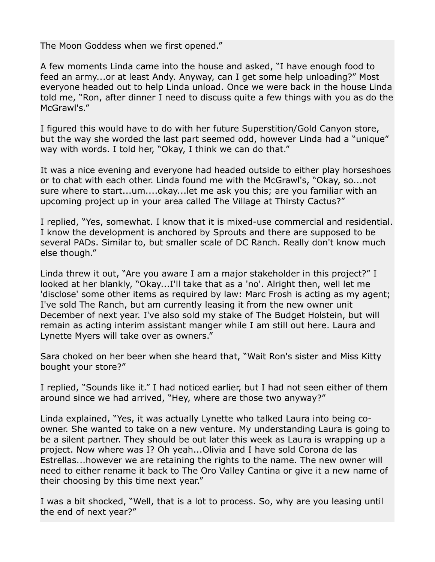The Moon Goddess when we first opened."

A few moments Linda came into the house and asked, "I have enough food to feed an army...or at least Andy. Anyway, can I get some help unloading?" Most everyone headed out to help Linda unload. Once we were back in the house Linda told me, "Ron, after dinner I need to discuss quite a few things with you as do the McGrawl's."

I figured this would have to do with her future Superstition/Gold Canyon store, but the way she worded the last part seemed odd, however Linda had a "unique" way with words. I told her, "Okay, I think we can do that."

It was a nice evening and everyone had headed outside to either play horseshoes or to chat with each other. Linda found me with the McGrawl's, "Okay, so...not sure where to start...um....okay...let me ask you this; are you familiar with an upcoming project up in your area called The Village at Thirsty Cactus?"

I replied, "Yes, somewhat. I know that it is mixed-use commercial and residential. I know the development is anchored by Sprouts and there are supposed to be several PADs. Similar to, but smaller scale of DC Ranch. Really don't know much else though."

Linda threw it out, "Are you aware I am a major stakeholder in this project?" I looked at her blankly, "Okay...I'll take that as a 'no'. Alright then, well let me 'disclose' some other items as required by law: Marc Frosh is acting as my agent; I've sold The Ranch, but am currently leasing it from the new owner unit December of next year. I've also sold my stake of The Budget Holstein, but will remain as acting interim assistant manger while I am still out here. Laura and Lynette Myers will take over as owners."

Sara choked on her beer when she heard that, "Wait Ron's sister and Miss Kitty bought your store?"

I replied, "Sounds like it." I had noticed earlier, but I had not seen either of them around since we had arrived, "Hey, where are those two anyway?"

Linda explained, "Yes, it was actually Lynette who talked Laura into being coowner. She wanted to take on a new venture. My understanding Laura is going to be a silent partner. They should be out later this week as Laura is wrapping up a project. Now where was I? Oh yeah...Olivia and I have sold Corona de las Estrellas...however we are retaining the rights to the name. The new owner will need to either rename it back to The Oro Valley Cantina or give it a new name of their choosing by this time next year."

I was a bit shocked, "Well, that is a lot to process. So, why are you leasing until the end of next year?"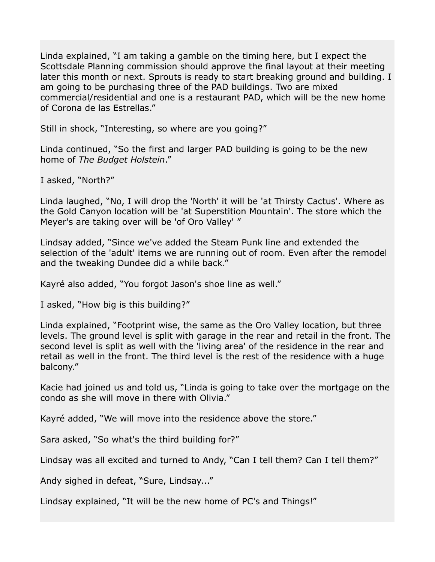Linda explained, "I am taking a gamble on the timing here, but I expect the Scottsdale Planning commission should approve the final layout at their meeting later this month or next. Sprouts is ready to start breaking ground and building. I am going to be purchasing three of the PAD buildings. Two are mixed commercial/residential and one is a restaurant PAD, which will be the new home of Corona de las Estrellas."

Still in shock, "Interesting, so where are you going?"

Linda continued, "So the first and larger PAD building is going to be the new home of *The Budget Holstein*."

I asked, "North?"

Linda laughed, "No, I will drop the 'North' it will be 'at Thirsty Cactus'. Where as the Gold Canyon location will be 'at Superstition Mountain'. The store which the Meyer's are taking over will be 'of Oro Valley' "

Lindsay added, "Since we've added the Steam Punk line and extended the selection of the 'adult' items we are running out of room. Even after the remodel and the tweaking Dundee did a while back."

Kayré also added, "You forgot Jason's shoe line as well."

I asked, "How big is this building?"

Linda explained, "Footprint wise, the same as the Oro Valley location, but three levels. The ground level is split with garage in the rear and retail in the front. The second level is split as well with the 'living area' of the residence in the rear and retail as well in the front. The third level is the rest of the residence with a huge balcony."

Kacie had joined us and told us, "Linda is going to take over the mortgage on the condo as she will move in there with Olivia."

Kayré added, "We will move into the residence above the store."

Sara asked, "So what's the third building for?"

Lindsay was all excited and turned to Andy, "Can I tell them? Can I tell them?"

Andy sighed in defeat, "Sure, Lindsay..."

Lindsay explained, "It will be the new home of PC's and Things!"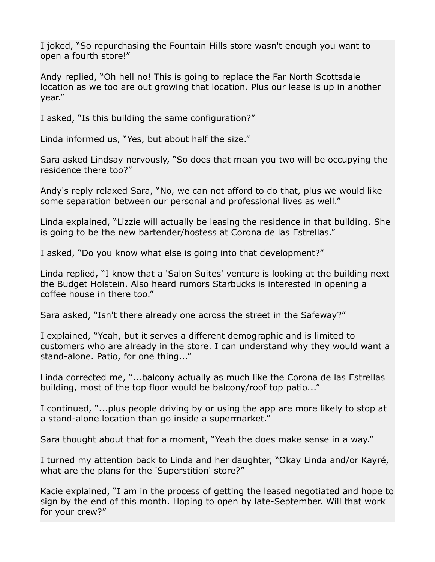I joked, "So repurchasing the Fountain Hills store wasn't enough you want to open a fourth store!"

Andy replied, "Oh hell no! This is going to replace the Far North Scottsdale location as we too are out growing that location. Plus our lease is up in another year."

I asked, "Is this building the same configuration?"

Linda informed us, "Yes, but about half the size."

Sara asked Lindsay nervously, "So does that mean you two will be occupying the residence there too?"

Andy's reply relaxed Sara, "No, we can not afford to do that, plus we would like some separation between our personal and professional lives as well."

Linda explained, "Lizzie will actually be leasing the residence in that building. She is going to be the new bartender/hostess at Corona de las Estrellas."

I asked, "Do you know what else is going into that development?"

Linda replied, "I know that a 'Salon Suites' venture is looking at the building next the Budget Holstein. Also heard rumors Starbucks is interested in opening a coffee house in there too."

Sara asked, "Isn't there already one across the street in the Safeway?"

I explained, "Yeah, but it serves a different demographic and is limited to customers who are already in the store. I can understand why they would want a stand-alone. Patio, for one thing..."

Linda corrected me, "...balcony actually as much like the Corona de las Estrellas building, most of the top floor would be balcony/roof top patio..."

I continued, "...plus people driving by or using the app are more likely to stop at a stand-alone location than go inside a supermarket."

Sara thought about that for a moment, "Yeah the does make sense in a way."

I turned my attention back to Linda and her daughter, "Okay Linda and/or Kayré, what are the plans for the 'Superstition' store?"

Kacie explained, "I am in the process of getting the leased negotiated and hope to sign by the end of this month. Hoping to open by late-September. Will that work for your crew?"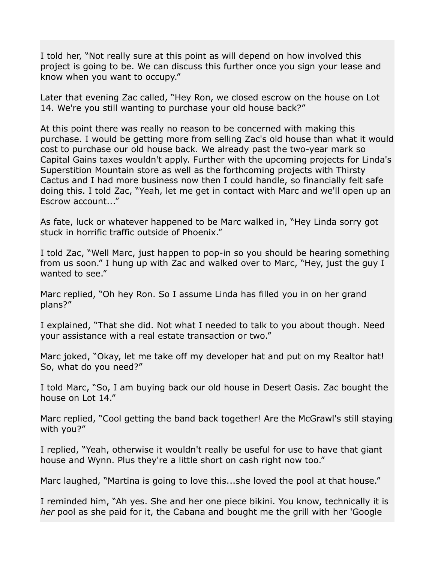I told her, "Not really sure at this point as will depend on how involved this project is going to be. We can discuss this further once you sign your lease and know when you want to occupy."

Later that evening Zac called, "Hey Ron, we closed escrow on the house on Lot 14. We're you still wanting to purchase your old house back?"

At this point there was really no reason to be concerned with making this purchase. I would be getting more from selling Zac's old house than what it would cost to purchase our old house back. We already past the two-year mark so Capital Gains taxes wouldn't apply. Further with the upcoming projects for Linda's Superstition Mountain store as well as the forthcoming projects with Thirsty Cactus and I had more business now then I could handle, so financially felt safe doing this. I told Zac, "Yeah, let me get in contact with Marc and we'll open up an Escrow account..."

As fate, luck or whatever happened to be Marc walked in, "Hey Linda sorry got stuck in horrific traffic outside of Phoenix."

I told Zac, "Well Marc, just happen to pop-in so you should be hearing something from us soon." I hung up with Zac and walked over to Marc, "Hey, just the guy I wanted to see."

Marc replied, "Oh hey Ron. So I assume Linda has filled you in on her grand plans?"

I explained, "That she did. Not what I needed to talk to you about though. Need your assistance with a real estate transaction or two."

Marc joked, "Okay, let me take off my developer hat and put on my Realtor hat! So, what do you need?"

I told Marc, "So, I am buying back our old house in Desert Oasis. Zac bought the house on Lot 14."

Marc replied, "Cool getting the band back together! Are the McGrawl's still staying with you?"

I replied, "Yeah, otherwise it wouldn't really be useful for use to have that giant house and Wynn. Plus they're a little short on cash right now too."

Marc laughed, "Martina is going to love this...she loved the pool at that house."

I reminded him, "Ah yes. She and her one piece bikini. You know, technically it is *her* pool as she paid for it, the Cabana and bought me the grill with her 'Google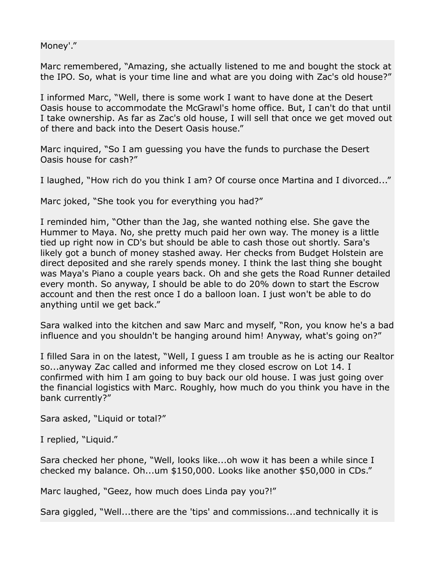Money'."

Marc remembered, "Amazing, she actually listened to me and bought the stock at the IPO. So, what is your time line and what are you doing with Zac's old house?"

I informed Marc, "Well, there is some work I want to have done at the Desert Oasis house to accommodate the McGrawl's home office. But, I can't do that until I take ownership. As far as Zac's old house, I will sell that once we get moved out of there and back into the Desert Oasis house."

Marc inquired, "So I am guessing you have the funds to purchase the Desert Oasis house for cash?"

I laughed, "How rich do you think I am? Of course once Martina and I divorced..."

Marc joked, "She took you for everything you had?"

I reminded him, "Other than the Jag, she wanted nothing else. She gave the Hummer to Maya. No, she pretty much paid her own way. The money is a little tied up right now in CD's but should be able to cash those out shortly. Sara's likely got a bunch of money stashed away. Her checks from Budget Holstein are direct deposited and she rarely spends money. I think the last thing she bought was Maya's Piano a couple years back. Oh and she gets the Road Runner detailed every month. So anyway, I should be able to do 20% down to start the Escrow account and then the rest once I do a balloon loan. I just won't be able to do anything until we get back."

Sara walked into the kitchen and saw Marc and myself, "Ron, you know he's a bad influence and you shouldn't be hanging around him! Anyway, what's going on?"

I filled Sara in on the latest, "Well, I guess I am trouble as he is acting our Realtor so...anyway Zac called and informed me they closed escrow on Lot 14. I confirmed with him I am going to buy back our old house. I was just going over the financial logistics with Marc. Roughly, how much do you think you have in the bank currently?"

Sara asked, "Liquid or total?"

I replied, "Liquid."

Sara checked her phone, "Well, looks like...oh wow it has been a while since I checked my balance. Oh...um \$150,000. Looks like another \$50,000 in CDs."

Marc laughed, "Geez, how much does Linda pay you?!"

Sara giggled, "Well...there are the 'tips' and commissions...and technically it is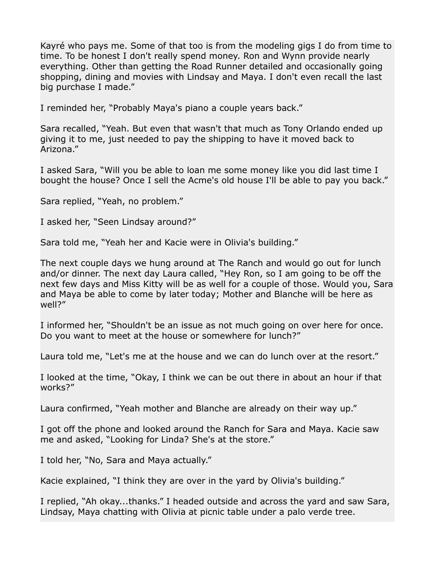Kayré who pays me. Some of that too is from the modeling gigs I do from time to time. To be honest I don't really spend money. Ron and Wynn provide nearly everything. Other than getting the Road Runner detailed and occasionally going shopping, dining and movies with Lindsay and Maya. I don't even recall the last big purchase I made."

I reminded her, "Probably Maya's piano a couple years back."

Sara recalled, "Yeah. But even that wasn't that much as Tony Orlando ended up giving it to me, just needed to pay the shipping to have it moved back to Arizona."

I asked Sara, "Will you be able to loan me some money like you did last time I bought the house? Once I sell the Acme's old house I'll be able to pay you back."

Sara replied, "Yeah, no problem."

I asked her, "Seen Lindsay around?"

Sara told me, "Yeah her and Kacie were in Olivia's building."

The next couple days we hung around at The Ranch and would go out for lunch and/or dinner. The next day Laura called, "Hey Ron, so I am going to be off the next few days and Miss Kitty will be as well for a couple of those. Would you, Sara and Maya be able to come by later today; Mother and Blanche will be here as well?"

I informed her, "Shouldn't be an issue as not much going on over here for once. Do you want to meet at the house or somewhere for lunch?"

Laura told me, "Let's me at the house and we can do lunch over at the resort."

I looked at the time, "Okay, I think we can be out there in about an hour if that works?"

Laura confirmed, "Yeah mother and Blanche are already on their way up."

I got off the phone and looked around the Ranch for Sara and Maya. Kacie saw me and asked, "Looking for Linda? She's at the store."

I told her, "No, Sara and Maya actually."

Kacie explained, "I think they are over in the yard by Olivia's building."

I replied, "Ah okay...thanks." I headed outside and across the yard and saw Sara, Lindsay, Maya chatting with Olivia at picnic table under a palo verde tree.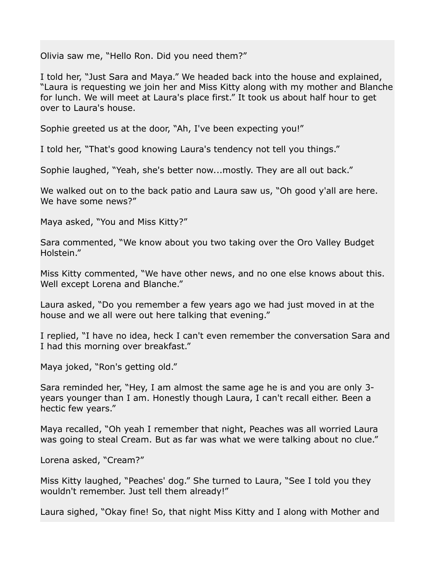Olivia saw me, "Hello Ron. Did you need them?"

I told her, "Just Sara and Maya." We headed back into the house and explained, "Laura is requesting we join her and Miss Kitty along with my mother and Blanche for lunch. We will meet at Laura's place first." It took us about half hour to get over to Laura's house.

Sophie greeted us at the door, "Ah, I've been expecting you!"

I told her, "That's good knowing Laura's tendency not tell you things."

Sophie laughed, "Yeah, she's better now...mostly. They are all out back."

We walked out on to the back patio and Laura saw us, "Oh good y'all are here. We have some news?"

Maya asked, "You and Miss Kitty?"

Sara commented, "We know about you two taking over the Oro Valley Budget Holstein."

Miss Kitty commented, "We have other news, and no one else knows about this. Well except Lorena and Blanche."

Laura asked, "Do you remember a few years ago we had just moved in at the house and we all were out here talking that evening."

I replied, "I have no idea, heck I can't even remember the conversation Sara and I had this morning over breakfast."

Maya joked, "Ron's getting old."

Sara reminded her, "Hey, I am almost the same age he is and you are only 3 years younger than I am. Honestly though Laura, I can't recall either. Been a hectic few years."

Maya recalled, "Oh yeah I remember that night, Peaches was all worried Laura was going to steal Cream. But as far was what we were talking about no clue."

Lorena asked, "Cream?"

Miss Kitty laughed, "Peaches' dog." She turned to Laura, "See I told you they wouldn't remember. Just tell them already!"

Laura sighed, "Okay fine! So, that night Miss Kitty and I along with Mother and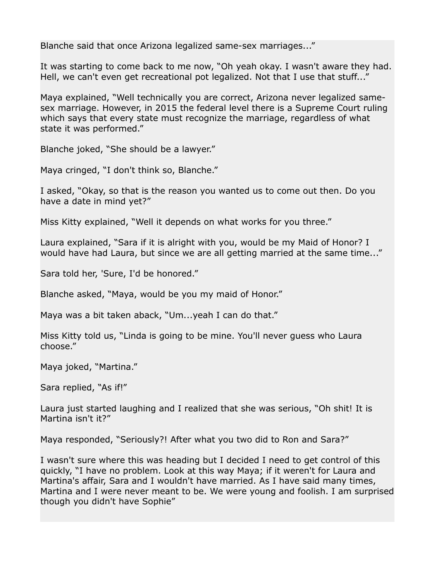Blanche said that once Arizona legalized same-sex marriages..."

It was starting to come back to me now, "Oh yeah okay. I wasn't aware they had. Hell, we can't even get recreational pot legalized. Not that I use that stuff..."

Maya explained, "Well technically you are correct, Arizona never legalized samesex marriage. However, in 2015 the federal level there is a Supreme Court ruling which says that every state must recognize the marriage, regardless of what state it was performed."

Blanche joked, "She should be a lawyer."

Maya cringed, "I don't think so, Blanche."

I asked, "Okay, so that is the reason you wanted us to come out then. Do you have a date in mind yet?"

Miss Kitty explained, "Well it depends on what works for you three."

Laura explained, "Sara if it is alright with you, would be my Maid of Honor? I would have had Laura, but since we are all getting married at the same time..."

Sara told her, 'Sure, I'd be honored."

Blanche asked, "Maya, would be you my maid of Honor."

Maya was a bit taken aback, "Um...yeah I can do that."

Miss Kitty told us, "Linda is going to be mine. You'll never guess who Laura choose."

Maya joked, "Martina."

Sara replied, "As if!"

Laura just started laughing and I realized that she was serious, "Oh shit! It is Martina isn't it?"

Maya responded, "Seriously?! After what you two did to Ron and Sara?"

I wasn't sure where this was heading but I decided I need to get control of this quickly, "I have no problem. Look at this way Maya; if it weren't for Laura and Martina's affair, Sara and I wouldn't have married. As I have said many times, Martina and I were never meant to be. We were young and foolish. I am surprised though you didn't have Sophie"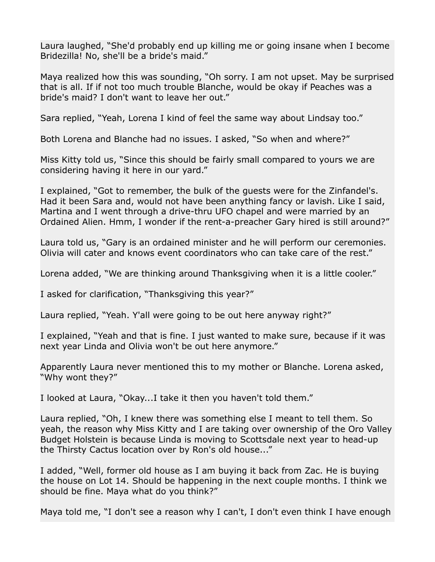Laura laughed, "She'd probably end up killing me or going insane when I become Bridezilla! No, she'll be a bride's maid."

Maya realized how this was sounding, "Oh sorry. I am not upset. May be surprised that is all. If if not too much trouble Blanche, would be okay if Peaches was a bride's maid? I don't want to leave her out."

Sara replied, "Yeah, Lorena I kind of feel the same way about Lindsay too."

Both Lorena and Blanche had no issues. I asked, "So when and where?"

Miss Kitty told us, "Since this should be fairly small compared to yours we are considering having it here in our yard."

I explained, "Got to remember, the bulk of the guests were for the Zinfandel's. Had it been Sara and, would not have been anything fancy or lavish. Like I said, Martina and I went through a drive-thru UFO chapel and were married by an Ordained Alien. Hmm, I wonder if the rent-a-preacher Gary hired is still around?"

Laura told us, "Gary is an ordained minister and he will perform our ceremonies. Olivia will cater and knows event coordinators who can take care of the rest."

Lorena added, "We are thinking around Thanksgiving when it is a little cooler."

I asked for clarification, "Thanksgiving this year?"

Laura replied, "Yeah. Y'all were going to be out here anyway right?"

I explained, "Yeah and that is fine. I just wanted to make sure, because if it was next year Linda and Olivia won't be out here anymore."

Apparently Laura never mentioned this to my mother or Blanche. Lorena asked, "Why wont they?"

I looked at Laura, "Okay...I take it then you haven't told them."

Laura replied, "Oh, I knew there was something else I meant to tell them. So yeah, the reason why Miss Kitty and I are taking over ownership of the Oro Valley Budget Holstein is because Linda is moving to Scottsdale next year to head-up the Thirsty Cactus location over by Ron's old house..."

I added, "Well, former old house as I am buying it back from Zac. He is buying the house on Lot 14. Should be happening in the next couple months. I think we should be fine. Maya what do you think?"

Maya told me, "I don't see a reason why I can't, I don't even think I have enough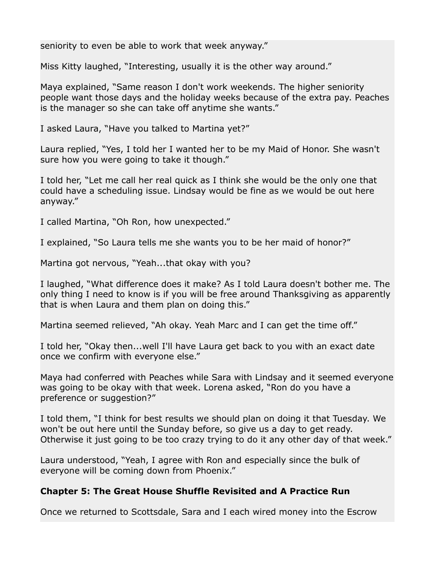seniority to even be able to work that week anyway."

Miss Kitty laughed, "Interesting, usually it is the other way around."

Maya explained, "Same reason I don't work weekends. The higher seniority people want those days and the holiday weeks because of the extra pay. Peaches is the manager so she can take off anytime she wants."

I asked Laura, "Have you talked to Martina yet?"

Laura replied, "Yes, I told her I wanted her to be my Maid of Honor. She wasn't sure how you were going to take it though."

I told her, "Let me call her real quick as I think she would be the only one that could have a scheduling issue. Lindsay would be fine as we would be out here anyway."

I called Martina, "Oh Ron, how unexpected."

I explained, "So Laura tells me she wants you to be her maid of honor?"

Martina got nervous, "Yeah...that okay with you?

I laughed, "What difference does it make? As I told Laura doesn't bother me. The only thing I need to know is if you will be free around Thanksgiving as apparently that is when Laura and them plan on doing this."

Martina seemed relieved, "Ah okay. Yeah Marc and I can get the time off."

I told her, "Okay then...well I'll have Laura get back to you with an exact date once we confirm with everyone else."

Maya had conferred with Peaches while Sara with Lindsay and it seemed everyone was going to be okay with that week. Lorena asked, "Ron do you have a preference or suggestion?"

I told them, "I think for best results we should plan on doing it that Tuesday. We won't be out here until the Sunday before, so give us a day to get ready. Otherwise it just going to be too crazy trying to do it any other day of that week."

Laura understood, "Yeah, I agree with Ron and especially since the bulk of everyone will be coming down from Phoenix."

## **Chapter 5: The Great House Shuffle Revisited and A Practice Run**

Once we returned to Scottsdale, Sara and I each wired money into the Escrow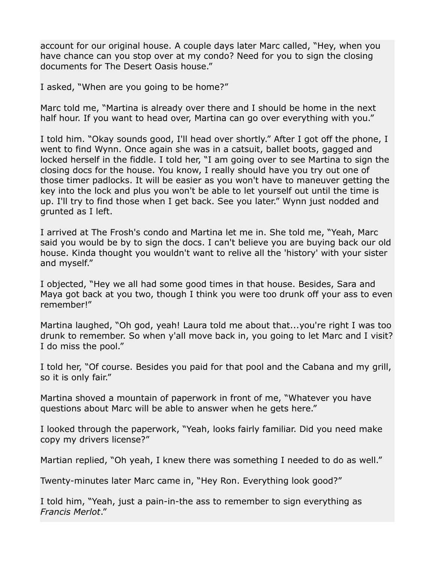account for our original house. A couple days later Marc called, "Hey, when you have chance can you stop over at my condo? Need for you to sign the closing documents for The Desert Oasis house."

I asked, "When are you going to be home?"

Marc told me, "Martina is already over there and I should be home in the next half hour. If you want to head over, Martina can go over everything with you."

I told him. "Okay sounds good, I'll head over shortly." After I got off the phone, I went to find Wynn. Once again she was in a catsuit, ballet boots, gagged and locked herself in the fiddle. I told her, "I am going over to see Martina to sign the closing docs for the house. You know, I really should have you try out one of those timer padlocks. It will be easier as you won't have to maneuver getting the key into the lock and plus you won't be able to let yourself out until the time is up. I'll try to find those when I get back. See you later." Wynn just nodded and grunted as I left.

I arrived at The Frosh's condo and Martina let me in. She told me, "Yeah, Marc said you would be by to sign the docs. I can't believe you are buying back our old house. Kinda thought you wouldn't want to relive all the 'history' with your sister and myself."

I objected, "Hey we all had some good times in that house. Besides, Sara and Maya got back at you two, though I think you were too drunk off your ass to even remember!"

Martina laughed, "Oh god, yeah! Laura told me about that...you're right I was too drunk to remember. So when y'all move back in, you going to let Marc and I visit? I do miss the pool."

I told her, "Of course. Besides you paid for that pool and the Cabana and my grill, so it is only fair."

Martina shoved a mountain of paperwork in front of me, "Whatever you have questions about Marc will be able to answer when he gets here."

I looked through the paperwork, "Yeah, looks fairly familiar. Did you need make copy my drivers license?"

Martian replied, "Oh yeah, I knew there was something I needed to do as well."

Twenty-minutes later Marc came in, "Hey Ron. Everything look good?"

I told him, "Yeah, just a pain-in-the ass to remember to sign everything as *Francis Merlot*."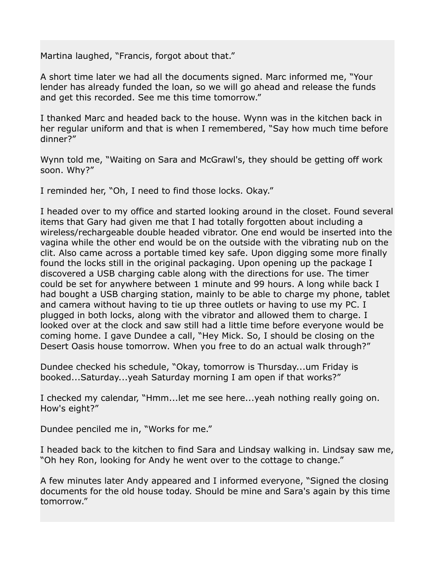Martina laughed, "Francis, forgot about that."

A short time later we had all the documents signed. Marc informed me, "Your lender has already funded the loan, so we will go ahead and release the funds and get this recorded. See me this time tomorrow."

I thanked Marc and headed back to the house. Wynn was in the kitchen back in her regular uniform and that is when I remembered, "Say how much time before dinner?"

Wynn told me, "Waiting on Sara and McGrawl's, they should be getting off work soon. Why?"

I reminded her, "Oh, I need to find those locks. Okay."

I headed over to my office and started looking around in the closet. Found several items that Gary had given me that I had totally forgotten about including a wireless/rechargeable double headed vibrator. One end would be inserted into the vagina while the other end would be on the outside with the vibrating nub on the clit. Also came across a portable timed key safe. Upon digging some more finally found the locks still in the original packaging. Upon opening up the package I discovered a USB charging cable along with the directions for use. The timer could be set for anywhere between 1 minute and 99 hours. A long while back I had bought a USB charging station, mainly to be able to charge my phone, tablet and camera without having to tie up three outlets or having to use my PC. I plugged in both locks, along with the vibrator and allowed them to charge. I looked over at the clock and saw still had a little time before everyone would be coming home. I gave Dundee a call, "Hey Mick. So, I should be closing on the Desert Oasis house tomorrow. When you free to do an actual walk through?"

Dundee checked his schedule, "Okay, tomorrow is Thursday...um Friday is booked...Saturday...yeah Saturday morning I am open if that works?"

I checked my calendar, "Hmm...let me see here...yeah nothing really going on. How's eight?"

Dundee penciled me in, "Works for me."

I headed back to the kitchen to find Sara and Lindsay walking in. Lindsay saw me, "Oh hey Ron, looking for Andy he went over to the cottage to change."

A few minutes later Andy appeared and I informed everyone, "Signed the closing documents for the old house today. Should be mine and Sara's again by this time tomorrow."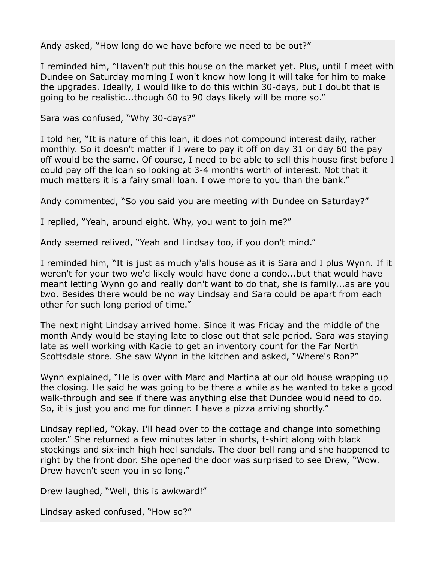Andy asked, "How long do we have before we need to be out?"

I reminded him, "Haven't put this house on the market yet. Plus, until I meet with Dundee on Saturday morning I won't know how long it will take for him to make the upgrades. Ideally, I would like to do this within 30-days, but I doubt that is going to be realistic...though 60 to 90 days likely will be more so."

Sara was confused, "Why 30-days?"

I told her, "It is nature of this loan, it does not compound interest daily, rather monthly. So it doesn't matter if I were to pay it off on day 31 or day 60 the pay off would be the same. Of course, I need to be able to sell this house first before I could pay off the loan so looking at 3-4 months worth of interest. Not that it much matters it is a fairy small loan. I owe more to you than the bank."

Andy commented, "So you said you are meeting with Dundee on Saturday?"

I replied, "Yeah, around eight. Why, you want to join me?"

Andy seemed relived, "Yeah and Lindsay too, if you don't mind."

I reminded him, "It is just as much y'alls house as it is Sara and I plus Wynn. If it weren't for your two we'd likely would have done a condo...but that would have meant letting Wynn go and really don't want to do that, she is family...as are you two. Besides there would be no way Lindsay and Sara could be apart from each other for such long period of time."

The next night Lindsay arrived home. Since it was Friday and the middle of the month Andy would be staying late to close out that sale period. Sara was staying late as well working with Kacie to get an inventory count for the Far North Scottsdale store. She saw Wynn in the kitchen and asked, "Where's Ron?"

Wynn explained, "He is over with Marc and Martina at our old house wrapping up the closing. He said he was going to be there a while as he wanted to take a good walk-through and see if there was anything else that Dundee would need to do. So, it is just you and me for dinner. I have a pizza arriving shortly."

Lindsay replied, "Okay. I'll head over to the cottage and change into something cooler." She returned a few minutes later in shorts, t-shirt along with black stockings and six-inch high heel sandals. The door bell rang and she happened to right by the front door. She opened the door was surprised to see Drew, "Wow. Drew haven't seen you in so long."

Drew laughed, "Well, this is awkward!"

Lindsay asked confused, "How so?"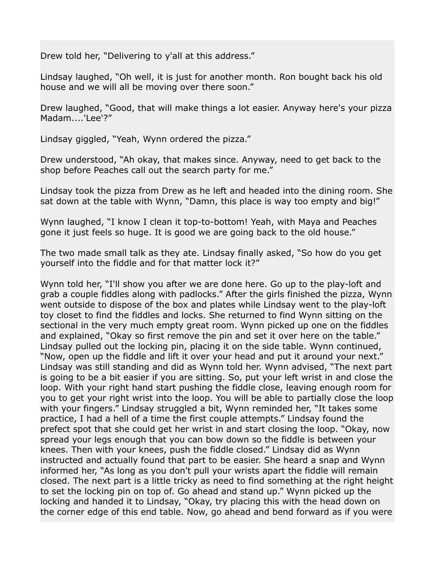Drew told her, "Delivering to y'all at this address."

Lindsay laughed, "Oh well, it is just for another month. Ron bought back his old house and we will all be moving over there soon."

Drew laughed, "Good, that will make things a lot easier. Anyway here's your pizza Madam....'Lee'?"

Lindsay giggled, "Yeah, Wynn ordered the pizza."

Drew understood, "Ah okay, that makes since. Anyway, need to get back to the shop before Peaches call out the search party for me."

Lindsay took the pizza from Drew as he left and headed into the dining room. She sat down at the table with Wynn, "Damn, this place is way too empty and big!"

Wynn laughed, "I know I clean it top-to-bottom! Yeah, with Maya and Peaches gone it just feels so huge. It is good we are going back to the old house."

The two made small talk as they ate. Lindsay finally asked, "So how do you get yourself into the fiddle and for that matter lock it?"

Wynn told her, "I'll show you after we are done here. Go up to the play-loft and grab a couple fiddles along with padlocks." After the girls finished the pizza, Wynn went outside to dispose of the box and plates while Lindsay went to the play-loft toy closet to find the fiddles and locks. She returned to find Wynn sitting on the sectional in the very much empty great room. Wynn picked up one on the fiddles and explained, "Okay so first remove the pin and set it over here on the table." Lindsay pulled out the locking pin, placing it on the side table. Wynn continued, "Now, open up the fiddle and lift it over your head and put it around your next." Lindsay was still standing and did as Wynn told her. Wynn advised, "The next part is going to be a bit easier if you are sitting. So, put your left wrist in and close the loop. With your right hand start pushing the fiddle close, leaving enough room for you to get your right wrist into the loop. You will be able to partially close the loop with your fingers." Lindsay struggled a bit, Wynn reminded her, "It takes some practice, I had a hell of a time the first couple attempts." Lindsay found the prefect spot that she could get her wrist in and start closing the loop. "Okay, now spread your legs enough that you can bow down so the fiddle is between your knees. Then with your knees, push the fiddle closed." Lindsay did as Wynn instructed and actually found that part to be easier. She heard a snap and Wynn informed her, "As long as you don't pull your wrists apart the fiddle will remain closed. The next part is a little tricky as need to find something at the right height to set the locking pin on top of. Go ahead and stand up." Wynn picked up the locking and handed it to Lindsay, "Okay, try placing this with the head down on the corner edge of this end table. Now, go ahead and bend forward as if you were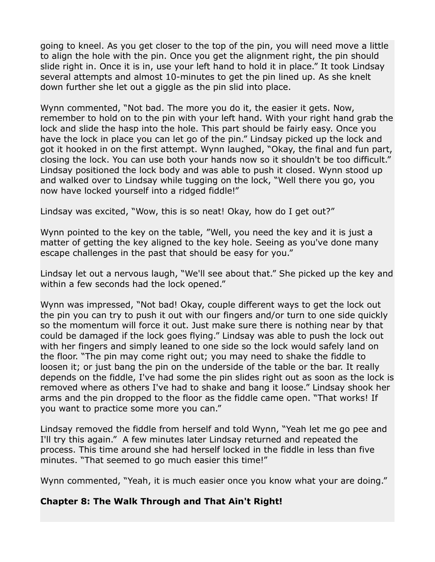going to kneel. As you get closer to the top of the pin, you will need move a little to align the hole with the pin. Once you get the alignment right, the pin should slide right in. Once it is in, use your left hand to hold it in place." It took Lindsay several attempts and almost 10-minutes to get the pin lined up. As she knelt down further she let out a giggle as the pin slid into place.

Wynn commented, "Not bad. The more you do it, the easier it gets. Now, remember to hold on to the pin with your left hand. With your right hand grab the lock and slide the hasp into the hole. This part should be fairly easy. Once you have the lock in place you can let go of the pin." Lindsay picked up the lock and got it hooked in on the first attempt. Wynn laughed, "Okay, the final and fun part, closing the lock. You can use both your hands now so it shouldn't be too difficult." Lindsay positioned the lock body and was able to push it closed. Wynn stood up and walked over to Lindsay while tugging on the lock, "Well there you go, you now have locked yourself into a ridged fiddle!"

Lindsay was excited, "Wow, this is so neat! Okay, how do I get out?"

Wynn pointed to the key on the table, "Well, you need the key and it is just a matter of getting the key aligned to the key hole. Seeing as you've done many escape challenges in the past that should be easy for you."

Lindsay let out a nervous laugh, "We'll see about that." She picked up the key and within a few seconds had the lock opened."

Wynn was impressed, "Not bad! Okay, couple different ways to get the lock out the pin you can try to push it out with our fingers and/or turn to one side quickly so the momentum will force it out. Just make sure there is nothing near by that could be damaged if the lock goes flying." Lindsay was able to push the lock out with her fingers and simply leaned to one side so the lock would safely land on the floor. "The pin may come right out; you may need to shake the fiddle to loosen it; or just bang the pin on the underside of the table or the bar. It really depends on the fiddle, I've had some the pin slides right out as soon as the lock is removed where as others I've had to shake and bang it loose." Lindsay shook her arms and the pin dropped to the floor as the fiddle came open. "That works! If you want to practice some more you can."

Lindsay removed the fiddle from herself and told Wynn, "Yeah let me go pee and I'll try this again." A few minutes later Lindsay returned and repeated the process. This time around she had herself locked in the fiddle in less than five minutes. "That seemed to go much easier this time!"

Wynn commented, "Yeah, it is much easier once you know what your are doing."

#### **Chapter 8: The Walk Through and That Ain't Right!**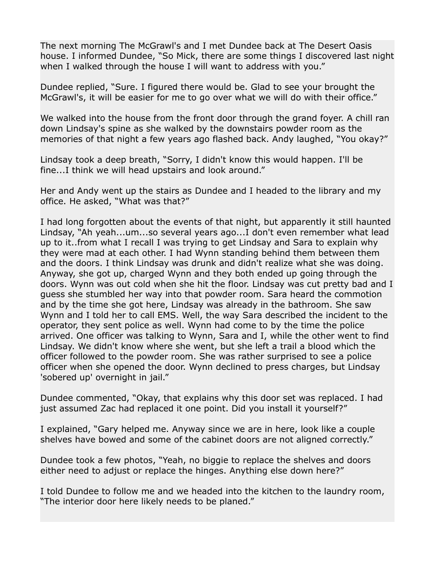The next morning The McGrawl's and I met Dundee back at The Desert Oasis house. I informed Dundee, "So Mick, there are some things I discovered last night when I walked through the house I will want to address with you."

Dundee replied, "Sure. I figured there would be. Glad to see your brought the McGrawl's, it will be easier for me to go over what we will do with their office."

We walked into the house from the front door through the grand foyer. A chill ran down Lindsay's spine as she walked by the downstairs powder room as the memories of that night a few years ago flashed back. Andy laughed, "You okay?"

Lindsay took a deep breath, "Sorry, I didn't know this would happen. I'll be fine...I think we will head upstairs and look around."

Her and Andy went up the stairs as Dundee and I headed to the library and my office. He asked, "What was that?"

I had long forgotten about the events of that night, but apparently it still haunted Lindsay, "Ah yeah...um...so several years ago...I don't even remember what lead up to it..from what I recall I was trying to get Lindsay and Sara to explain why they were mad at each other. I had Wynn standing behind them between them and the doors. I think Lindsay was drunk and didn't realize what she was doing. Anyway, she got up, charged Wynn and they both ended up going through the doors. Wynn was out cold when she hit the floor. Lindsay was cut pretty bad and I guess she stumbled her way into that powder room. Sara heard the commotion and by the time she got here, Lindsay was already in the bathroom. She saw Wynn and I told her to call EMS. Well, the way Sara described the incident to the operator, they sent police as well. Wynn had come to by the time the police arrived. One officer was talking to Wynn, Sara and I, while the other went to find Lindsay. We didn't know where she went, but she left a trail a blood which the officer followed to the powder room. She was rather surprised to see a police officer when she opened the door. Wynn declined to press charges, but Lindsay 'sobered up' overnight in jail."

Dundee commented, "Okay, that explains why this door set was replaced. I had just assumed Zac had replaced it one point. Did you install it yourself?"

I explained, "Gary helped me. Anyway since we are in here, look like a couple shelves have bowed and some of the cabinet doors are not aligned correctly."

Dundee took a few photos, "Yeah, no biggie to replace the shelves and doors either need to adjust or replace the hinges. Anything else down here?"

I told Dundee to follow me and we headed into the kitchen to the laundry room, "The interior door here likely needs to be planed."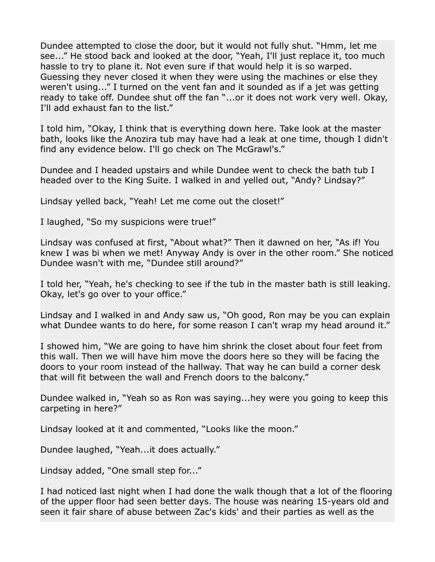Dundee attempted to close the door, but it would not fully shut. "Hmm, let me see..." He stood back and looked at the door, "Yeah, I'll just replace it, too much hassle to try to plane it. Not even sure if that would help it is so warped. Guessing they never closed it when they were using the machines or else they weren't using..." I turned on the vent fan and it sounded as if a jet was getting ready to take off. Dundee shut off the fan "...or it does not work very well. Okay, I'll add exhaust fan to the list."

I told him, "Okay, I think that is everything down here. Take look at the master bath, looks like the Anozira tub may have had a leak at one time, though I didn't find any evidence below. I'll go check on The McGrawl's."

Dundee and I headed upstairs and while Dundee went to check the bath tub I headed over to the King Suite. I walked in and yelled out, "Andy? Lindsay?"

Lindsay yelled back, "Yeah! Let me come out the closet!"

I laughed, "So my suspicions were true!"

Lindsay was confused at first, "About what?" Then it dawned on her, "As if! You knew I was bi when we met! Anyway Andy is over in the other room." She noticed Dundee wasn't with me, "Dundee still around?"

I told her, "Yeah, he's checking to see if the tub in the master bath is still leaking. Okay, let's go over to your office."

Lindsay and I walked in and Andy saw us, "Oh good, Ron may be you can explain what Dundee wants to do here, for some reason I can't wrap my head around it."

I showed him, "We are going to have him shrink the closet about four feet from this wall. Then we will have him move the doors here so they will be facing the doors to your room instead of the hallway. That way he can build a corner desk that will fit between the wall and French doors to the balcony."

Dundee walked in, "Yeah so as Ron was saying...hey were you going to keep this carpeting in here?"

Lindsay looked at it and commented, "Looks like the moon."

Dundee laughed, "Yeah...it does actually."

Lindsay added, "One small step for..."

I had noticed last night when I had done the walk though that a lot of the flooring of the upper floor had seen better days. The house was nearing 15-years old and seen it fair share of abuse between Zac's kids' and their parties as well as the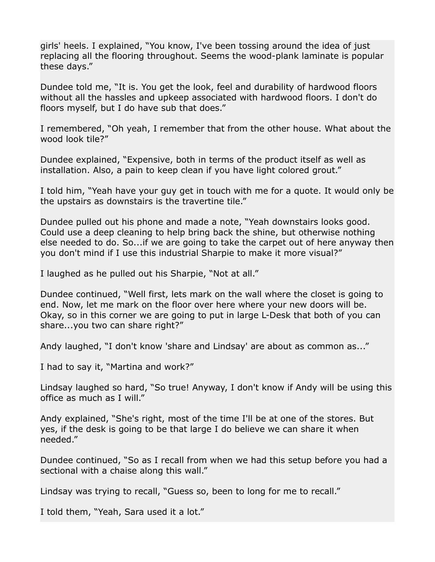girls' heels. I explained, "You know, I've been tossing around the idea of just replacing all the flooring throughout. Seems the wood-plank laminate is popular these days."

Dundee told me, "It is. You get the look, feel and durability of hardwood floors without all the hassles and upkeep associated with hardwood floors. I don't do floors myself, but I do have sub that does."

I remembered, "Oh yeah, I remember that from the other house. What about the wood look tile?"

Dundee explained, "Expensive, both in terms of the product itself as well as installation. Also, a pain to keep clean if you have light colored grout."

I told him, "Yeah have your guy get in touch with me for a quote. It would only be the upstairs as downstairs is the travertine tile."

Dundee pulled out his phone and made a note, "Yeah downstairs looks good. Could use a deep cleaning to help bring back the shine, but otherwise nothing else needed to do. So...if we are going to take the carpet out of here anyway then you don't mind if I use this industrial Sharpie to make it more visual?"

I laughed as he pulled out his Sharpie, "Not at all."

Dundee continued, "Well first, lets mark on the wall where the closet is going to end. Now, let me mark on the floor over here where your new doors will be. Okay, so in this corner we are going to put in large L-Desk that both of you can share...you two can share right?"

Andy laughed, "I don't know 'share and Lindsay' are about as common as..."

I had to say it, "Martina and work?"

Lindsay laughed so hard, "So true! Anyway, I don't know if Andy will be using this office as much as I will."

Andy explained, "She's right, most of the time I'll be at one of the stores. But yes, if the desk is going to be that large I do believe we can share it when needed."

Dundee continued, "So as I recall from when we had this setup before you had a sectional with a chaise along this wall."

Lindsay was trying to recall, "Guess so, been to long for me to recall."

I told them, "Yeah, Sara used it a lot."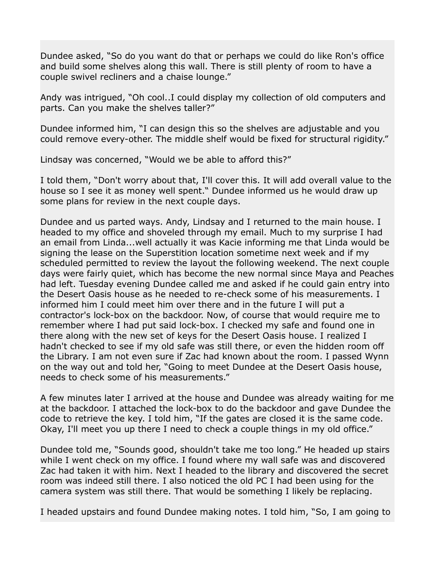Dundee asked, "So do you want do that or perhaps we could do like Ron's office and build some shelves along this wall. There is still plenty of room to have a couple swivel recliners and a chaise lounge."

Andy was intrigued, "Oh cool..I could display my collection of old computers and parts. Can you make the shelves taller?"

Dundee informed him, "I can design this so the shelves are adjustable and you could remove every-other. The middle shelf would be fixed for structural rigidity."

Lindsay was concerned, "Would we be able to afford this?"

I told them, "Don't worry about that, I'll cover this. It will add overall value to the house so I see it as money well spent." Dundee informed us he would draw up some plans for review in the next couple days.

Dundee and us parted ways. Andy, Lindsay and I returned to the main house. I headed to my office and shoveled through my email. Much to my surprise I had an email from Linda...well actually it was Kacie informing me that Linda would be signing the lease on the Superstition location sometime next week and if my scheduled permitted to review the layout the following weekend. The next couple days were fairly quiet, which has become the new normal since Maya and Peaches had left. Tuesday evening Dundee called me and asked if he could gain entry into the Desert Oasis house as he needed to re-check some of his measurements. I informed him I could meet him over there and in the future I will put a contractor's lock-box on the backdoor. Now, of course that would require me to remember where I had put said lock-box. I checked my safe and found one in there along with the new set of keys for the Desert Oasis house. I realized I hadn't checked to see if my old safe was still there, or even the hidden room off the Library. I am not even sure if Zac had known about the room. I passed Wynn on the way out and told her, "Going to meet Dundee at the Desert Oasis house, needs to check some of his measurements."

A few minutes later I arrived at the house and Dundee was already waiting for me at the backdoor. I attached the lock-box to do the backdoor and gave Dundee the code to retrieve the key. I told him, "If the gates are closed it is the same code. Okay, I'll meet you up there I need to check a couple things in my old office."

Dundee told me, "Sounds good, shouldn't take me too long." He headed up stairs while I went check on my office. I found where my wall safe was and discovered Zac had taken it with him. Next I headed to the library and discovered the secret room was indeed still there. I also noticed the old PC I had been using for the camera system was still there. That would be something I likely be replacing.

I headed upstairs and found Dundee making notes. I told him, "So, I am going to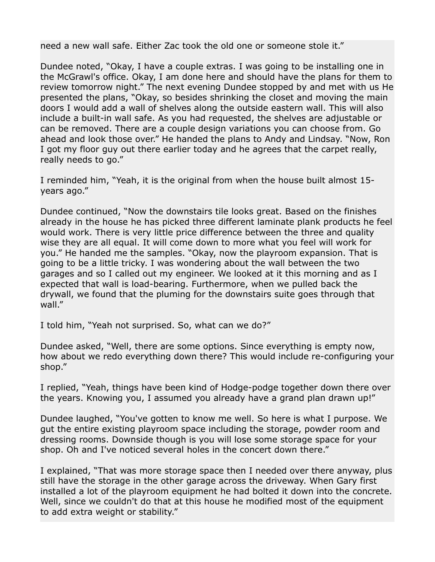need a new wall safe. Either Zac took the old one or someone stole it."

Dundee noted, "Okay, I have a couple extras. I was going to be installing one in the McGrawl's office. Okay, I am done here and should have the plans for them to review tomorrow night." The next evening Dundee stopped by and met with us He presented the plans, "Okay, so besides shrinking the closet and moving the main doors I would add a wall of shelves along the outside eastern wall. This will also include a built-in wall safe. As you had requested, the shelves are adjustable or can be removed. There are a couple design variations you can choose from. Go ahead and look those over." He handed the plans to Andy and Lindsay. "Now, Ron I got my floor guy out there earlier today and he agrees that the carpet really, really needs to go."

I reminded him, "Yeah, it is the original from when the house built almost 15 years ago."

Dundee continued, "Now the downstairs tile looks great. Based on the finishes already in the house he has picked three different laminate plank products he feel would work. There is very little price difference between the three and quality wise they are all equal. It will come down to more what you feel will work for you." He handed me the samples. "Okay, now the playroom expansion. That is going to be a little tricky. I was wondering about the wall between the two garages and so I called out my engineer. We looked at it this morning and as I expected that wall is load-bearing. Furthermore, when we pulled back the drywall, we found that the pluming for the downstairs suite goes through that wall."

I told him, "Yeah not surprised. So, what can we do?"

Dundee asked, "Well, there are some options. Since everything is empty now, how about we redo everything down there? This would include re-configuring your shop."

I replied, "Yeah, things have been kind of Hodge-podge together down there over the years. Knowing you, I assumed you already have a grand plan drawn up!"

Dundee laughed, "You've gotten to know me well. So here is what I purpose. We gut the entire existing playroom space including the storage, powder room and dressing rooms. Downside though is you will lose some storage space for your shop. Oh and I've noticed several holes in the concert down there."

I explained, "That was more storage space then I needed over there anyway, plus still have the storage in the other garage across the driveway. When Gary first installed a lot of the playroom equipment he had bolted it down into the concrete. Well, since we couldn't do that at this house he modified most of the equipment to add extra weight or stability."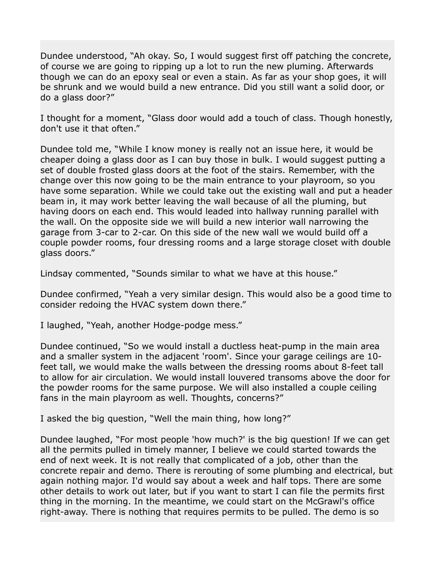Dundee understood, "Ah okay. So, I would suggest first off patching the concrete, of course we are going to ripping up a lot to run the new pluming. Afterwards though we can do an epoxy seal or even a stain. As far as your shop goes, it will be shrunk and we would build a new entrance. Did you still want a solid door, or do a glass door?"

I thought for a moment, "Glass door would add a touch of class. Though honestly, don't use it that often."

Dundee told me, "While I know money is really not an issue here, it would be cheaper doing a glass door as I can buy those in bulk. I would suggest putting a set of double frosted glass doors at the foot of the stairs. Remember, with the change over this now going to be the main entrance to your playroom, so you have some separation. While we could take out the existing wall and put a header beam in, it may work better leaving the wall because of all the pluming, but having doors on each end. This would leaded into hallway running parallel with the wall. On the opposite side we will build a new interior wall narrowing the garage from 3-car to 2-car. On this side of the new wall we would build off a couple powder rooms, four dressing rooms and a large storage closet with double glass doors."

Lindsay commented, "Sounds similar to what we have at this house."

Dundee confirmed, "Yeah a very similar design. This would also be a good time to consider redoing the HVAC system down there."

I laughed, "Yeah, another Hodge-podge mess."

Dundee continued, "So we would install a ductless heat-pump in the main area and a smaller system in the adjacent 'room'. Since your garage ceilings are 10 feet tall, we would make the walls between the dressing rooms about 8-feet tall to allow for air circulation. We would install louvered transoms above the door for the powder rooms for the same purpose. We will also installed a couple ceiling fans in the main playroom as well. Thoughts, concerns?"

I asked the big question, "Well the main thing, how long?"

Dundee laughed, "For most people 'how much?' is the big question! If we can get all the permits pulled in timely manner, I believe we could started towards the end of next week. It is not really that complicated of a job, other than the concrete repair and demo. There is rerouting of some plumbing and electrical, but again nothing major. I'd would say about a week and half tops. There are some other details to work out later, but if you want to start I can file the permits first thing in the morning. In the meantime, we could start on the McGrawl's office right-away. There is nothing that requires permits to be pulled. The demo is so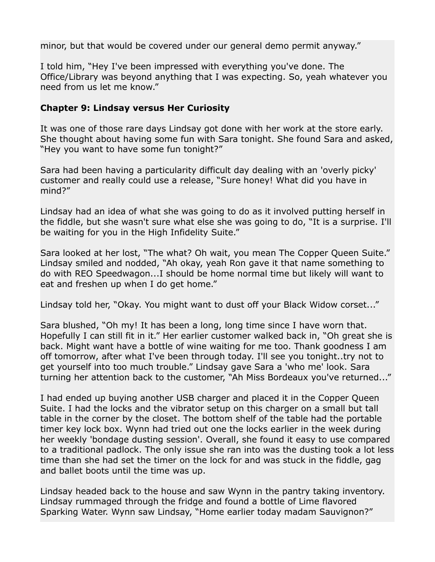minor, but that would be covered under our general demo permit anyway."

I told him, "Hey I've been impressed with everything you've done. The Office/Library was beyond anything that I was expecting. So, yeah whatever you need from us let me know."

## **Chapter 9: Lindsay versus Her Curiosity**

It was one of those rare days Lindsay got done with her work at the store early. She thought about having some fun with Sara tonight. She found Sara and asked, "Hey you want to have some fun tonight?"

Sara had been having a particularity difficult day dealing with an 'overly picky' customer and really could use a release, "Sure honey! What did you have in mind?"

Lindsay had an idea of what she was going to do as it involved putting herself in the fiddle, but she wasn't sure what else she was going to do, "It is a surprise. I'll be waiting for you in the High Infidelity Suite."

Sara looked at her lost, "The what? Oh wait, you mean The Copper Queen Suite." Lindsay smiled and nodded, "Ah okay, yeah Ron gave it that name something to do with REO Speedwagon...I should be home normal time but likely will want to eat and freshen up when I do get home."

Lindsay told her, "Okay. You might want to dust off your Black Widow corset..."

Sara blushed, "Oh my! It has been a long, long time since I have worn that. Hopefully I can still fit in it." Her earlier customer walked back in, "Oh great she is back. Might want have a bottle of wine waiting for me too. Thank goodness I am off tomorrow, after what I've been through today. I'll see you tonight..try not to get yourself into too much trouble." Lindsay gave Sara a 'who me' look. Sara turning her attention back to the customer, "Ah Miss Bordeaux you've returned..."

I had ended up buying another USB charger and placed it in the Copper Queen Suite. I had the locks and the vibrator setup on this charger on a small but tall table in the corner by the closet. The bottom shelf of the table had the portable timer key lock box. Wynn had tried out one the locks earlier in the week during her weekly 'bondage dusting session'. Overall, she found it easy to use compared to a traditional padlock. The only issue she ran into was the dusting took a lot less time than she had set the timer on the lock for and was stuck in the fiddle, gag and ballet boots until the time was up.

Lindsay headed back to the house and saw Wynn in the pantry taking inventory. Lindsay rummaged through the fridge and found a bottle of Lime flavored Sparking Water. Wynn saw Lindsay, "Home earlier today madam Sauvignon?"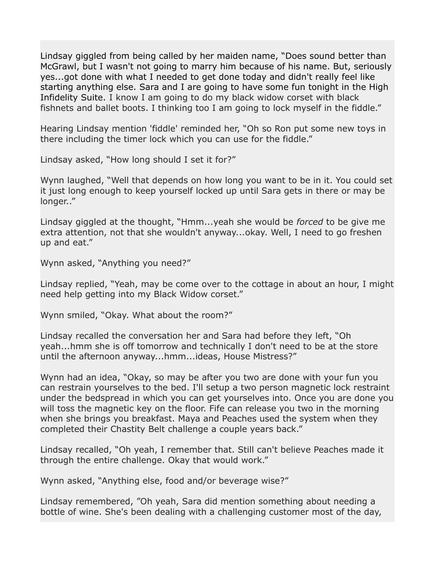Lindsay giggled from being called by her maiden name, "Does sound better than McGrawl, but I wasn't not going to marry him because of his name. But, seriously yes...got done with what I needed to get done today and didn't really feel like starting anything else. Sara and I are going to have some fun tonight in the High Infidelity Suite. I know I am going to do my black widow corset with black fishnets and ballet boots. I thinking too I am going to lock myself in the fiddle."

Hearing Lindsay mention 'fiddle' reminded her, "Oh so Ron put some new toys in there including the timer lock which you can use for the fiddle."

Lindsay asked, "How long should I set it for?"

Wynn laughed, "Well that depends on how long you want to be in it. You could set it just long enough to keep yourself locked up until Sara gets in there or may be longer.."

Lindsay giggled at the thought, "Hmm...yeah she would be *forced* to be give me extra attention, not that she wouldn't anyway...okay. Well, I need to go freshen up and eat."

Wynn asked, "Anything you need?"

Lindsay replied, "Yeah, may be come over to the cottage in about an hour, I might need help getting into my Black Widow corset."

Wynn smiled, "Okay. What about the room?"

Lindsay recalled the conversation her and Sara had before they left, "Oh yeah...hmm she is off tomorrow and technically I don't need to be at the store until the afternoon anyway...hmm...ideas, House Mistress?"

Wynn had an idea, "Okay, so may be after you two are done with your fun you can restrain yourselves to the bed. I'll setup a two person magnetic lock restraint under the bedspread in which you can get yourselves into. Once you are done you will toss the magnetic key on the floor. Fife can release you two in the morning when she brings you breakfast. Maya and Peaches used the system when they completed their Chastity Belt challenge a couple years back."

Lindsay recalled, "Oh yeah, I remember that. Still can't believe Peaches made it through the entire challenge. Okay that would work."

Wynn asked, "Anything else, food and/or beverage wise?"

Lindsay remembered, "Oh yeah, Sara did mention something about needing a bottle of wine. She's been dealing with a challenging customer most of the day,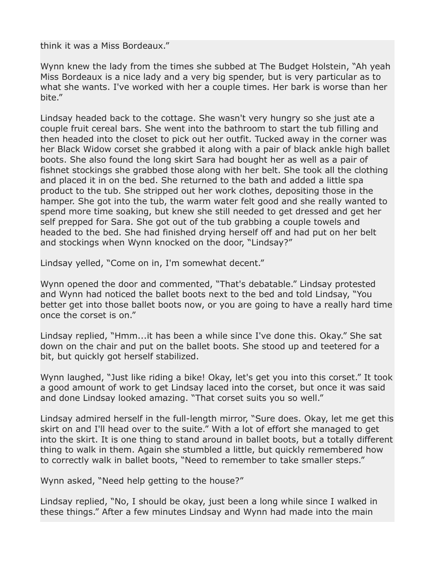think it was a Miss Bordeaux."

Wynn knew the lady from the times she subbed at The Budget Holstein, "Ah yeah Miss Bordeaux is a nice lady and a very big spender, but is very particular as to what she wants. I've worked with her a couple times. Her bark is worse than her bite."

Lindsay headed back to the cottage. She wasn't very hungry so she just ate a couple fruit cereal bars. She went into the bathroom to start the tub filling and then headed into the closet to pick out her outfit. Tucked away in the corner was her Black Widow corset she grabbed it along with a pair of black ankle high ballet boots. She also found the long skirt Sara had bought her as well as a pair of fishnet stockings she grabbed those along with her belt. She took all the clothing and placed it in on the bed. She returned to the bath and added a little spa product to the tub. She stripped out her work clothes, depositing those in the hamper. She got into the tub, the warm water felt good and she really wanted to spend more time soaking, but knew she still needed to get dressed and get her self prepped for Sara. She got out of the tub grabbing a couple towels and headed to the bed. She had finished drying herself off and had put on her belt and stockings when Wynn knocked on the door, "Lindsay?"

Lindsay yelled, "Come on in, I'm somewhat decent."

Wynn opened the door and commented, "That's debatable." Lindsay protested and Wynn had noticed the ballet boots next to the bed and told Lindsay, "You better get into those ballet boots now, or you are going to have a really hard time once the corset is on."

Lindsay replied, "Hmm...it has been a while since I've done this. Okay." She sat down on the chair and put on the ballet boots. She stood up and teetered for a bit, but quickly got herself stabilized.

Wynn laughed, "Just like riding a bike! Okay, let's get you into this corset." It took a good amount of work to get Lindsay laced into the corset, but once it was said and done Lindsay looked amazing. "That corset suits you so well."

Lindsay admired herself in the full-length mirror, "Sure does. Okay, let me get this skirt on and I'll head over to the suite." With a lot of effort she managed to get into the skirt. It is one thing to stand around in ballet boots, but a totally different thing to walk in them. Again she stumbled a little, but quickly remembered how to correctly walk in ballet boots, "Need to remember to take smaller steps."

Wynn asked, "Need help getting to the house?"

Lindsay replied, "No, I should be okay, just been a long while since I walked in these things." After a few minutes Lindsay and Wynn had made into the main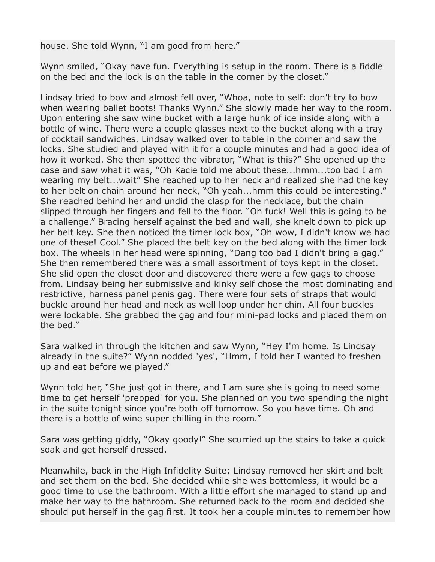house. She told Wynn, "I am good from here."

Wynn smiled, "Okay have fun. Everything is setup in the room. There is a fiddle on the bed and the lock is on the table in the corner by the closet."

Lindsay tried to bow and almost fell over, "Whoa, note to self: don't try to bow when wearing ballet boots! Thanks Wynn." She slowly made her way to the room. Upon entering she saw wine bucket with a large hunk of ice inside along with a bottle of wine. There were a couple glasses next to the bucket along with a tray of cocktail sandwiches. Lindsay walked over to table in the corner and saw the locks. She studied and played with it for a couple minutes and had a good idea of how it worked. She then spotted the vibrator, "What is this?" She opened up the case and saw what it was, "Oh Kacie told me about these...hmm...too bad I am wearing my belt...wait" She reached up to her neck and realized she had the key to her belt on chain around her neck, "Oh yeah...hmm this could be interesting." She reached behind her and undid the clasp for the necklace, but the chain slipped through her fingers and fell to the floor. "Oh fuck! Well this is going to be a challenge." Bracing herself against the bed and wall, she knelt down to pick up her belt key. She then noticed the timer lock box, "Oh wow, I didn't know we had one of these! Cool." She placed the belt key on the bed along with the timer lock box. The wheels in her head were spinning, "Dang too bad I didn't bring a gag." She then remembered there was a small assortment of toys kept in the closet. She slid open the closet door and discovered there were a few gags to choose from. Lindsay being her submissive and kinky self chose the most dominating and restrictive, harness panel penis gag. There were four sets of straps that would buckle around her head and neck as well loop under her chin. All four buckles were lockable. She grabbed the gag and four mini-pad locks and placed them on the bed."

Sara walked in through the kitchen and saw Wynn, "Hey I'm home. Is Lindsay already in the suite?" Wynn nodded 'yes', "Hmm, I told her I wanted to freshen up and eat before we played."

Wynn told her, "She just got in there, and I am sure she is going to need some time to get herself 'prepped' for you. She planned on you two spending the night in the suite tonight since you're both off tomorrow. So you have time. Oh and there is a bottle of wine super chilling in the room."

Sara was getting giddy, "Okay goody!" She scurried up the stairs to take a quick soak and get herself dressed.

Meanwhile, back in the High Infidelity Suite; Lindsay removed her skirt and belt and set them on the bed. She decided while she was bottomless, it would be a good time to use the bathroom. With a little effort she managed to stand up and make her way to the bathroom. She returned back to the room and decided she should put herself in the gag first. It took her a couple minutes to remember how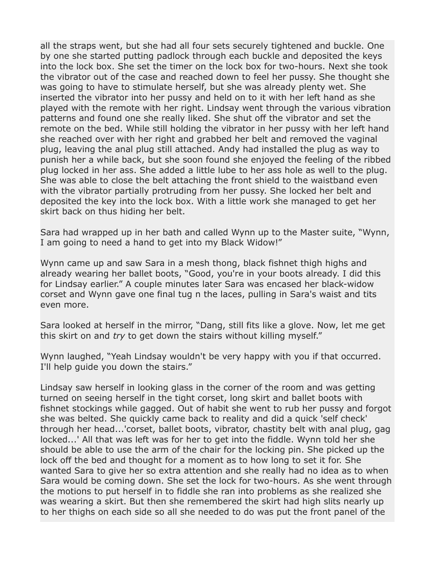all the straps went, but she had all four sets securely tightened and buckle. One by one she started putting padlock through each buckle and deposited the keys into the lock box. She set the timer on the lock box for two-hours. Next she took the vibrator out of the case and reached down to feel her pussy. She thought she was going to have to stimulate herself, but she was already plenty wet. She inserted the vibrator into her pussy and held on to it with her left hand as she played with the remote with her right. Lindsay went through the various vibration patterns and found one she really liked. She shut off the vibrator and set the remote on the bed. While still holding the vibrator in her pussy with her left hand she reached over with her right and grabbed her belt and removed the vaginal plug, leaving the anal plug still attached. Andy had installed the plug as way to punish her a while back, but she soon found she enjoyed the feeling of the ribbed plug locked in her ass. She added a little lube to her ass hole as well to the plug. She was able to close the belt attaching the front shield to the waistband even with the vibrator partially protruding from her pussy. She locked her belt and deposited the key into the lock box. With a little work she managed to get her skirt back on thus hiding her belt.

Sara had wrapped up in her bath and called Wynn up to the Master suite, "Wynn, I am going to need a hand to get into my Black Widow!"

Wynn came up and saw Sara in a mesh thong, black fishnet thigh highs and already wearing her ballet boots, "Good, you're in your boots already. I did this for Lindsay earlier." A couple minutes later Sara was encased her black-widow corset and Wynn gave one final tug n the laces, pulling in Sara's waist and tits even more.

Sara looked at herself in the mirror, "Dang, still fits like a glove. Now, let me get this skirt on and *try* to get down the stairs without killing myself."

Wynn laughed, "Yeah Lindsay wouldn't be very happy with you if that occurred. I'll help guide you down the stairs."

Lindsay saw herself in looking glass in the corner of the room and was getting turned on seeing herself in the tight corset, long skirt and ballet boots with fishnet stockings while gagged. Out of habit she went to rub her pussy and forgot she was belted. She quickly came back to reality and did a quick 'self check' through her head...'corset, ballet boots, vibrator, chastity belt with anal plug, gag locked...' All that was left was for her to get into the fiddle. Wynn told her she should be able to use the arm of the chair for the locking pin. She picked up the lock off the bed and thought for a moment as to how long to set it for. She wanted Sara to give her so extra attention and she really had no idea as to when Sara would be coming down. She set the lock for two-hours. As she went through the motions to put herself in to fiddle she ran into problems as she realized she was wearing a skirt. But then she remembered the skirt had high slits nearly up to her thighs on each side so all she needed to do was put the front panel of the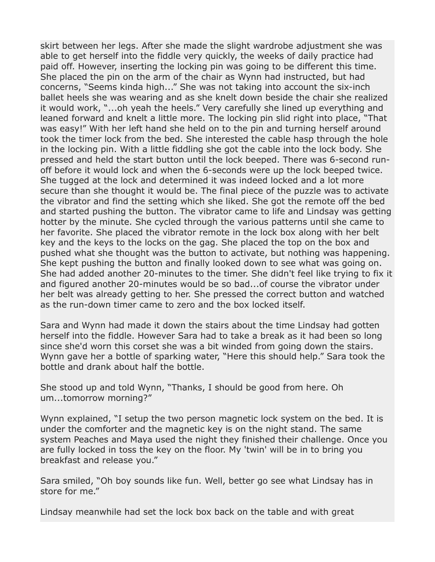skirt between her legs. After she made the slight wardrobe adjustment she was able to get herself into the fiddle very quickly, the weeks of daily practice had paid off. However, inserting the locking pin was going to be different this time. She placed the pin on the arm of the chair as Wynn had instructed, but had concerns, "Seems kinda high..." She was not taking into account the six-inch ballet heels she was wearing and as she knelt down beside the chair she realized it would work, "...oh yeah the heels." Very carefully she lined up everything and leaned forward and knelt a little more. The locking pin slid right into place, "That was easy!" With her left hand she held on to the pin and turning herself around took the timer lock from the bed. She interested the cable hasp through the hole in the locking pin. With a little fiddling she got the cable into the lock body. She pressed and held the start button until the lock beeped. There was 6-second runoff before it would lock and when the 6-seconds were up the lock beeped twice. She tugged at the lock and determined it was indeed locked and a lot more secure than she thought it would be. The final piece of the puzzle was to activate the vibrator and find the setting which she liked. She got the remote off the bed and started pushing the button. The vibrator came to life and Lindsay was getting hotter by the minute. She cycled through the various patterns until she came to her favorite. She placed the vibrator remote in the lock box along with her belt key and the keys to the locks on the gag. She placed the top on the box and pushed what she thought was the button to activate, but nothing was happening. She kept pushing the button and finally looked down to see what was going on. She had added another 20-minutes to the timer. She didn't feel like trying to fix it and figured another 20-minutes would be so bad...of course the vibrator under her belt was already getting to her. She pressed the correct button and watched as the run-down timer came to zero and the box locked itself.

Sara and Wynn had made it down the stairs about the time Lindsay had gotten herself into the fiddle. However Sara had to take a break as it had been so long since she'd worn this corset she was a bit winded from going down the stairs. Wynn gave her a bottle of sparking water, "Here this should help." Sara took the bottle and drank about half the bottle.

She stood up and told Wynn, "Thanks, I should be good from here. Oh um...tomorrow morning?"

Wynn explained, "I setup the two person magnetic lock system on the bed. It is under the comforter and the magnetic key is on the night stand. The same system Peaches and Maya used the night they finished their challenge. Once you are fully locked in toss the key on the floor. My 'twin' will be in to bring you breakfast and release you."

Sara smiled, "Oh boy sounds like fun. Well, better go see what Lindsay has in store for me."

Lindsay meanwhile had set the lock box back on the table and with great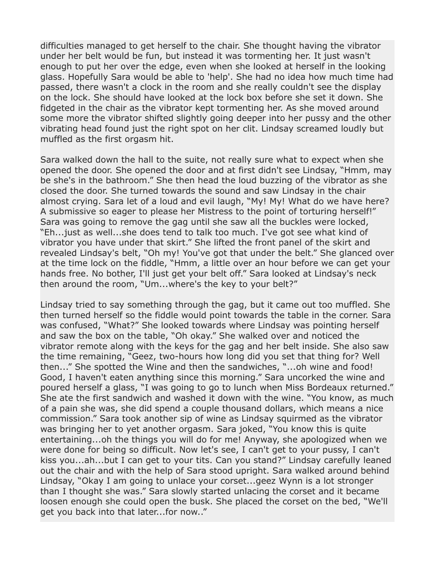difficulties managed to get herself to the chair. She thought having the vibrator under her belt would be fun, but instead it was tormenting her. It just wasn't enough to put her over the edge, even when she looked at herself in the looking glass. Hopefully Sara would be able to 'help'. She had no idea how much time had passed, there wasn't a clock in the room and she really couldn't see the display on the lock. She should have looked at the lock box before she set it down. She fidgeted in the chair as the vibrator kept tormenting her. As she moved around some more the vibrator shifted slightly going deeper into her pussy and the other vibrating head found just the right spot on her clit. Lindsay screamed loudly but muffled as the first orgasm hit.

Sara walked down the hall to the suite, not really sure what to expect when she opened the door. She opened the door and at first didn't see Lindsay, "Hmm, may be she's in the bathroom." She then head the loud buzzing of the vibrator as she closed the door. She turned towards the sound and saw Lindsay in the chair almost crying. Sara let of a loud and evil laugh, "My! My! What do we have here? A submissive so eager to please her Mistress to the point of torturing herself!" Sara was going to remove the gag until she saw all the buckles were locked, "Eh...just as well...she does tend to talk too much. I've got see what kind of vibrator you have under that skirt." She lifted the front panel of the skirt and revealed Lindsay's belt, "Oh my! You've got that under the belt." She glanced over at the time lock on the fiddle, "Hmm, a little over an hour before we can get your hands free. No bother, I'll just get your belt off." Sara looked at Lindsay's neck then around the room, "Um...where's the key to your belt?"

Lindsay tried to say something through the gag, but it came out too muffled. She then turned herself so the fiddle would point towards the table in the corner. Sara was confused, "What?" She looked towards where Lindsay was pointing herself and saw the box on the table, "Oh okay." She walked over and noticed the vibrator remote along with the keys for the gag and her belt inside. She also saw the time remaining, "Geez, two-hours how long did you set that thing for? Well then..." She spotted the Wine and then the sandwiches, "...oh wine and food! Good, I haven't eaten anything since this morning." Sara uncorked the wine and poured herself a glass, "I was going to go to lunch when Miss Bordeaux returned." She ate the first sandwich and washed it down with the wine. "You know, as much of a pain she was, she did spend a couple thousand dollars, which means a nice commission." Sara took another sip of wine as Lindsay squirmed as the vibrator was bringing her to yet another orgasm. Sara joked, "You know this is quite entertaining...oh the things you will do for me! Anyway, she apologized when we were done for being so difficult. Now let's see, I can't get to your pussy, I can't kiss you...ah...but I can get to your tits. Can you stand?" Lindsay carefully leaned out the chair and with the help of Sara stood upright. Sara walked around behind Lindsay, "Okay I am going to unlace your corset...geez Wynn is a lot stronger than I thought she was." Sara slowly started unlacing the corset and it became loosen enough she could open the busk. She placed the corset on the bed, "We'll get you back into that later...for now.."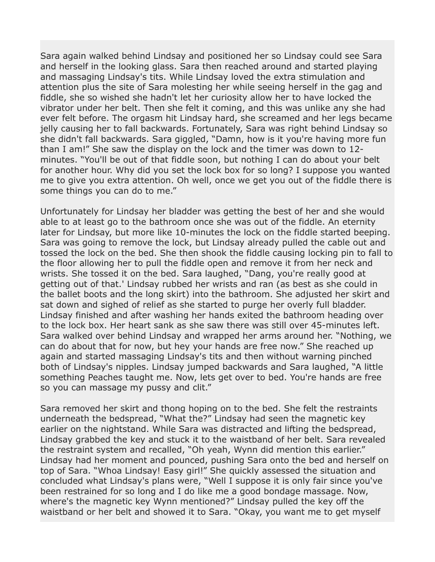Sara again walked behind Lindsay and positioned her so Lindsay could see Sara and herself in the looking glass. Sara then reached around and started playing and massaging Lindsay's tits. While Lindsay loved the extra stimulation and attention plus the site of Sara molesting her while seeing herself in the gag and fiddle, she so wished she hadn't let her curiosity allow her to have locked the vibrator under her belt. Then she felt it coming, and this was unlike any she had ever felt before. The orgasm hit Lindsay hard, she screamed and her legs became jelly causing her to fall backwards. Fortunately, Sara was right behind Lindsay so she didn't fall backwards. Sara giggled, "Damn, how is it you're having more fun than I am!" She saw the display on the lock and the timer was down to 12 minutes. "You'll be out of that fiddle soon, but nothing I can do about your belt for another hour. Why did you set the lock box for so long? I suppose you wanted me to give you extra attention. Oh well, once we get you out of the fiddle there is some things you can do to me."

Unfortunately for Lindsay her bladder was getting the best of her and she would able to at least go to the bathroom once she was out of the fiddle. An eternity later for Lindsay, but more like 10-minutes the lock on the fiddle started beeping. Sara was going to remove the lock, but Lindsay already pulled the cable out and tossed the lock on the bed. She then shook the fiddle causing locking pin to fall to the floor allowing her to pull the fiddle open and remove it from her neck and wrists. She tossed it on the bed. Sara laughed, "Dang, you're really good at getting out of that.' Lindsay rubbed her wrists and ran (as best as she could in the ballet boots and the long skirt) into the bathroom. She adjusted her skirt and sat down and sighed of relief as she started to purge her overly full bladder. Lindsay finished and after washing her hands exited the bathroom heading over to the lock box. Her heart sank as she saw there was still over 45-minutes left. Sara walked over behind Lindsay and wrapped her arms around her. "Nothing, we can do about that for now, but hey your hands are free now." She reached up again and started massaging Lindsay's tits and then without warning pinched both of Lindsay's nipples. Lindsay jumped backwards and Sara laughed, "A little something Peaches taught me. Now, lets get over to bed. You're hands are free so you can massage my pussy and clit."

Sara removed her skirt and thong hoping on to the bed. She felt the restraints underneath the bedspread, "What the?" Lindsay had seen the magnetic key earlier on the nightstand. While Sara was distracted and lifting the bedspread, Lindsay grabbed the key and stuck it to the waistband of her belt. Sara revealed the restraint system and recalled, "Oh yeah, Wynn did mention this earlier." Lindsay had her moment and pounced, pushing Sara onto the bed and herself on top of Sara. "Whoa Lindsay! Easy girl!" She quickly assessed the situation and concluded what Lindsay's plans were, "Well I suppose it is only fair since you've been restrained for so long and I do like me a good bondage massage. Now, where's the magnetic key Wynn mentioned?" Lindsay pulled the key off the waistband or her belt and showed it to Sara. "Okay, you want me to get myself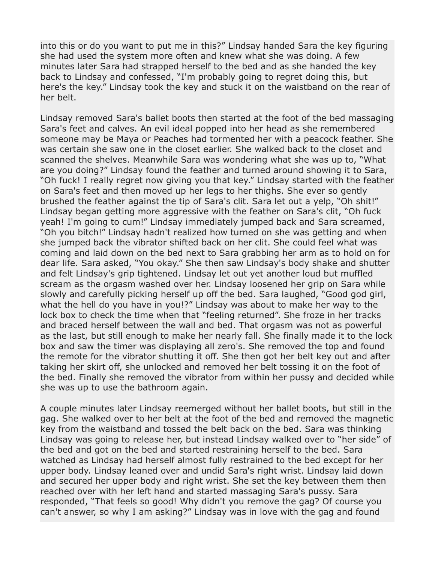into this or do you want to put me in this?" Lindsay handed Sara the key figuring she had used the system more often and knew what she was doing. A few minutes later Sara had strapped herself to the bed and as she handed the key back to Lindsay and confessed, "I'm probably going to regret doing this, but here's the key." Lindsay took the key and stuck it on the waistband on the rear of her belt.

Lindsay removed Sara's ballet boots then started at the foot of the bed massaging Sara's feet and calves. An evil ideal popped into her head as she remembered someone may be Maya or Peaches had tormented her with a peacock feather. She was certain she saw one in the closet earlier. She walked back to the closet and scanned the shelves. Meanwhile Sara was wondering what she was up to, "What are you doing?" Lindsay found the feather and turned around showing it to Sara, "Oh fuck! I really regret now giving you that key." Lindsay started with the feather on Sara's feet and then moved up her legs to her thighs. She ever so gently brushed the feather against the tip of Sara's clit. Sara let out a yelp, "Oh shit!" Lindsay began getting more aggressive with the feather on Sara's clit, "Oh fuck yeah! I'm going to cum!" Lindsay immediately jumped back and Sara screamed, "Oh you bitch!" Lindsay hadn't realized how turned on she was getting and when she jumped back the vibrator shifted back on her clit. She could feel what was coming and laid down on the bed next to Sara grabbing her arm as to hold on for dear life. Sara asked, "You okay." She then saw Lindsay's body shake and shutter and felt Lindsay's grip tightened. Lindsay let out yet another loud but muffled scream as the orgasm washed over her. Lindsay loosened her grip on Sara while slowly and carefully picking herself up off the bed. Sara laughed, "Good god girl, what the hell do you have in you!?" Lindsay was about to make her way to the lock box to check the time when that "feeling returned". She froze in her tracks and braced herself between the wall and bed. That orgasm was not as powerful as the last, but still enough to make her nearly fall. She finally made it to the lock box and saw the timer was displaying all zero's. She removed the top and found the remote for the vibrator shutting it off. She then got her belt key out and after taking her skirt off, she unlocked and removed her belt tossing it on the foot of the bed. Finally she removed the vibrator from within her pussy and decided while she was up to use the bathroom again.

A couple minutes later Lindsay reemerged without her ballet boots, but still in the gag. She walked over to her belt at the foot of the bed and removed the magnetic key from the waistband and tossed the belt back on the bed. Sara was thinking Lindsay was going to release her, but instead Lindsay walked over to "her side" of the bed and got on the bed and started restraining herself to the bed. Sara watched as Lindsay had herself almost fully restrained to the bed except for her upper body. Lindsay leaned over and undid Sara's right wrist. Lindsay laid down and secured her upper body and right wrist. She set the key between them then reached over with her left hand and started massaging Sara's pussy. Sara responded, "That feels so good! Why didn't you remove the gag? Of course you can't answer, so why I am asking?" Lindsay was in love with the gag and found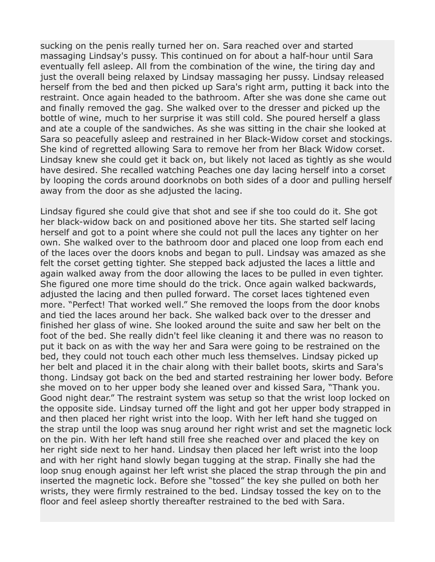sucking on the penis really turned her on. Sara reached over and started massaging Lindsay's pussy. This continued on for about a half-hour until Sara eventually fell asleep. All from the combination of the wine, the tiring day and just the overall being relaxed by Lindsay massaging her pussy. Lindsay released herself from the bed and then picked up Sara's right arm, putting it back into the restraint. Once again headed to the bathroom. After she was done she came out and finally removed the gag. She walked over to the dresser and picked up the bottle of wine, much to her surprise it was still cold. She poured herself a glass and ate a couple of the sandwiches. As she was sitting in the chair she looked at Sara so peacefully asleep and restrained in her Black-Widow corset and stockings. She kind of regretted allowing Sara to remove her from her Black Widow corset. Lindsay knew she could get it back on, but likely not laced as tightly as she would have desired. She recalled watching Peaches one day lacing herself into a corset by looping the cords around doorknobs on both sides of a door and pulling herself away from the door as she adjusted the lacing.

Lindsay figured she could give that shot and see if she too could do it. She got her black-widow back on and positioned above her tits. She started self lacing herself and got to a point where she could not pull the laces any tighter on her own. She walked over to the bathroom door and placed one loop from each end of the laces over the doors knobs and began to pull. Lindsay was amazed as she felt the corset getting tighter. She stepped back adjusted the laces a little and again walked away from the door allowing the laces to be pulled in even tighter. She figured one more time should do the trick. Once again walked backwards, adjusted the lacing and then pulled forward. The corset laces tightened even more. "Perfect! That worked well." She removed the loops from the door knobs and tied the laces around her back. She walked back over to the dresser and finished her glass of wine. She looked around the suite and saw her belt on the foot of the bed. She really didn't feel like cleaning it and there was no reason to put it back on as with the way her and Sara were going to be restrained on the bed, they could not touch each other much less themselves. Lindsay picked up her belt and placed it in the chair along with their ballet boots, skirts and Sara's thong. Lindsay got back on the bed and started restraining her lower body. Before she moved on to her upper body she leaned over and kissed Sara, "Thank you. Good night dear." The restraint system was setup so that the wrist loop locked on the opposite side. Lindsay turned off the light and got her upper body strapped in and then placed her right wrist into the loop. With her left hand she tugged on the strap until the loop was snug around her right wrist and set the magnetic lock on the pin. With her left hand still free she reached over and placed the key on her right side next to her hand. Lindsay then placed her left wrist into the loop and with her right hand slowly began tugging at the strap. Finally she had the loop snug enough against her left wrist she placed the strap through the pin and inserted the magnetic lock. Before she "tossed" the key she pulled on both her wrists, they were firmly restrained to the bed. Lindsay tossed the key on to the floor and feel asleep shortly thereafter restrained to the bed with Sara.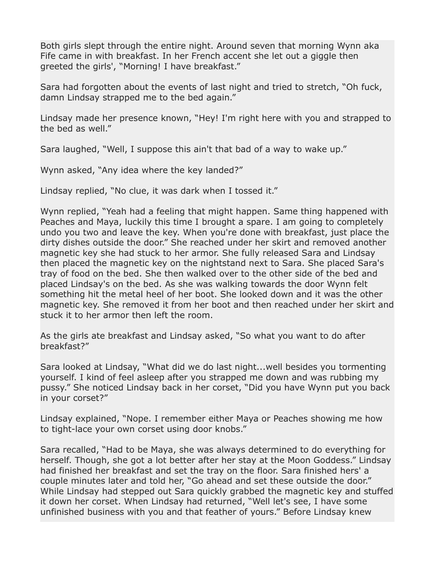Both girls slept through the entire night. Around seven that morning Wynn aka Fife came in with breakfast. In her French accent she let out a giggle then greeted the girls', "Morning! I have breakfast."

Sara had forgotten about the events of last night and tried to stretch, "Oh fuck, damn Lindsay strapped me to the bed again."

Lindsay made her presence known, "Hey! I'm right here with you and strapped to the bed as well."

Sara laughed, "Well, I suppose this ain't that bad of a way to wake up."

Wynn asked, "Any idea where the key landed?"

Lindsay replied, "No clue, it was dark when I tossed it."

Wynn replied, "Yeah had a feeling that might happen. Same thing happened with Peaches and Maya, luckily this time I brought a spare. I am going to completely undo you two and leave the key. When you're done with breakfast, just place the dirty dishes outside the door." She reached under her skirt and removed another magnetic key she had stuck to her armor. She fully released Sara and Lindsay then placed the magnetic key on the nightstand next to Sara. She placed Sara's tray of food on the bed. She then walked over to the other side of the bed and placed Lindsay's on the bed. As she was walking towards the door Wynn felt something hit the metal heel of her boot. She looked down and it was the other magnetic key. She removed it from her boot and then reached under her skirt and stuck it to her armor then left the room.

As the girls ate breakfast and Lindsay asked, "So what you want to do after breakfast?"

Sara looked at Lindsay, "What did we do last night...well besides you tormenting yourself. I kind of feel asleep after you strapped me down and was rubbing my pussy." She noticed Lindsay back in her corset, "Did you have Wynn put you back in your corset?"

Lindsay explained, "Nope. I remember either Maya or Peaches showing me how to tight-lace your own corset using door knobs."

Sara recalled, "Had to be Maya, she was always determined to do everything for herself. Though, she got a lot better after her stay at the Moon Goddess." Lindsay had finished her breakfast and set the tray on the floor. Sara finished hers' a couple minutes later and told her, "Go ahead and set these outside the door." While Lindsay had stepped out Sara quickly grabbed the magnetic key and stuffed it down her corset. When Lindsay had returned, "Well let's see, I have some unfinished business with you and that feather of yours." Before Lindsay knew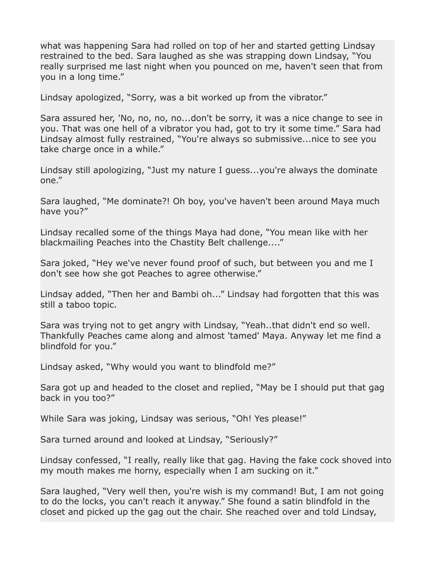what was happening Sara had rolled on top of her and started getting Lindsay restrained to the bed. Sara laughed as she was strapping down Lindsay, "You really surprised me last night when you pounced on me, haven't seen that from you in a long time."

Lindsay apologized, "Sorry, was a bit worked up from the vibrator."

Sara assured her, 'No, no, no, no...don't be sorry, it was a nice change to see in you. That was one hell of a vibrator you had, got to try it some time." Sara had Lindsay almost fully restrained, "You're always so submissive...nice to see you take charge once in a while."

Lindsay still apologizing, "Just my nature I guess...you're always the dominate one."

Sara laughed, "Me dominate?! Oh boy, you've haven't been around Maya much have you?"

Lindsay recalled some of the things Maya had done, "You mean like with her blackmailing Peaches into the Chastity Belt challenge...."

Sara joked, "Hey we've never found proof of such, but between you and me I don't see how she got Peaches to agree otherwise."

Lindsay added, "Then her and Bambi oh..." Lindsay had forgotten that this was still a taboo topic.

Sara was trying not to get angry with Lindsay, "Yeah..that didn't end so well. Thankfully Peaches came along and almost 'tamed' Maya. Anyway let me find a blindfold for you."

Lindsay asked, "Why would you want to blindfold me?"

Sara got up and headed to the closet and replied, "May be I should put that gag back in you too?"

While Sara was joking, Lindsay was serious, "Oh! Yes please!"

Sara turned around and looked at Lindsay, "Seriously?"

Lindsay confessed, "I really, really like that gag. Having the fake cock shoved into my mouth makes me horny, especially when I am sucking on it."

Sara laughed, "Very well then, you're wish is my command! But, I am not going to do the locks, you can't reach it anyway." She found a satin blindfold in the closet and picked up the gag out the chair. She reached over and told Lindsay,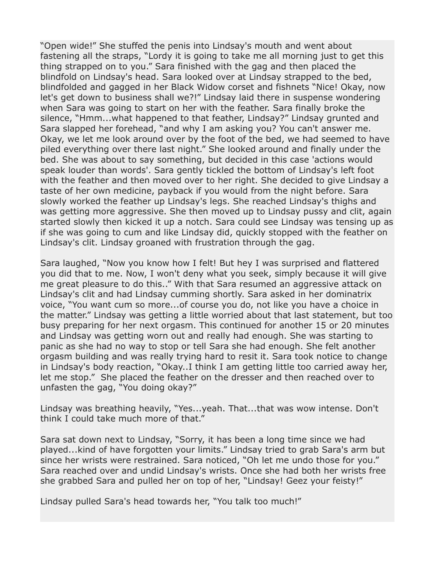"Open wide!" She stuffed the penis into Lindsay's mouth and went about fastening all the straps, "Lordy it is going to take me all morning just to get this thing strapped on to you." Sara finished with the gag and then placed the blindfold on Lindsay's head. Sara looked over at Lindsay strapped to the bed, blindfolded and gagged in her Black Widow corset and fishnets "Nice! Okay, now let's get down to business shall we?!" Lindsay laid there in suspense wondering when Sara was going to start on her with the feather. Sara finally broke the silence, "Hmm...what happened to that feather, Lindsay?" Lindsay grunted and Sara slapped her forehead, "and why I am asking you? You can't answer me. Okay, we let me look around over by the foot of the bed, we had seemed to have piled everything over there last night." She looked around and finally under the bed. She was about to say something, but decided in this case 'actions would speak louder than words'. Sara gently tickled the bottom of Lindsay's left foot with the feather and then moved over to her right. She decided to give Lindsay a taste of her own medicine, payback if you would from the night before. Sara slowly worked the feather up Lindsay's legs. She reached Lindsay's thighs and was getting more aggressive. She then moved up to Lindsay pussy and clit, again started slowly then kicked it up a notch. Sara could see Lindsay was tensing up as if she was going to cum and like Lindsay did, quickly stopped with the feather on Lindsay's clit. Lindsay groaned with frustration through the gag.

Sara laughed, "Now you know how I felt! But hey I was surprised and flattered you did that to me. Now, I won't deny what you seek, simply because it will give me great pleasure to do this.." With that Sara resumed an aggressive attack on Lindsay's clit and had Lindsay cumming shortly. Sara asked in her dominatrix voice, "You want cum so more...of course you do, not like you have a choice in the matter." Lindsay was getting a little worried about that last statement, but too busy preparing for her next orgasm. This continued for another 15 or 20 minutes and Lindsay was getting worn out and really had enough. She was starting to panic as she had no way to stop or tell Sara she had enough. She felt another orgasm building and was really trying hard to resit it. Sara took notice to change in Lindsay's body reaction, "Okay..I think I am getting little too carried away her, let me stop." She placed the feather on the dresser and then reached over to unfasten the gag, "You doing okay?"

Lindsay was breathing heavily, "Yes...yeah. That...that was wow intense. Don't think I could take much more of that."

Sara sat down next to Lindsay, "Sorry, it has been a long time since we had played...kind of have forgotten your limits." Lindsay tried to grab Sara's arm but since her wrists were restrained. Sara noticed, "Oh let me undo those for you." Sara reached over and undid Lindsay's wrists. Once she had both her wrists free she grabbed Sara and pulled her on top of her, "Lindsay! Geez your feisty!"

Lindsay pulled Sara's head towards her, "You talk too much!"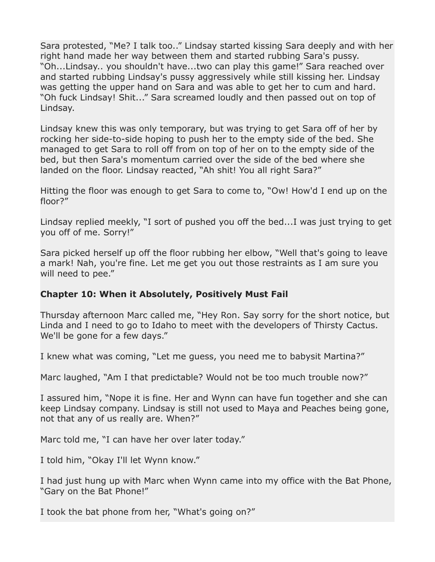Sara protested, "Me? I talk too.." Lindsay started kissing Sara deeply and with her right hand made her way between them and started rubbing Sara's pussy. "Oh...Lindsay.. you shouldn't have...two can play this game!" Sara reached over and started rubbing Lindsay's pussy aggressively while still kissing her. Lindsay was getting the upper hand on Sara and was able to get her to cum and hard. "Oh fuck Lindsay! Shit..." Sara screamed loudly and then passed out on top of Lindsay.

Lindsay knew this was only temporary, but was trying to get Sara off of her by rocking her side-to-side hoping to push her to the empty side of the bed. She managed to get Sara to roll off from on top of her on to the empty side of the bed, but then Sara's momentum carried over the side of the bed where she landed on the floor. Lindsay reacted, "Ah shit! You all right Sara?"

Hitting the floor was enough to get Sara to come to, "Ow! How'd I end up on the floor?"

Lindsay replied meekly, "I sort of pushed you off the bed...I was just trying to get you off of me. Sorry!"

Sara picked herself up off the floor rubbing her elbow, "Well that's going to leave a mark! Nah, you're fine. Let me get you out those restraints as I am sure you will need to pee."

## **Chapter 10: When it Absolutely, Positively Must Fail**

Thursday afternoon Marc called me, "Hey Ron. Say sorry for the short notice, but Linda and I need to go to Idaho to meet with the developers of Thirsty Cactus. We'll be gone for a few days."

I knew what was coming, "Let me guess, you need me to babysit Martina?"

Marc laughed, "Am I that predictable? Would not be too much trouble now?"

I assured him, "Nope it is fine. Her and Wynn can have fun together and she can keep Lindsay company. Lindsay is still not used to Maya and Peaches being gone, not that any of us really are. When?"

Marc told me, "I can have her over later today."

I told him, "Okay I'll let Wynn know."

I had just hung up with Marc when Wynn came into my office with the Bat Phone, "Gary on the Bat Phone!"

I took the bat phone from her, "What's going on?"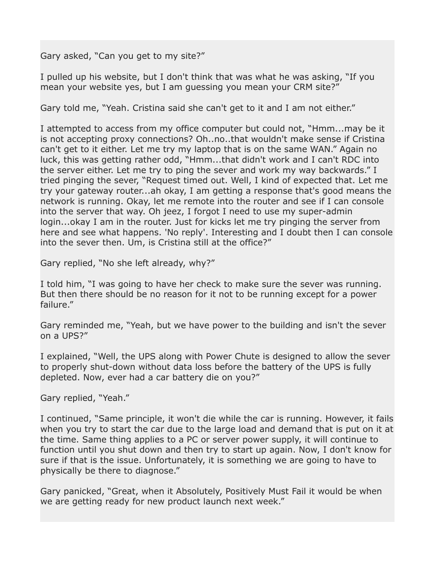Gary asked, "Can you get to my site?"

I pulled up his website, but I don't think that was what he was asking, "If you mean your website yes, but I am guessing you mean your CRM site?"

Gary told me, "Yeah. Cristina said she can't get to it and I am not either."

I attempted to access from my office computer but could not, "Hmm...may be it is not accepting proxy connections? Oh..no..that wouldn't make sense if Cristina can't get to it either. Let me try my laptop that is on the same WAN." Again no luck, this was getting rather odd, "Hmm...that didn't work and I can't RDC into the server either. Let me try to ping the sever and work my way backwards." I tried pinging the sever, "Request timed out. Well, I kind of expected that. Let me try your gateway router...ah okay, I am getting a response that's good means the network is running. Okay, let me remote into the router and see if I can console into the server that way. Oh jeez, I forgot I need to use my super-admin login...okay I am in the router. Just for kicks let me try pinging the server from here and see what happens. 'No reply'. Interesting and I doubt then I can console into the sever then. Um, is Cristina still at the office?"

Gary replied, "No she left already, why?"

I told him, "I was going to have her check to make sure the sever was running. But then there should be no reason for it not to be running except for a power failure."

Gary reminded me, "Yeah, but we have power to the building and isn't the sever on a UPS?"

I explained, "Well, the UPS along with Power Chute is designed to allow the sever to properly shut-down without data loss before the battery of the UPS is fully depleted. Now, ever had a car battery die on you?"

Gary replied, "Yeah."

I continued, "Same principle, it won't die while the car is running. However, it fails when you try to start the car due to the large load and demand that is put on it at the time. Same thing applies to a PC or server power supply, it will continue to function until you shut down and then try to start up again. Now, I don't know for sure if that is the issue. Unfortunately, it is something we are going to have to physically be there to diagnose."

Gary panicked, "Great, when it Absolutely, Positively Must Fail it would be when we are getting ready for new product launch next week."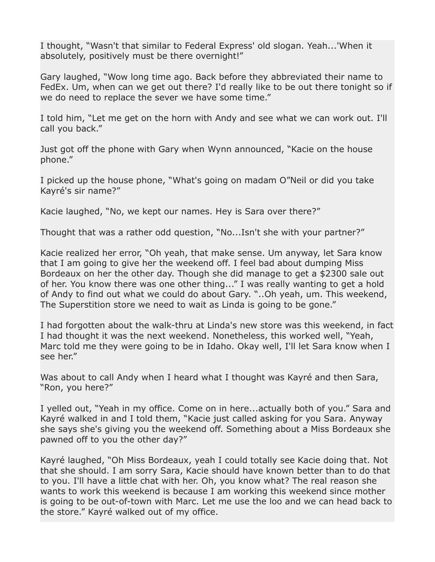I thought, "Wasn't that similar to Federal Express' old slogan. Yeah...'When it absolutely, positively must be there overnight!"

Gary laughed, "Wow long time ago. Back before they abbreviated their name to FedEx. Um, when can we get out there? I'd really like to be out there tonight so if we do need to replace the sever we have some time."

I told him, "Let me get on the horn with Andy and see what we can work out. I'll call you back."

Just got off the phone with Gary when Wynn announced, "Kacie on the house phone."

I picked up the house phone, "What's going on madam O"Neil or did you take Kayré's sir name?"

Kacie laughed, "No, we kept our names. Hey is Sara over there?"

Thought that was a rather odd question, "No...Isn't she with your partner?"

Kacie realized her error, "Oh yeah, that make sense. Um anyway, let Sara know that I am going to give her the weekend off. I feel bad about dumping Miss Bordeaux on her the other day. Though she did manage to get a \$2300 sale out of her. You know there was one other thing..." I was really wanting to get a hold of Andy to find out what we could do about Gary. "..Oh yeah, um. This weekend, The Superstition store we need to wait as Linda is going to be gone."

I had forgotten about the walk-thru at Linda's new store was this weekend, in fact I had thought it was the next weekend. Nonetheless, this worked well, "Yeah, Marc told me they were going to be in Idaho. Okay well, I'll let Sara know when I see her."

Was about to call Andy when I heard what I thought was Kayré and then Sara, "Ron, you here?"

I yelled out, "Yeah in my office. Come on in here...actually both of you." Sara and Kayré walked in and I told them, "Kacie just called asking for you Sara. Anyway she says she's giving you the weekend off. Something about a Miss Bordeaux she pawned off to you the other day?"

Kayré laughed, "Oh Miss Bordeaux, yeah I could totally see Kacie doing that. Not that she should. I am sorry Sara, Kacie should have known better than to do that to you. I'll have a little chat with her. Oh, you know what? The real reason she wants to work this weekend is because I am working this weekend since mother is going to be out-of-town with Marc. Let me use the loo and we can head back to the store." Kayré walked out of my office.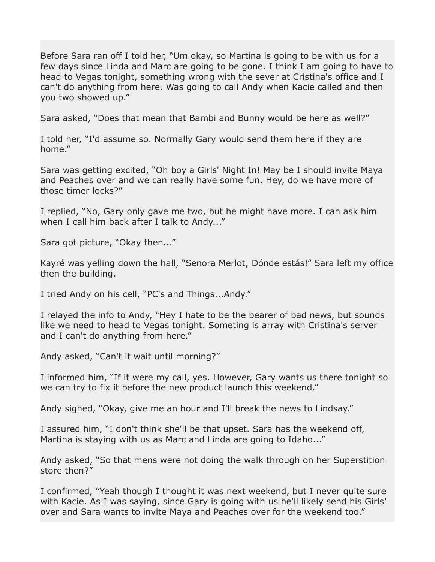Before Sara ran off I told her, "Um okay, so Martina is going to be with us for a few days since Linda and Marc are going to be gone. I think I am going to have to head to Vegas tonight, something wrong with the sever at Cristina's office and I can't do anything from here. Was going to call Andy when Kacie called and then you two showed up."

Sara asked, "Does that mean that Bambi and Bunny would be here as well?"

I told her, "I'd assume so. Normally Gary would send them here if they are home."

Sara was getting excited, "Oh boy a Girls' Night In! May be I should invite Maya and Peaches over and we can really have some fun. Hey, do we have more of those timer locks?"

I replied, "No, Gary only gave me two, but he might have more. I can ask him when I call him back after I talk to Andy..."

Sara got picture, "Okay then..."

Kayré was yelling down the hall, "Senora Merlot, Dónde estás!" Sara left my office then the building.

I tried Andy on his cell, "PC's and Things...Andy."

I relayed the info to Andy, "Hey I hate to be the bearer of bad news, but sounds like we need to head to Vegas tonight. Someting is array with Cristina's server and I can't do anything from here."

Andy asked, "Can't it wait until morning?"

I informed him, "If it were my call, yes. However, Gary wants us there tonight so we can try to fix it before the new product launch this weekend."

Andy sighed, "Okay, give me an hour and I'll break the news to Lindsay."

I assured him, "I don't think she'll be that upset. Sara has the weekend off, Martina is staying with us as Marc and Linda are going to Idaho..."

Andy asked, "So that mens were not doing the walk through on her Superstition store then?"

I confirmed, "Yeah though I thought it was next weekend, but I never quite sure with Kacie. As I was saying, since Gary is going with us he'll likely send his Girls' over and Sara wants to invite Maya and Peaches over for the weekend too."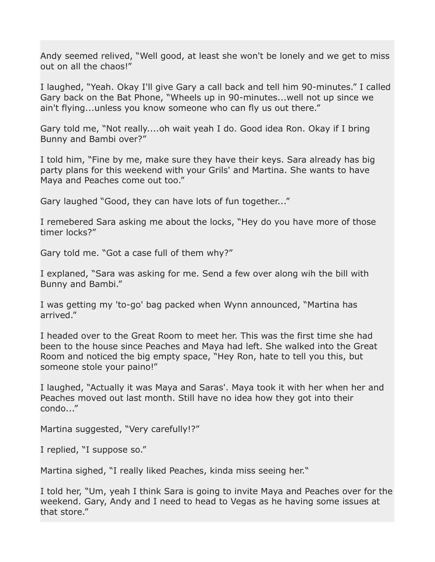Andy seemed relived, "Well good, at least she won't be lonely and we get to miss out on all the chaos!"

I laughed, "Yeah. Okay I'll give Gary a call back and tell him 90-minutes." I called Gary back on the Bat Phone, "Wheels up in 90-minutes...well not up since we ain't flying...unless you know someone who can fly us out there."

Gary told me, "Not really....oh wait yeah I do. Good idea Ron. Okay if I bring Bunny and Bambi over?"

I told him, "Fine by me, make sure they have their keys. Sara already has big party plans for this weekend with your Grils' and Martina. She wants to have Maya and Peaches come out too."

Gary laughed "Good, they can have lots of fun together..."

I remebered Sara asking me about the locks, "Hey do you have more of those timer locks?"

Gary told me. "Got a case full of them why?"

I explaned, "Sara was asking for me. Send a few over along wih the bill with Bunny and Bambi."

I was getting my 'to-go' bag packed when Wynn announced, "Martina has arrived."

I headed over to the Great Room to meet her. This was the first time she had been to the house since Peaches and Maya had left. She walked into the Great Room and noticed the big empty space, "Hey Ron, hate to tell you this, but someone stole your paino!"

I laughed, "Actually it was Maya and Saras'. Maya took it with her when her and Peaches moved out last month. Still have no idea how they got into their condo..."

Martina suggested, "Very carefully!?"

I replied, "I suppose so."

Martina sighed, "I really liked Peaches, kinda miss seeing her."

I told her, "Um, yeah I think Sara is going to invite Maya and Peaches over for the weekend. Gary, Andy and I need to head to Vegas as he having some issues at that store."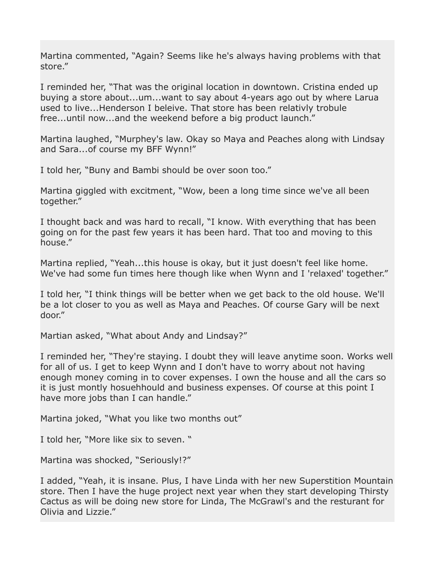Martina commented, "Again? Seems like he's always having problems with that store."

I reminded her, "That was the original location in downtown. Cristina ended up buying a store about...um...want to say about 4-years ago out by where Larua used to live...Henderson I beleive. That store has been relativly trobule free...until now...and the weekend before a big product launch."

Martina laughed, "Murphey's law. Okay so Maya and Peaches along with Lindsay and Sara...of course my BFF Wynn!"

I told her, "Buny and Bambi should be over soon too."

Martina giggled with excitment, "Wow, been a long time since we've all been together."

I thought back and was hard to recall, "I know. With everything that has been going on for the past few years it has been hard. That too and moving to this house."

Martina replied, "Yeah...this house is okay, but it just doesn't feel like home. We've had some fun times here though like when Wynn and I 'relaxed' together."

I told her, "I think things will be better when we get back to the old house. We'll be a lot closer to you as well as Maya and Peaches. Of course Gary will be next door."

Martian asked, "What about Andy and Lindsay?"

I reminded her, "They're staying. I doubt they will leave anytime soon. Works well for all of us. I get to keep Wynn and I don't have to worry about not having enough money coming in to cover expenses. I own the house and all the cars so it is just montly hosuehhould and business expenses. Of course at this point I have more jobs than I can handle."

Martina joked, "What you like two months out"

I told her, "More like six to seven. "

Martina was shocked, "Seriously!?"

I added, "Yeah, it is insane. Plus, I have Linda with her new Superstition Mountain store. Then I have the huge project next year when they start developing Thirsty Cactus as will be doing new store for Linda, The McGrawl's and the resturant for Olivia and Lizzie."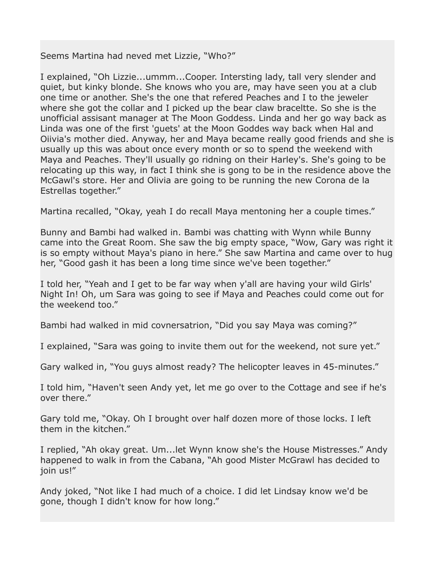Seems Martina had neved met Lizzie, "Who?"

I explained, "Oh Lizzie...ummm...Cooper. Intersting lady, tall very slender and quiet, but kinky blonde. She knows who you are, may have seen you at a club one time or another. She's the one that refered Peaches and I to the jeweler where she got the collar and I picked up the bear claw braceltte. So she is the unofficial assisant manager at The Moon Goddess. Linda and her go way back as Linda was one of the first 'guets' at the Moon Goddes way back when Hal and Oiivia's mother died. Anyway, her and Maya became really good friends and she is usually up this was about once every month or so to spend the weekend with Maya and Peaches. They'll usually go ridning on their Harley's. She's going to be relocating up this way, in fact I think she is gong to be in the residence above the McGawl's store. Her and Olivia are going to be running the new Corona de la Estrellas together."

Martina recalled, "Okay, yeah I do recall Maya mentoning her a couple times."

Bunny and Bambi had walked in. Bambi was chatting with Wynn while Bunny came into the Great Room. She saw the big empty space, "Wow, Gary was right it is so empty without Maya's piano in here." She saw Martina and came over to hug her, "Good gash it has been a long time since we've been together."

I told her, "Yeah and I get to be far way when y'all are having your wild Girls' Night In! Oh, um Sara was going to see if Maya and Peaches could come out for the weekend too."

Bambi had walked in mid covnersatrion, "Did you say Maya was coming?"

I explained, "Sara was going to invite them out for the weekend, not sure yet."

Gary walked in, "You guys almost ready? The helicopter leaves in 45-minutes."

I told him, "Haven't seen Andy yet, let me go over to the Cottage and see if he's over there."

Gary told me, "Okay. Oh I brought over half dozen more of those locks. I left them in the kitchen."

I replied, "Ah okay great. Um...let Wynn know she's the House Mistresses." Andy happened to walk in from the Cabana, "Ah good Mister McGrawl has decided to join us!"

Andy joked, "Not like I had much of a choice. I did let Lindsay know we'd be gone, though I didn't know for how long."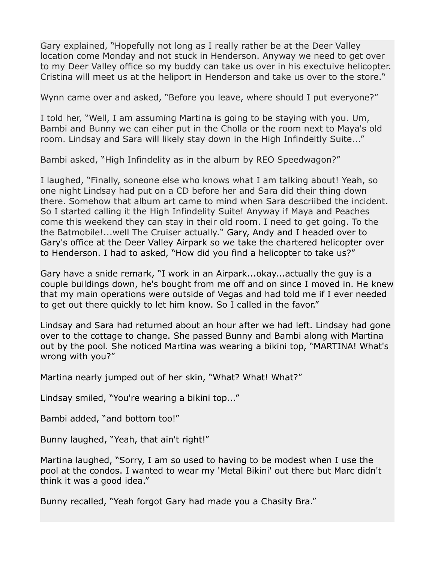Gary explained, "Hopefully not long as I really rather be at the Deer Valley location come Monday and not stuck in Henderson. Anyway we need to get over to my Deer Valley office so my buddy can take us over in his exectuive helicopter. Cristina will meet us at the heliport in Henderson and take us over to the store."

Wynn came over and asked, "Before you leave, where should I put everyone?"

I told her, "Well, I am assuming Martina is going to be staying with you. Um, Bambi and Bunny we can eiher put in the Cholla or the room next to Maya's old room. Lindsay and Sara will likely stay down in the High Infindeitly Suite..."

Bambi asked, "High Infindelity as in the album by REO Speedwagon?"

I laughed, "Finally, soneone else who knows what I am talking about! Yeah, so one night Lindsay had put on a CD before her and Sara did their thing down there. Somehow that album art came to mind when Sara descriibed the incident. So I started calling it the High Infindelity Suite! Anyway if Maya and Peaches come this weekend they can stay in their old room. I need to get going. To the the Batmobile!...well The Cruiser actually." Gary, Andy and I headed over to Gary's office at the Deer Valley Airpark so we take the chartered helicopter over to Henderson. I had to asked, "How did you find a helicopter to take us?"

Gary have a snide remark, "I work in an Airpark...okay...actually the guy is a couple buildings down, he's bought from me off and on since I moved in. He knew that my main operations were outside of Vegas and had told me if I ever needed to get out there quickly to let him know. So I called in the favor."

Lindsay and Sara had returned about an hour after we had left. Lindsay had gone over to the cottage to change. She passed Bunny and Bambi along with Martina out by the pool. She noticed Martina was wearing a bikini top, "MARTINA! What's wrong with you?"

Martina nearly jumped out of her skin, "What? What! What?"

Lindsay smiled, "You're wearing a bikini top..."

Bambi added, "and bottom too!"

Bunny laughed, "Yeah, that ain't right!"

Martina laughed, "Sorry, I am so used to having to be modest when I use the pool at the condos. I wanted to wear my 'Metal Bikini' out there but Marc didn't think it was a good idea."

Bunny recalled, "Yeah forgot Gary had made you a Chasity Bra."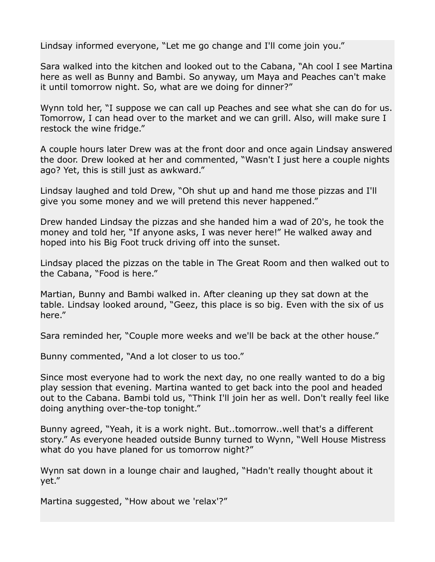Lindsay informed everyone, "Let me go change and I'll come join you."

Sara walked into the kitchen and looked out to the Cabana, "Ah cool I see Martina here as well as Bunny and Bambi. So anyway, um Maya and Peaches can't make it until tomorrow night. So, what are we doing for dinner?"

Wynn told her, "I suppose we can call up Peaches and see what she can do for us. Tomorrow, I can head over to the market and we can grill. Also, will make sure I restock the wine fridge."

A couple hours later Drew was at the front door and once again Lindsay answered the door. Drew looked at her and commented, "Wasn't I just here a couple nights ago? Yet, this is still just as awkward."

Lindsay laughed and told Drew, "Oh shut up and hand me those pizzas and I'll give you some money and we will pretend this never happened."

Drew handed Lindsay the pizzas and she handed him a wad of 20's, he took the money and told her, "If anyone asks, I was never here!" He walked away and hoped into his Big Foot truck driving off into the sunset.

Lindsay placed the pizzas on the table in The Great Room and then walked out to the Cabana, "Food is here."

Martian, Bunny and Bambi walked in. After cleaning up they sat down at the table. Lindsay looked around, "Geez, this place is so big. Even with the six of us here."

Sara reminded her, "Couple more weeks and we'll be back at the other house."

Bunny commented, "And a lot closer to us too."

Since most everyone had to work the next day, no one really wanted to do a big play session that evening. Martina wanted to get back into the pool and headed out to the Cabana. Bambi told us, "Think I'll join her as well. Don't really feel like doing anything over-the-top tonight."

Bunny agreed, "Yeah, it is a work night. But..tomorrow..well that's a different story." As everyone headed outside Bunny turned to Wynn, "Well House Mistress what do you have planed for us tomorrow night?"

Wynn sat down in a lounge chair and laughed, "Hadn't really thought about it yet."

Martina suggested, "How about we 'relax'?"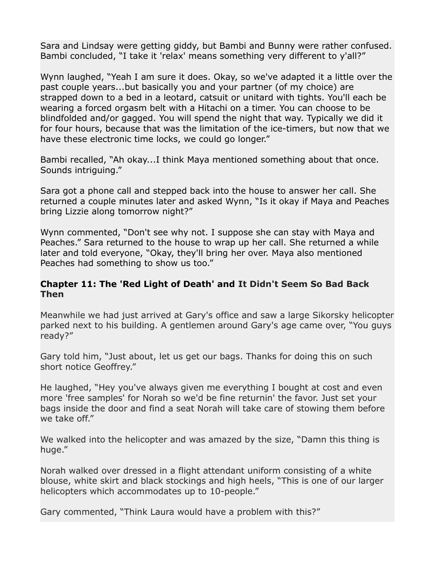Sara and Lindsay were getting giddy, but Bambi and Bunny were rather confused. Bambi concluded, "I take it 'relax' means something very different to y'all?"

Wynn laughed, "Yeah I am sure it does. Okay, so we've adapted it a little over the past couple years...but basically you and your partner (of my choice) are strapped down to a bed in a leotard, catsuit or unitard with tights. You'll each be wearing a forced orgasm belt with a Hitachi on a timer. You can choose to be blindfolded and/or gagged. You will spend the night that way. Typically we did it for four hours, because that was the limitation of the ice-timers, but now that we have these electronic time locks, we could go longer."

Bambi recalled, "Ah okay...I think Maya mentioned something about that once. Sounds intriguing."

Sara got a phone call and stepped back into the house to answer her call. She returned a couple minutes later and asked Wynn, "Is it okay if Maya and Peaches bring Lizzie along tomorrow night?"

Wynn commented, "Don't see why not. I suppose she can stay with Maya and Peaches." Sara returned to the house to wrap up her call. She returned a while later and told everyone, "Okay, they'll bring her over. Maya also mentioned Peaches had something to show us too."

## **Chapter 11: The 'Red Light of Death' and It Didn't Seem So Bad Back Then**

Meanwhile we had just arrived at Gary's office and saw a large Sikorsky helicopter parked next to his building. A gentlemen around Gary's age came over, "You guys ready?"

Gary told him, "Just about, let us get our bags. Thanks for doing this on such short notice Geoffrey."

He laughed, "Hey you've always given me everything I bought at cost and even more 'free samples' for Norah so we'd be fine returnin' the favor. Just set your bags inside the door and find a seat Norah will take care of stowing them before we take off."

We walked into the helicopter and was amazed by the size, "Damn this thing is huge."

Norah walked over dressed in a flight attendant uniform consisting of a white blouse, white skirt and black stockings and high heels, "This is one of our larger helicopters which accommodates up to 10-people."

Gary commented, "Think Laura would have a problem with this?"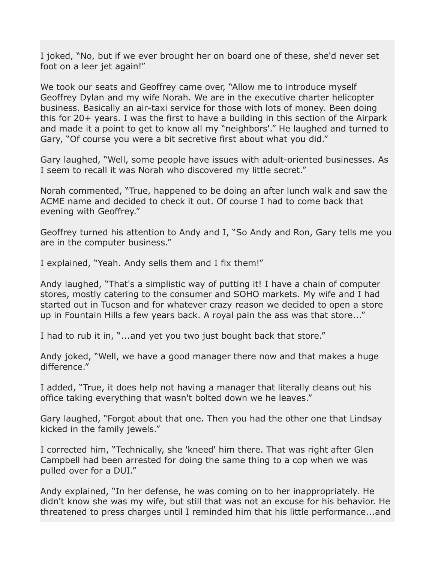I joked, "No, but if we ever brought her on board one of these, she'd never set foot on a leer jet again!"

We took our seats and Geoffrey came over, "Allow me to introduce myself Geoffrey Dylan and my wife Norah. We are in the executive charter helicopter business. Basically an air-taxi service for those with lots of money. Been doing this for 20+ years. I was the first to have a building in this section of the Airpark and made it a point to get to know all my "neighbors'." He laughed and turned to Gary, "Of course you were a bit secretive first about what you did."

Gary laughed, "Well, some people have issues with adult-oriented businesses. As I seem to recall it was Norah who discovered my little secret."

Norah commented, "True, happened to be doing an after lunch walk and saw the ACME name and decided to check it out. Of course I had to come back that evening with Geoffrey."

Geoffrey turned his attention to Andy and I, "So Andy and Ron, Gary tells me you are in the computer business."

I explained, "Yeah. Andy sells them and I fix them!"

Andy laughed, "That's a simplistic way of putting it! I have a chain of computer stores, mostly catering to the consumer and SOHO markets. My wife and I had started out in Tucson and for whatever crazy reason we decided to open a store up in Fountain Hills a few years back. A royal pain the ass was that store..."

I had to rub it in, "...and yet you two just bought back that store."

Andy joked, "Well, we have a good manager there now and that makes a huge difference."

I added, "True, it does help not having a manager that literally cleans out his office taking everything that wasn't bolted down we he leaves."

Gary laughed, "Forgot about that one. Then you had the other one that Lindsay kicked in the family jewels."

I corrected him, "Technically, she 'kneed' him there. That was right after Glen Campbell had been arrested for doing the same thing to a cop when we was pulled over for a DUI."

Andy explained, "In her defense, he was coming on to her inappropriately. He didn't know she was my wife, but still that was not an excuse for his behavior. He threatened to press charges until I reminded him that his little performance...and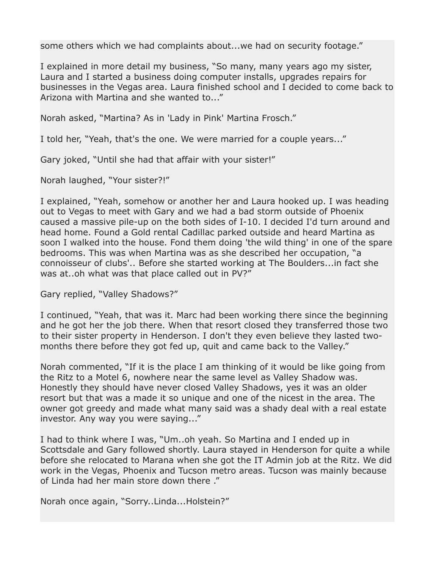some others which we had complaints about...we had on security footage."

I explained in more detail my business, "So many, many years ago my sister, Laura and I started a business doing computer installs, upgrades repairs for businesses in the Vegas area. Laura finished school and I decided to come back to Arizona with Martina and she wanted to..."

Norah asked, "Martina? As in 'Lady in Pink' Martina Frosch."

I told her, "Yeah, that's the one. We were married for a couple years..."

Gary joked, "Until she had that affair with your sister!"

Norah laughed, "Your sister?!"

I explained, "Yeah, somehow or another her and Laura hooked up. I was heading out to Vegas to meet with Gary and we had a bad storm outside of Phoenix caused a massive pile-up on the both sides of I-10. I decided I'd turn around and head home. Found a Gold rental Cadillac parked outside and heard Martina as soon I walked into the house. Fond them doing 'the wild thing' in one of the spare bedrooms. This was when Martina was as she described her occupation, "a connoisseur of clubs'.. Before she started working at The Boulders...in fact she was at..oh what was that place called out in PV?"

Gary replied, "Valley Shadows?"

I continued, "Yeah, that was it. Marc had been working there since the beginning and he got her the job there. When that resort closed they transferred those two to their sister property in Henderson. I don't they even believe they lasted twomonths there before they got fed up, quit and came back to the Valley."

Norah commented, "If it is the place I am thinking of it would be like going from the Ritz to a Motel 6, nowhere near the same level as Valley Shadow was. Honestly they should have never closed Valley Shadows, yes it was an older resort but that was a made it so unique and one of the nicest in the area. The owner got greedy and made what many said was a shady deal with a real estate investor. Any way you were saying..."

I had to think where I was, "Um..oh yeah. So Martina and I ended up in Scottsdale and Gary followed shortly. Laura stayed in Henderson for quite a while before she relocated to Marana when she got the IT Admin job at the Ritz. We did work in the Vegas, Phoenix and Tucson metro areas. Tucson was mainly because of Linda had her main store down there ."

Norah once again, "Sorry..Linda...Holstein?"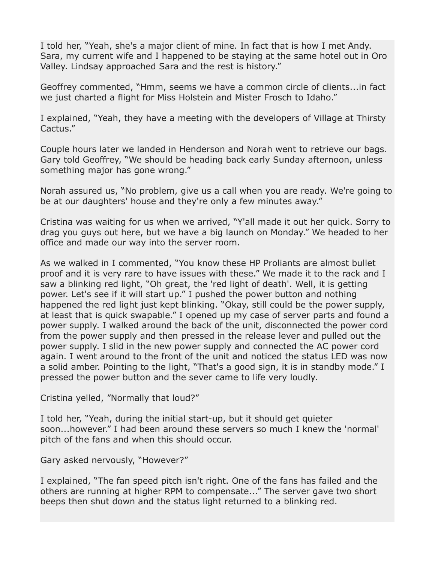I told her, "Yeah, she's a major client of mine. In fact that is how I met Andy. Sara, my current wife and I happened to be staying at the same hotel out in Oro Valley. Lindsay approached Sara and the rest is history."

Geoffrey commented, "Hmm, seems we have a common circle of clients...in fact we just charted a flight for Miss Holstein and Mister Frosch to Idaho."

I explained, "Yeah, they have a meeting with the developers of Village at Thirsty Cactus."

Couple hours later we landed in Henderson and Norah went to retrieve our bags. Gary told Geoffrey, "We should be heading back early Sunday afternoon, unless something major has gone wrong."

Norah assured us, "No problem, give us a call when you are ready. We're going to be at our daughters' house and they're only a few minutes away."

Cristina was waiting for us when we arrived, "Y'all made it out her quick. Sorry to drag you guys out here, but we have a big launch on Monday." We headed to her office and made our way into the server room.

As we walked in I commented, "You know these HP Proliants are almost bullet proof and it is very rare to have issues with these." We made it to the rack and I saw a blinking red light, "Oh great, the 'red light of death'. Well, it is getting power. Let's see if it will start up." I pushed the power button and nothing happened the red light just kept blinking. "Okay, still could be the power supply, at least that is quick swapable." I opened up my case of server parts and found a power supply. I walked around the back of the unit, disconnected the power cord from the power supply and then pressed in the release lever and pulled out the power supply. I slid in the new power supply and connected the AC power cord again. I went around to the front of the unit and noticed the status LED was now a solid amber. Pointing to the light, "That's a good sign, it is in standby mode." I pressed the power button and the sever came to life very loudly.

Cristina yelled, "Normally that loud?"

I told her, "Yeah, during the initial start-up, but it should get quieter soon...however." I had been around these servers so much I knew the 'normal' pitch of the fans and when this should occur.

Gary asked nervously, "However?"

I explained, "The fan speed pitch isn't right. One of the fans has failed and the others are running at higher RPM to compensate..." The server gave two short beeps then shut down and the status light returned to a blinking red.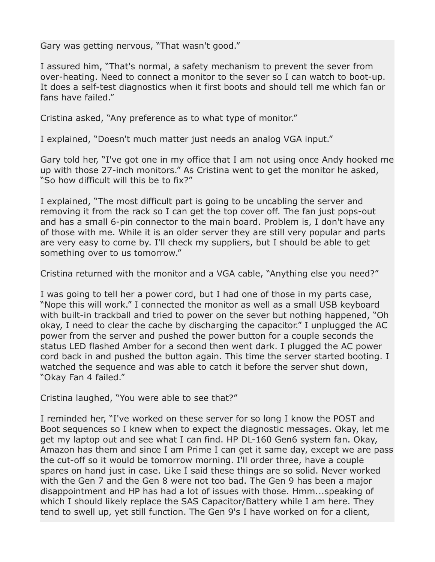Gary was getting nervous, "That wasn't good."

I assured him, "That's normal, a safety mechanism to prevent the sever from over-heating. Need to connect a monitor to the sever so I can watch to boot-up. It does a self-test diagnostics when it first boots and should tell me which fan or fans have failed."

Cristina asked, "Any preference as to what type of monitor."

I explained, "Doesn't much matter just needs an analog VGA input."

Gary told her, "I've got one in my office that I am not using once Andy hooked me up with those 27-inch monitors." As Cristina went to get the monitor he asked, "So how difficult will this be to fix?"

I explained, "The most difficult part is going to be uncabling the server and removing it from the rack so I can get the top cover off. The fan just pops-out and has a small 6-pin connector to the main board. Problem is, I don't have any of those with me. While it is an older server they are still very popular and parts are very easy to come by. I'll check my suppliers, but I should be able to get something over to us tomorrow."

Cristina returned with the monitor and a VGA cable, "Anything else you need?"

I was going to tell her a power cord, but I had one of those in my parts case, "Nope this will work." I connected the monitor as well as a small USB keyboard with built-in trackball and tried to power on the sever but nothing happened, "Oh okay, I need to clear the cache by discharging the capacitor." I unplugged the AC power from the server and pushed the power button for a couple seconds the status LED flashed Amber for a second then went dark. I plugged the AC power cord back in and pushed the button again. This time the server started booting. I watched the sequence and was able to catch it before the server shut down, "Okay Fan 4 failed."

Cristina laughed, "You were able to see that?"

I reminded her, "I've worked on these server for so long I know the POST and Boot sequences so I knew when to expect the diagnostic messages. Okay, let me get my laptop out and see what I can find. HP DL-160 Gen6 system fan. Okay, Amazon has them and since I am Prime I can get it same day, except we are pass the cut-off so it would be tomorrow morning. I'll order three, have a couple spares on hand just in case. Like I said these things are so solid. Never worked with the Gen 7 and the Gen 8 were not too bad. The Gen 9 has been a major disappointment and HP has had a lot of issues with those. Hmm...speaking of which I should likely replace the SAS Capacitor/Battery while I am here. They tend to swell up, yet still function. The Gen 9's I have worked on for a client,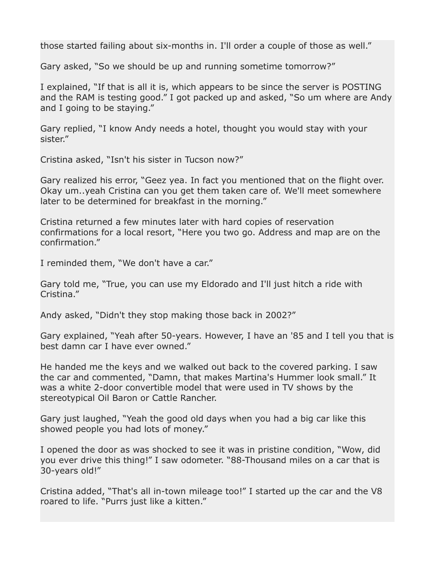those started failing about six-months in. I'll order a couple of those as well."

Gary asked, "So we should be up and running sometime tomorrow?"

I explained, "If that is all it is, which appears to be since the server is POSTING and the RAM is testing good." I got packed up and asked, "So um where are Andy and I going to be staying."

Gary replied, "I know Andy needs a hotel, thought you would stay with your sister."

Cristina asked, "Isn't his sister in Tucson now?"

Gary realized his error, "Geez yea. In fact you mentioned that on the flight over. Okay um..yeah Cristina can you get them taken care of. We'll meet somewhere later to be determined for breakfast in the morning."

Cristina returned a few minutes later with hard copies of reservation confirmations for a local resort, "Here you two go. Address and map are on the confirmation."

I reminded them, "We don't have a car."

Gary told me, "True, you can use my Eldorado and I'll just hitch a ride with Cristina."

Andy asked, "Didn't they stop making those back in 2002?"

Gary explained, "Yeah after 50-years. However, I have an '85 and I tell you that is best damn car I have ever owned."

He handed me the keys and we walked out back to the covered parking. I saw the car and commented, "Damn, that makes Martina's Hummer look small." It was a white 2-door convertible model that were used in TV shows by the stereotypical Oil Baron or Cattle Rancher.

Gary just laughed, "Yeah the good old days when you had a big car like this showed people you had lots of money."

I opened the door as was shocked to see it was in pristine condition, "Wow, did you ever drive this thing!" I saw odometer. "88-Thousand miles on a car that is 30-years old!"

Cristina added, "That's all in-town mileage too!" I started up the car and the V8 roared to life. "Purrs just like a kitten."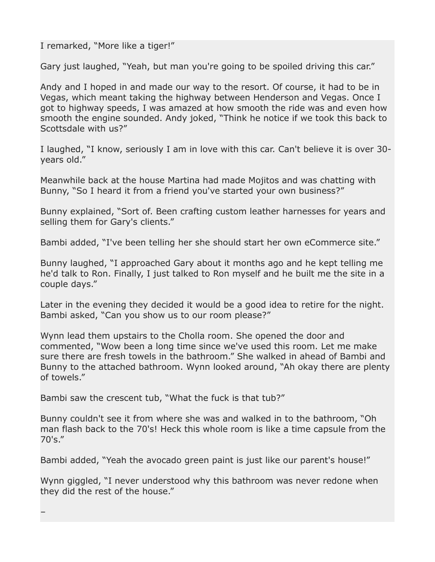I remarked, "More like a tiger!"

Gary just laughed, "Yeah, but man you're going to be spoiled driving this car."

Andy and I hoped in and made our way to the resort. Of course, it had to be in Vegas, which meant taking the highway between Henderson and Vegas. Once I got to highway speeds, I was amazed at how smooth the ride was and even how smooth the engine sounded. Andy joked, "Think he notice if we took this back to Scottsdale with us?"

I laughed, "I know, seriously I am in love with this car. Can't believe it is over 30 years old."

Meanwhile back at the house Martina had made Mojitos and was chatting with Bunny, "So I heard it from a friend you've started your own business?"

Bunny explained, "Sort of. Been crafting custom leather harnesses for years and selling them for Gary's clients."

Bambi added, "I've been telling her she should start her own eCommerce site."

Bunny laughed, "I approached Gary about it months ago and he kept telling me he'd talk to Ron. Finally, I just talked to Ron myself and he built me the site in a couple days."

Later in the evening they decided it would be a good idea to retire for the night. Bambi asked, "Can you show us to our room please?"

Wynn lead them upstairs to the Cholla room. She opened the door and commented, "Wow been a long time since we've used this room. Let me make sure there are fresh towels in the bathroom." She walked in ahead of Bambi and Bunny to the attached bathroom. Wynn looked around, "Ah okay there are plenty of towels."

Bambi saw the crescent tub, "What the fuck is that tub?"

–

Bunny couldn't see it from where she was and walked in to the bathroom, "Oh man flash back to the 70's! Heck this whole room is like a time capsule from the  $70's."$ 

Bambi added, "Yeah the avocado green paint is just like our parent's house!"

Wynn giggled, "I never understood why this bathroom was never redone when they did the rest of the house."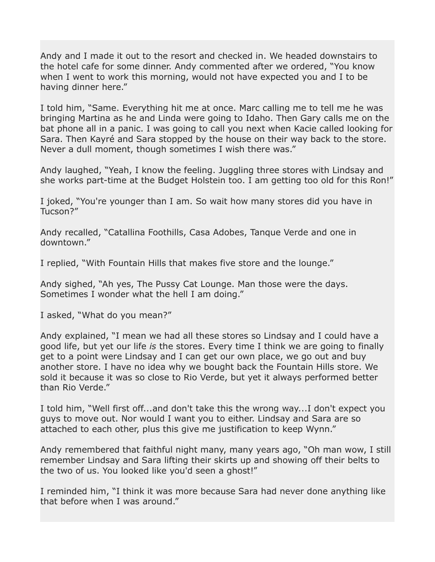Andy and I made it out to the resort and checked in. We headed downstairs to the hotel cafe for some dinner. Andy commented after we ordered, "You know when I went to work this morning, would not have expected you and I to be having dinner here."

I told him, "Same. Everything hit me at once. Marc calling me to tell me he was bringing Martina as he and Linda were going to Idaho. Then Gary calls me on the bat phone all in a panic. I was going to call you next when Kacie called looking for Sara. Then Kayré and Sara stopped by the house on their way back to the store. Never a dull moment, though sometimes I wish there was."

Andy laughed, "Yeah, I know the feeling. Juggling three stores with Lindsay and she works part-time at the Budget Holstein too. I am getting too old for this Ron!"

I joked, "You're younger than I am. So wait how many stores did you have in Tucson?"

Andy recalled, "Catallina Foothills, Casa Adobes, Tanque Verde and one in downtown."

I replied, "With Fountain Hills that makes five store and the lounge."

Andy sighed, "Ah yes, The Pussy Cat Lounge. Man those were the days. Sometimes I wonder what the hell I am doing."

I asked, "What do you mean?"

Andy explained, "I mean we had all these stores so Lindsay and I could have a good life, but yet our life *is* the stores. Every time I think we are going to finally get to a point were Lindsay and I can get our own place, we go out and buy another store. I have no idea why we bought back the Fountain Hills store. We sold it because it was so close to Rio Verde, but yet it always performed better than Rio Verde."

I told him, "Well first off...and don't take this the wrong way...I don't expect you guys to move out. Nor would I want you to either. Lindsay and Sara are so attached to each other, plus this give me justification to keep Wynn."

Andy remembered that faithful night many, many years ago, "Oh man wow, I still remember Lindsay and Sara lifting their skirts up and showing off their belts to the two of us. You looked like you'd seen a ghost!"

I reminded him, "I think it was more because Sara had never done anything like that before when I was around."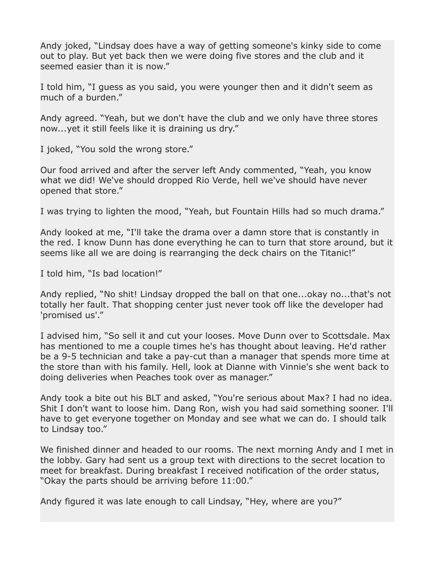Andy joked, "Lindsay does have a way of getting someone's kinky side to come out to play. But yet back then we were doing five stores and the club and it seemed easier than it is now."

I told him, "I guess as you said, you were younger then and it didn't seem as much of a burden."

Andy agreed. "Yeah, but we don't have the club and we only have three stores now...yet it still feels like it is draining us dry."

I joked, "You sold the wrong store."

Our food arrived and after the server left Andy commented, "Yeah, you know what we did! We've should dropped Rio Verde, hell we've should have never opened that store."

I was trying to lighten the mood, "Yeah, but Fountain Hills had so much drama."

Andy looked at me, "I'll take the drama over a damn store that is constantly in the red. I know Dunn has done everything he can to turn that store around, but it seems like all we are doing is rearranging the deck chairs on the Titanic!"

I told him, "Is bad location!"

Andy replied, "No shit! Lindsay dropped the ball on that one...okay no...that's not totally her fault. That shopping center just never took off like the developer had 'promised us'."

I advised him, "So sell it and cut your looses. Move Dunn over to Scottsdale. Max has mentioned to me a couple times he's has thought about leaving. He'd rather be a 9-5 technician and take a pay-cut than a manager that spends more time at the store than with his family. Hell, look at Dianne with Vinnie's she went back to doing deliveries when Peaches took over as manager."

Andy took a bite out his BLT and asked, "You're serious about Max? I had no idea. Shit I don't want to loose him. Dang Ron, wish you had said something sooner. I'll have to get everyone together on Monday and see what we can do. I should talk to Lindsay too."

We finished dinner and headed to our rooms. The next morning Andy and I met in the lobby. Gary had sent us a group text with directions to the secret location to meet for breakfast. During breakfast I received notification of the order status, "Okay the parts should be arriving before 11:00."

Andy figured it was late enough to call Lindsay, "Hey, where are you?"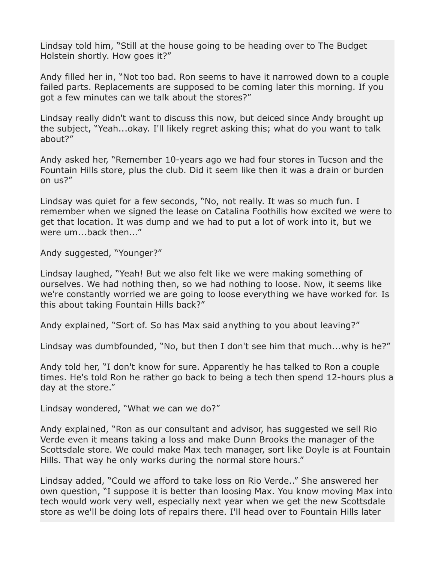Lindsay told him, "Still at the house going to be heading over to The Budget Holstein shortly. How goes it?"

Andy filled her in, "Not too bad. Ron seems to have it narrowed down to a couple failed parts. Replacements are supposed to be coming later this morning. If you got a few minutes can we talk about the stores?"

Lindsay really didn't want to discuss this now, but deiced since Andy brought up the subject, "Yeah...okay. I'll likely regret asking this; what do you want to talk about?"

Andy asked her, "Remember 10-years ago we had four stores in Tucson and the Fountain Hills store, plus the club. Did it seem like then it was a drain or burden on us?"

Lindsay was quiet for a few seconds, "No, not really. It was so much fun. I remember when we signed the lease on Catalina Foothills how excited we were to get that location. It was dump and we had to put a lot of work into it, but we were um...back then..."

Andy suggested, "Younger?"

Lindsay laughed, "Yeah! But we also felt like we were making something of ourselves. We had nothing then, so we had nothing to loose. Now, it seems like we're constantly worried we are going to loose everything we have worked for. Is this about taking Fountain Hills back?"

Andy explained, "Sort of. So has Max said anything to you about leaving?"

Lindsay was dumbfounded, "No, but then I don't see him that much...why is he?"

Andy told her, "I don't know for sure. Apparently he has talked to Ron a couple times. He's told Ron he rather go back to being a tech then spend 12-hours plus a day at the store."

Lindsay wondered, "What we can we do?"

Andy explained, "Ron as our consultant and advisor, has suggested we sell Rio Verde even it means taking a loss and make Dunn Brooks the manager of the Scottsdale store. We could make Max tech manager, sort like Doyle is at Fountain Hills. That way he only works during the normal store hours."

Lindsay added, "Could we afford to take loss on Rio Verde.." She answered her own question, "I suppose it is better than loosing Max. You know moving Max into tech would work very well, especially next year when we get the new Scottsdale store as we'll be doing lots of repairs there. I'll head over to Fountain Hills later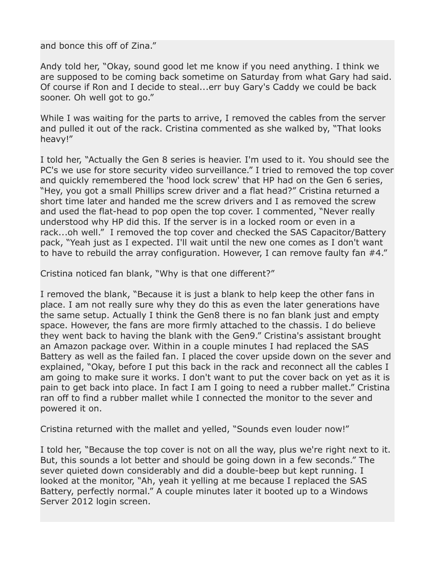and bonce this off of Zina."

Andy told her, "Okay, sound good let me know if you need anything. I think we are supposed to be coming back sometime on Saturday from what Gary had said. Of course if Ron and I decide to steal...err buy Gary's Caddy we could be back sooner. Oh well got to go."

While I was waiting for the parts to arrive, I removed the cables from the server and pulled it out of the rack. Cristina commented as she walked by, "That looks heavy!"

I told her, "Actually the Gen 8 series is heavier. I'm used to it. You should see the PC's we use for store security video surveillance." I tried to removed the top cover and quickly remembered the 'hood lock screw' that HP had on the Gen 6 series, "Hey, you got a small Phillips screw driver and a flat head?" Cristina returned a short time later and handed me the screw drivers and I as removed the screw and used the flat-head to pop open the top cover. I commented, "Never really understood why HP did this. If the server is in a locked room or even in a rack...oh well." I removed the top cover and checked the SAS Capacitor/Battery pack, "Yeah just as I expected. I'll wait until the new one comes as I don't want to have to rebuild the array configuration. However, I can remove faulty fan #4."

Cristina noticed fan blank, "Why is that one different?"

I removed the blank, "Because it is just a blank to help keep the other fans in place. I am not really sure why they do this as even the later generations have the same setup. Actually I think the Gen8 there is no fan blank just and empty space. However, the fans are more firmly attached to the chassis. I do believe they went back to having the blank with the Gen9." Cristina's assistant brought an Amazon package over. Within in a couple minutes I had replaced the SAS Battery as well as the failed fan. I placed the cover upside down on the sever and explained, "Okay, before I put this back in the rack and reconnect all the cables I am going to make sure it works. I don't want to put the cover back on yet as it is pain to get back into place. In fact I am I going to need a rubber mallet." Cristina ran off to find a rubber mallet while I connected the monitor to the sever and powered it on.

Cristina returned with the mallet and yelled, "Sounds even louder now!"

I told her, "Because the top cover is not on all the way, plus we're right next to it. But, this sounds a lot better and should be going down in a few seconds." The sever quieted down considerably and did a double-beep but kept running. I looked at the monitor, "Ah, yeah it yelling at me because I replaced the SAS Battery, perfectly normal." A couple minutes later it booted up to a Windows Server 2012 login screen.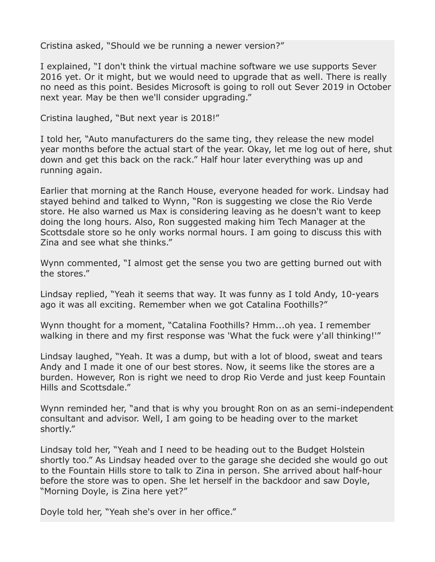Cristina asked, "Should we be running a newer version?"

I explained, "I don't think the virtual machine software we use supports Sever 2016 yet. Or it might, but we would need to upgrade that as well. There is really no need as this point. Besides Microsoft is going to roll out Sever 2019 in October next year. May be then we'll consider upgrading."

Cristina laughed, "But next year is 2018!"

I told her, "Auto manufacturers do the same ting, they release the new model year months before the actual start of the year. Okay, let me log out of here, shut down and get this back on the rack." Half hour later everything was up and running again.

Earlier that morning at the Ranch House, everyone headed for work. Lindsay had stayed behind and talked to Wynn, "Ron is suggesting we close the Rio Verde store. He also warned us Max is considering leaving as he doesn't want to keep doing the long hours. Also, Ron suggested making him Tech Manager at the Scottsdale store so he only works normal hours. I am going to discuss this with Zina and see what she thinks."

Wynn commented, "I almost get the sense you two are getting burned out with the stores."

Lindsay replied, "Yeah it seems that way. It was funny as I told Andy, 10-years ago it was all exciting. Remember when we got Catalina Foothills?"

Wynn thought for a moment, "Catalina Foothills? Hmm...oh yea. I remember walking in there and my first response was 'What the fuck were y'all thinking!'"

Lindsay laughed, "Yeah. It was a dump, but with a lot of blood, sweat and tears Andy and I made it one of our best stores. Now, it seems like the stores are a burden. However, Ron is right we need to drop Rio Verde and just keep Fountain Hills and Scottsdale."

Wynn reminded her, "and that is why you brought Ron on as an semi-independent consultant and advisor. Well, I am going to be heading over to the market shortly."

Lindsay told her, "Yeah and I need to be heading out to the Budget Holstein shortly too." As Lindsay headed over to the garage she decided she would go out to the Fountain Hills store to talk to Zina in person. She arrived about half-hour before the store was to open. She let herself in the backdoor and saw Doyle, "Morning Doyle, is Zina here yet?"

Doyle told her, "Yeah she's over in her office."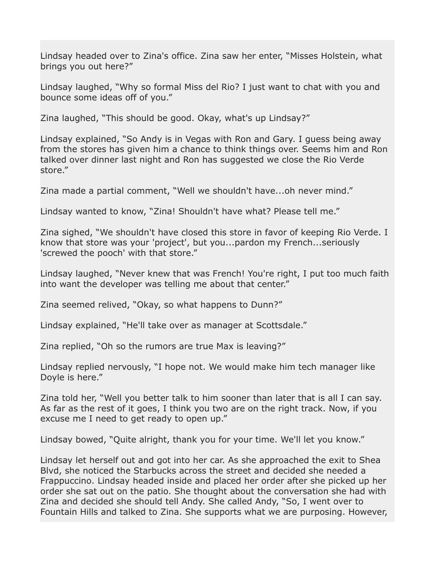Lindsay headed over to Zina's office. Zina saw her enter, "Misses Holstein, what brings you out here?"

Lindsay laughed, "Why so formal Miss del Rio? I just want to chat with you and bounce some ideas off of you."

Zina laughed, "This should be good. Okay, what's up Lindsay?"

Lindsay explained, "So Andy is in Vegas with Ron and Gary. I guess being away from the stores has given him a chance to think things over. Seems him and Ron talked over dinner last night and Ron has suggested we close the Rio Verde store."

Zina made a partial comment, "Well we shouldn't have...oh never mind."

Lindsay wanted to know, "Zina! Shouldn't have what? Please tell me."

Zina sighed, "We shouldn't have closed this store in favor of keeping Rio Verde. I know that store was your 'project', but you...pardon my French...seriously 'screwed the pooch' with that store."

Lindsay laughed, "Never knew that was French! You're right, I put too much faith into want the developer was telling me about that center."

Zina seemed relived, "Okay, so what happens to Dunn?"

Lindsay explained, "He'll take over as manager at Scottsdale."

Zina replied, "Oh so the rumors are true Max is leaving?"

Lindsay replied nervously, "I hope not. We would make him tech manager like Doyle is here."

Zina told her, "Well you better talk to him sooner than later that is all I can say. As far as the rest of it goes, I think you two are on the right track. Now, if you excuse me I need to get ready to open up."

Lindsay bowed, "Quite alright, thank you for your time. We'll let you know."

Lindsay let herself out and got into her car. As she approached the exit to Shea Blvd, she noticed the Starbucks across the street and decided she needed a Frappuccino. Lindsay headed inside and placed her order after she picked up her order she sat out on the patio. She thought about the conversation she had with Zina and decided she should tell Andy. She called Andy, "So, I went over to Fountain Hills and talked to Zina. She supports what we are purposing. However,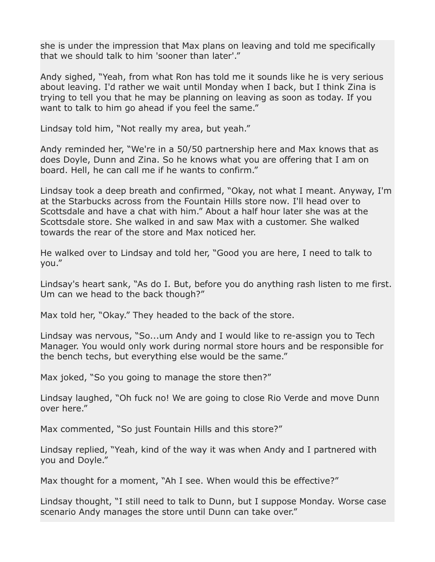she is under the impression that Max plans on leaving and told me specifically that we should talk to him 'sooner than later'."

Andy sighed, "Yeah, from what Ron has told me it sounds like he is very serious about leaving. I'd rather we wait until Monday when I back, but I think Zina is trying to tell you that he may be planning on leaving as soon as today. If you want to talk to him go ahead if you feel the same."

Lindsay told him, "Not really my area, but yeah."

Andy reminded her, "We're in a 50/50 partnership here and Max knows that as does Doyle, Dunn and Zina. So he knows what you are offering that I am on board. Hell, he can call me if he wants to confirm."

Lindsay took a deep breath and confirmed, "Okay, not what I meant. Anyway, I'm at the Starbucks across from the Fountain Hills store now. I'll head over to Scottsdale and have a chat with him." About a half hour later she was at the Scottsdale store. She walked in and saw Max with a customer. She walked towards the rear of the store and Max noticed her.

He walked over to Lindsay and told her, "Good you are here, I need to talk to you."

Lindsay's heart sank, "As do I. But, before you do anything rash listen to me first. Um can we head to the back though?"

Max told her, "Okay." They headed to the back of the store.

Lindsay was nervous, "So...um Andy and I would like to re-assign you to Tech Manager. You would only work during normal store hours and be responsible for the bench techs, but everything else would be the same."

Max joked, "So you going to manage the store then?"

Lindsay laughed, "Oh fuck no! We are going to close Rio Verde and move Dunn over here."

Max commented, "So just Fountain Hills and this store?"

Lindsay replied, "Yeah, kind of the way it was when Andy and I partnered with you and Doyle."

Max thought for a moment, "Ah I see. When would this be effective?"

Lindsay thought, "I still need to talk to Dunn, but I suppose Monday. Worse case scenario Andy manages the store until Dunn can take over."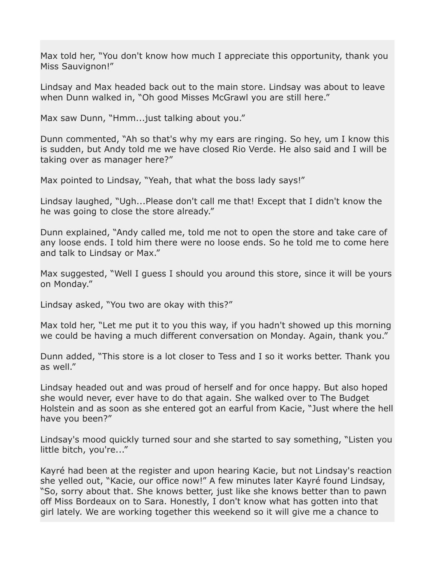Max told her, "You don't know how much I appreciate this opportunity, thank you Miss Sauvignon!"

Lindsay and Max headed back out to the main store. Lindsay was about to leave when Dunn walked in, "Oh good Misses McGrawl you are still here."

Max saw Dunn, "Hmm...just talking about you."

Dunn commented, "Ah so that's why my ears are ringing. So hey, um I know this is sudden, but Andy told me we have closed Rio Verde. He also said and I will be taking over as manager here?"

Max pointed to Lindsay, "Yeah, that what the boss lady says!"

Lindsay laughed, "Ugh...Please don't call me that! Except that I didn't know the he was going to close the store already."

Dunn explained, "Andy called me, told me not to open the store and take care of any loose ends. I told him there were no loose ends. So he told me to come here and talk to Lindsay or Max."

Max suggested, "Well I guess I should you around this store, since it will be yours on Monday."

Lindsay asked, "You two are okay with this?"

Max told her, "Let me put it to you this way, if you hadn't showed up this morning we could be having a much different conversation on Monday. Again, thank you."

Dunn added, "This store is a lot closer to Tess and I so it works better. Thank you as well."

Lindsay headed out and was proud of herself and for once happy. But also hoped she would never, ever have to do that again. She walked over to The Budget Holstein and as soon as she entered got an earful from Kacie, "Just where the hell have you been?"

Lindsay's mood quickly turned sour and she started to say something, "Listen you little bitch, you're..."

Kayré had been at the register and upon hearing Kacie, but not Lindsay's reaction she yelled out, "Kacie, our office now!" A few minutes later Kayré found Lindsay, "So, sorry about that. She knows better, just like she knows better than to pawn off Miss Bordeaux on to Sara. Honestly, I don't know what has gotten into that girl lately. We are working together this weekend so it will give me a chance to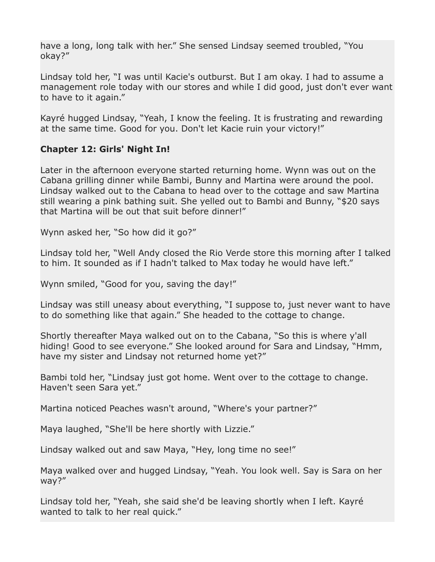have a long, long talk with her." She sensed Lindsay seemed troubled, "You okay?"

Lindsay told her, "I was until Kacie's outburst. But I am okay. I had to assume a management role today with our stores and while I did good, just don't ever want to have to it again."

Kayré hugged Lindsay, "Yeah, I know the feeling. It is frustrating and rewarding at the same time. Good for you. Don't let Kacie ruin your victory!"

## **Chapter 12: Girls' Night In!**

Later in the afternoon everyone started returning home. Wynn was out on the Cabana grilling dinner while Bambi, Bunny and Martina were around the pool. Lindsay walked out to the Cabana to head over to the cottage and saw Martina still wearing a pink bathing suit. She yelled out to Bambi and Bunny, "\$20 says that Martina will be out that suit before dinner!"

Wynn asked her, "So how did it go?"

Lindsay told her, "Well Andy closed the Rio Verde store this morning after I talked to him. It sounded as if I hadn't talked to Max today he would have left."

Wynn smiled, "Good for you, saving the day!"

Lindsay was still uneasy about everything, "I suppose to, just never want to have to do something like that again." She headed to the cottage to change.

Shortly thereafter Maya walked out on to the Cabana, "So this is where y'all hiding! Good to see everyone." She looked around for Sara and Lindsay, "Hmm, have my sister and Lindsay not returned home yet?"

Bambi told her, "Lindsay just got home. Went over to the cottage to change. Haven't seen Sara yet."

Martina noticed Peaches wasn't around, "Where's your partner?"

Maya laughed, "She'll be here shortly with Lizzie."

Lindsay walked out and saw Maya, "Hey, long time no see!"

Maya walked over and hugged Lindsay, "Yeah. You look well. Say is Sara on her way?"

Lindsay told her, "Yeah, she said she'd be leaving shortly when I left. Kayré wanted to talk to her real quick."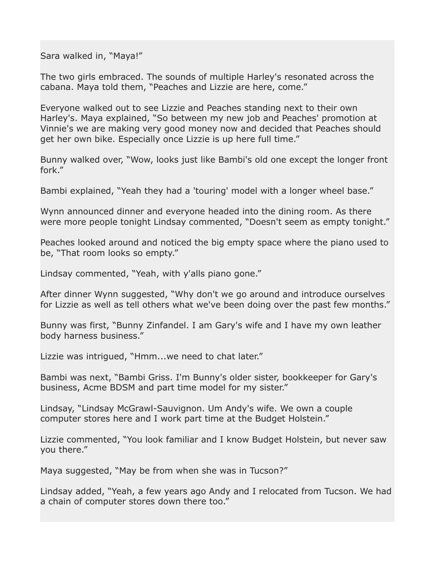Sara walked in, "Maya!"

The two girls embraced. The sounds of multiple Harley's resonated across the cabana. Maya told them, "Peaches and Lizzie are here, come."

Everyone walked out to see Lizzie and Peaches standing next to their own Harley's. Maya explained, "So between my new job and Peaches' promotion at Vinnie's we are making very good money now and decided that Peaches should get her own bike. Especially once Lizzie is up here full time."

Bunny walked over, "Wow, looks just like Bambi's old one except the longer front fork."

Bambi explained, "Yeah they had a 'touring' model with a longer wheel base."

Wynn announced dinner and everyone headed into the dining room. As there were more people tonight Lindsay commented, "Doesn't seem as empty tonight."

Peaches looked around and noticed the big empty space where the piano used to be, "That room looks so empty."

Lindsay commented, "Yeah, with y'alls piano gone."

After dinner Wynn suggested, "Why don't we go around and introduce ourselves for Lizzie as well as tell others what we've been doing over the past few months."

Bunny was first, "Bunny Zinfandel. I am Gary's wife and I have my own leather body harness business."

Lizzie was intrigued, "Hmm...we need to chat later."

Bambi was next, "Bambi Griss. I'm Bunny's older sister, bookkeeper for Gary's business, Acme BDSM and part time model for my sister."

Lindsay, "Lindsay McGrawl-Sauvignon. Um Andy's wife. We own a couple computer stores here and I work part time at the Budget Holstein."

Lizzie commented, "You look familiar and I know Budget Holstein, but never saw you there."

Maya suggested, "May be from when she was in Tucson?"

Lindsay added, "Yeah, a few years ago Andy and I relocated from Tucson. We had a chain of computer stores down there too."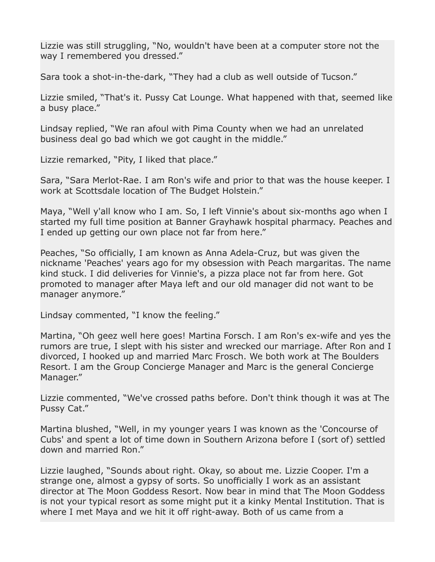Lizzie was still struggling, "No, wouldn't have been at a computer store not the way I remembered you dressed."

Sara took a shot-in-the-dark, "They had a club as well outside of Tucson."

Lizzie smiled, "That's it. Pussy Cat Lounge. What happened with that, seemed like a busy place."

Lindsay replied, "We ran afoul with Pima County when we had an unrelated business deal go bad which we got caught in the middle."

Lizzie remarked, "Pity, I liked that place."

Sara, "Sara Merlot-Rae. I am Ron's wife and prior to that was the house keeper. I work at Scottsdale location of The Budget Holstein."

Maya, "Well y'all know who I am. So, I left Vinnie's about six-months ago when I started my full time position at Banner Grayhawk hospital pharmacy. Peaches and I ended up getting our own place not far from here."

Peaches, "So officially, I am known as Anna Adela-Cruz, but was given the nickname 'Peaches' years ago for my obsession with Peach margaritas. The name kind stuck. I did deliveries for Vinnie's, a pizza place not far from here. Got promoted to manager after Maya left and our old manager did not want to be manager anymore."

Lindsay commented, "I know the feeling."

Martina, "Oh geez well here goes! Martina Forsch. I am Ron's ex-wife and yes the rumors are true, I slept with his sister and wrecked our marriage. After Ron and I divorced, I hooked up and married Marc Frosch. We both work at The Boulders Resort. I am the Group Concierge Manager and Marc is the general Concierge Manager."

Lizzie commented, "We've crossed paths before. Don't think though it was at The Pussy Cat."

Martina blushed, "Well, in my younger years I was known as the 'Concourse of Cubs' and spent a lot of time down in Southern Arizona before I (sort of) settled down and married Ron."

Lizzie laughed, "Sounds about right. Okay, so about me. Lizzie Cooper. I'm a strange one, almost a gypsy of sorts. So unofficially I work as an assistant director at The Moon Goddess Resort. Now bear in mind that The Moon Goddess is not your typical resort as some might put it a kinky Mental Institution. That is where I met Maya and we hit it off right-away. Both of us came from a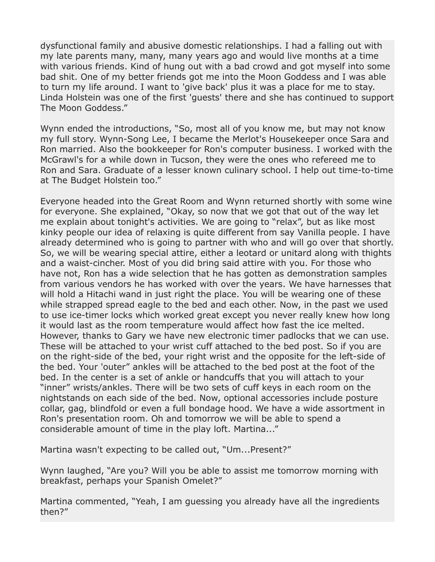dysfunctional family and abusive domestic relationships. I had a falling out with my late parents many, many, many years ago and would live months at a time with various friends. Kind of hung out with a bad crowd and got myself into some bad shit. One of my better friends got me into the Moon Goddess and I was able to turn my life around. I want to 'give back' plus it was a place for me to stay. Linda Holstein was one of the first 'guests' there and she has continued to support The Moon Goddess."

Wynn ended the introductions, "So, most all of you know me, but may not know my full story. Wynn-Song Lee, I became the Merlot's Housekeeper once Sara and Ron married. Also the bookkeeper for Ron's computer business. I worked with the McGrawl's for a while down in Tucson, they were the ones who refereed me to Ron and Sara. Graduate of a lesser known culinary school. I help out time-to-time at The Budget Holstein too."

Everyone headed into the Great Room and Wynn returned shortly with some wine for everyone. She explained, "Okay, so now that we got that out of the way let me explain about tonight's activities. We are going to "relax", but as like most kinky people our idea of relaxing is quite different from say Vanilla people. I have already determined who is going to partner with who and will go over that shortly. So, we will be wearing special attire, either a leotard or unitard along with thights and a waist-cincher. Most of you did bring said attire with you. For those who have not, Ron has a wide selection that he has gotten as demonstration samples from various vendors he has worked with over the years. We have harnesses that will hold a Hitachi wand in just right the place. You will be wearing one of these while strapped spread eagle to the bed and each other. Now, in the past we used to use ice-timer locks which worked great except you never really knew how long it would last as the room temperature would affect how fast the ice melted. However, thanks to Gary we have new electronic timer padlocks that we can use. These will be attached to your wrist cuff attached to the bed post. So if you are on the right-side of the bed, your right wrist and the opposite for the left-side of the bed. Your 'outer" ankles will be attached to the bed post at the foot of the bed. In the center is a set of ankle or handcuffs that you will attach to your "inner" wrists/ankles. There will be two sets of cuff keys in each room on the nightstands on each side of the bed. Now, optional accessories include posture collar, gag, blindfold or even a full bondage hood. We have a wide assortment in Ron's presentation room. Oh and tomorrow we will be able to spend a considerable amount of time in the play loft. Martina..."

Martina wasn't expecting to be called out, "Um...Present?"

Wynn laughed, "Are you? Will you be able to assist me tomorrow morning with breakfast, perhaps your Spanish Omelet?"

Martina commented, "Yeah, I am guessing you already have all the ingredients then?"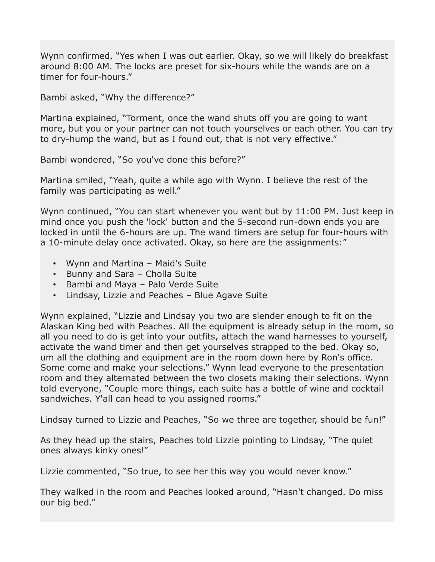Wynn confirmed, "Yes when I was out earlier. Okay, so we will likely do breakfast around 8:00 AM. The locks are preset for six-hours while the wands are on a timer for four-hours."

Bambi asked, "Why the difference?"

Martina explained, "Torment, once the wand shuts off you are going to want more, but you or your partner can not touch yourselves or each other. You can try to dry-hump the wand, but as I found out, that is not very effective."

Bambi wondered, "So you've done this before?"

Martina smiled, "Yeah, quite a while ago with Wynn. I believe the rest of the family was participating as well."

Wynn continued, "You can start whenever you want but by 11:00 PM. Just keep in mind once you push the 'lock' button and the 5-second run-down ends you are locked in until the 6-hours are up. The wand timers are setup for four-hours with a 10-minute delay once activated. Okay, so here are the assignments:"

- Wynn and Martina Maid's Suite
- Bunny and Sara Cholla Suite
- Bambi and Maya Palo Verde Suite
- Lindsay, Lizzie and Peaches Blue Agave Suite

Wynn explained, "Lizzie and Lindsay you two are slender enough to fit on the Alaskan King bed with Peaches. All the equipment is already setup in the room, so all you need to do is get into your outfits, attach the wand harnesses to yourself, activate the wand timer and then get yourselves strapped to the bed. Okay so, um all the clothing and equipment are in the room down here by Ron's office. Some come and make your selections." Wynn lead everyone to the presentation room and they alternated between the two closets making their selections. Wynn told everyone, "Couple more things, each suite has a bottle of wine and cocktail sandwiches. Y'all can head to you assigned rooms."

Lindsay turned to Lizzie and Peaches, "So we three are together, should be fun!"

As they head up the stairs, Peaches told Lizzie pointing to Lindsay, "The quiet ones always kinky ones!"

Lizzie commented, "So true, to see her this way you would never know."

They walked in the room and Peaches looked around, "Hasn't changed. Do miss our big bed."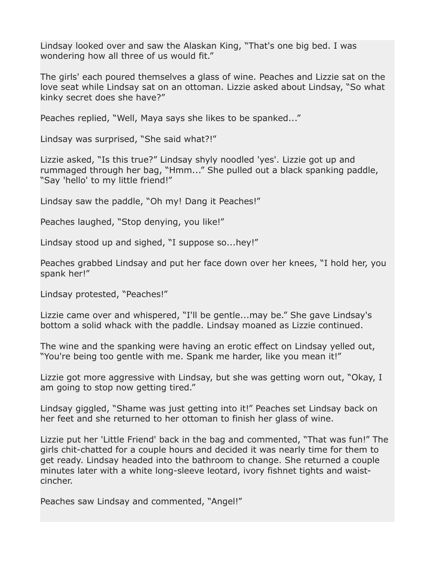Lindsay looked over and saw the Alaskan King, "That's one big bed. I was wondering how all three of us would fit."

The girls' each poured themselves a glass of wine. Peaches and Lizzie sat on the love seat while Lindsay sat on an ottoman. Lizzie asked about Lindsay, "So what kinky secret does she have?"

Peaches replied, "Well, Maya says she likes to be spanked..."

Lindsay was surprised, "She said what?!"

Lizzie asked, "Is this true?" Lindsay shyly noodled 'yes'. Lizzie got up and rummaged through her bag, "Hmm..." She pulled out a black spanking paddle, "Say 'hello' to my little friend!"

Lindsay saw the paddle, "Oh my! Dang it Peaches!"

Peaches laughed, "Stop denying, you like!"

Lindsay stood up and sighed, "I suppose so...hey!"

Peaches grabbed Lindsay and put her face down over her knees, "I hold her, you spank her!"

Lindsay protested, "Peaches!"

Lizzie came over and whispered, "I'll be gentle...may be." She gave Lindsay's bottom a solid whack with the paddle. Lindsay moaned as Lizzie continued.

The wine and the spanking were having an erotic effect on Lindsay yelled out, "You're being too gentle with me. Spank me harder, like you mean it!"

Lizzie got more aggressive with Lindsay, but she was getting worn out, "Okay, I am going to stop now getting tired."

Lindsay giggled, "Shame was just getting into it!" Peaches set Lindsay back on her feet and she returned to her ottoman to finish her glass of wine.

Lizzie put her 'Little Friend' back in the bag and commented, "That was fun!" The girls chit-chatted for a couple hours and decided it was nearly time for them to get ready. Lindsay headed into the bathroom to change. She returned a couple minutes later with a white long-sleeve leotard, ivory fishnet tights and waistcincher.

Peaches saw Lindsay and commented, "Angel!"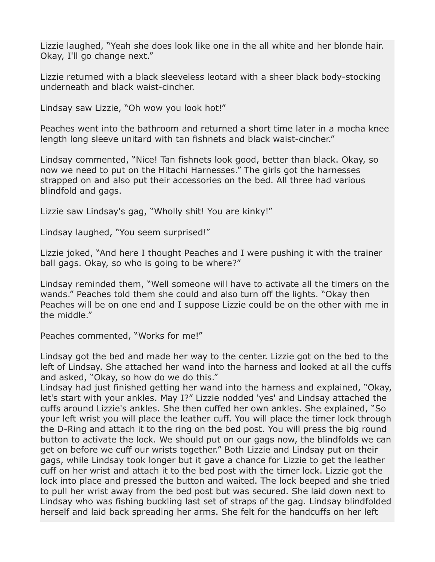Lizzie laughed, "Yeah she does look like one in the all white and her blonde hair. Okay, I'll go change next."

Lizzie returned with a black sleeveless leotard with a sheer black body-stocking underneath and black waist-cincher.

Lindsay saw Lizzie, "Oh wow you look hot!"

Peaches went into the bathroom and returned a short time later in a mocha knee length long sleeve unitard with tan fishnets and black waist-cincher."

Lindsay commented, "Nice! Tan fishnets look good, better than black. Okay, so now we need to put on the Hitachi Harnesses." The girls got the harnesses strapped on and also put their accessories on the bed. All three had various blindfold and gags.

Lizzie saw Lindsay's gag, "Wholly shit! You are kinky!"

Lindsay laughed, "You seem surprised!"

Lizzie joked, "And here I thought Peaches and I were pushing it with the trainer ball gags. Okay, so who is going to be where?"

Lindsay reminded them, "Well someone will have to activate all the timers on the wands." Peaches told them she could and also turn off the lights. "Okay then Peaches will be on one end and I suppose Lizzie could be on the other with me in the middle."

Peaches commented, "Works for me!"

Lindsay got the bed and made her way to the center. Lizzie got on the bed to the left of Lindsay. She attached her wand into the harness and looked at all the cuffs and asked, "Okay, so how do we do this."

Lindsay had just finished getting her wand into the harness and explained, "Okay, let's start with your ankles. May I?" Lizzie nodded 'yes' and Lindsay attached the cuffs around Lizzie's ankles. She then cuffed her own ankles. She explained, "So your left wrist you will place the leather cuff. You will place the timer lock through the D-Ring and attach it to the ring on the bed post. You will press the big round button to activate the lock. We should put on our gags now, the blindfolds we can get on before we cuff our wrists together." Both Lizzie and Lindsay put on their gags, while Lindsay took longer but it gave a chance for Lizzie to get the leather cuff on her wrist and attach it to the bed post with the timer lock. Lizzie got the lock into place and pressed the button and waited. The lock beeped and she tried to pull her wrist away from the bed post but was secured. She laid down next to Lindsay who was fishing buckling last set of straps of the gag. Lindsay blindfolded herself and laid back spreading her arms. She felt for the handcuffs on her left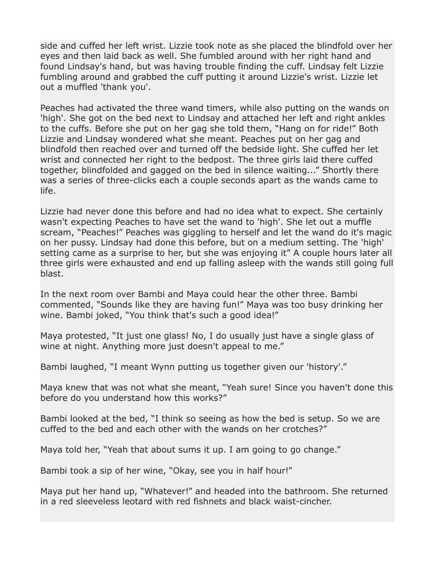side and cuffed her left wrist. Lizzie took note as she placed the blindfold over her eyes and then laid back as well. She fumbled around with her right hand and found Lindsay's hand, but was having trouble finding the cuff. Lindsay felt Lizzie fumbling around and grabbed the cuff putting it around Lizzie's wrist. Lizzie let out a muffled 'thank you'.

Peaches had activated the three wand timers, while also putting on the wands on 'high'. She got on the bed next to Lindsay and attached her left and right ankles to the cuffs. Before she put on her gag she told them, "Hang on for ride!" Both Lizzie and Lindsay wondered what she meant. Peaches put on her gag and blindfold then reached over and turned off the bedside light. She cuffed her let wrist and connected her right to the bedpost. The three girls laid there cuffed together, blindfolded and gagged on the bed in silence waiting..." Shortly there was a series of three-clicks each a couple seconds apart as the wands came to life.

Lizzie had never done this before and had no idea what to expect. She certainly wasn't expecting Peaches to have set the wand to 'high'. She let out a muffle scream, "Peaches!" Peaches was giggling to herself and let the wand do it's magic on her pussy. Lindsay had done this before, but on a medium setting. The 'high' setting came as a surprise to her, but she was enjoying it" A couple hours later all three girls were exhausted and end up falling asleep with the wands still going full blast.

In the next room over Bambi and Maya could hear the other three. Bambi commented, "Sounds like they are having fun!" Maya was too busy drinking her wine. Bambi joked, "You think that's such a good idea!"

Maya protested, "It just one glass! No, I do usually just have a single glass of wine at night. Anything more just doesn't appeal to me."

Bambi laughed, "I meant Wynn putting us together given our 'history'."

Maya knew that was not what she meant, "Yeah sure! Since you haven't done this before do you understand how this works?"

Bambi looked at the bed, "I think so seeing as how the bed is setup. So we are cuffed to the bed and each other with the wands on her crotches?"

Maya told her, "Yeah that about sums it up. I am going to go change."

Bambi took a sip of her wine, "Okay, see you in half hour!"

Maya put her hand up, "Whatever!" and headed into the bathroom. She returned in a red sleeveless leotard with red fishnets and black waist-cincher.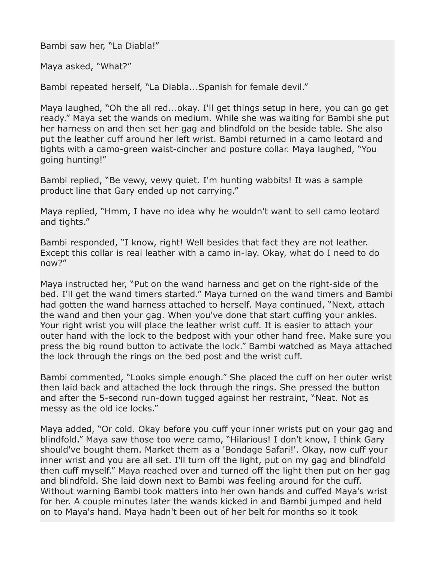Bambi saw her, "La Diabla!"

Maya asked, "What?"

Bambi repeated herself, "La Diabla...Spanish for female devil."

Maya laughed, "Oh the all red...okay. I'll get things setup in here, you can go get ready." Maya set the wands on medium. While she was waiting for Bambi she put her harness on and then set her gag and blindfold on the beside table. She also put the leather cuff around her left wrist. Bambi returned in a camo leotard and tights with a camo-green waist-cincher and posture collar. Maya laughed, "You going hunting!"

Bambi replied, "Be vewy, vewy quiet. I'm hunting wabbits! It was a sample product line that Gary ended up not carrying."

Maya replied, "Hmm, I have no idea why he wouldn't want to sell camo leotard and tights."

Bambi responded, "I know, right! Well besides that fact they are not leather. Except this collar is real leather with a camo in-lay. Okay, what do I need to do now?"

Maya instructed her, "Put on the wand harness and get on the right-side of the bed. I'll get the wand timers started." Maya turned on the wand timers and Bambi had gotten the wand harness attached to herself. Maya continued, "Next, attach the wand and then your gag. When you've done that start cuffing your ankles. Your right wrist you will place the leather wrist cuff. It is easier to attach your outer hand with the lock to the bedpost with your other hand free. Make sure you press the big round button to activate the lock." Bambi watched as Maya attached the lock through the rings on the bed post and the wrist cuff.

Bambi commented, "Looks simple enough." She placed the cuff on her outer wrist then laid back and attached the lock through the rings. She pressed the button and after the 5-second run-down tugged against her restraint, "Neat. Not as messy as the old ice locks."

Maya added, "Or cold. Okay before you cuff your inner wrists put on your gag and blindfold." Maya saw those too were camo, "Hilarious! I don't know, I think Gary should've bought them. Market them as a 'Bondage Safari!'. Okay, now cuff your inner wrist and you are all set. I'll turn off the light, put on my gag and blindfold then cuff myself." Maya reached over and turned off the light then put on her gag and blindfold. She laid down next to Bambi was feeling around for the cuff. Without warning Bambi took matters into her own hands and cuffed Maya's wrist for her. A couple minutes later the wands kicked in and Bambi jumped and held on to Maya's hand. Maya hadn't been out of her belt for months so it took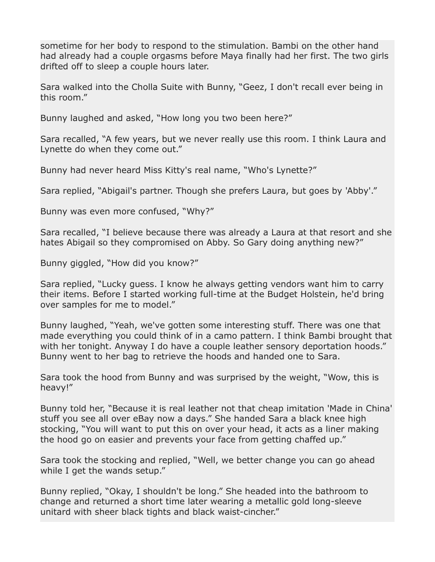sometime for her body to respond to the stimulation. Bambi on the other hand had already had a couple orgasms before Maya finally had her first. The two girls drifted off to sleep a couple hours later.

Sara walked into the Cholla Suite with Bunny, "Geez, I don't recall ever being in this room."

Bunny laughed and asked, "How long you two been here?"

Sara recalled, "A few years, but we never really use this room. I think Laura and Lynette do when they come out."

Bunny had never heard Miss Kitty's real name, "Who's Lynette?"

Sara replied, "Abigail's partner. Though she prefers Laura, but goes by 'Abby'."

Bunny was even more confused, "Why?"

Sara recalled, "I believe because there was already a Laura at that resort and she hates Abigail so they compromised on Abby. So Gary doing anything new?"

Bunny giggled, "How did you know?"

Sara replied, "Lucky guess. I know he always getting vendors want him to carry their items. Before I started working full-time at the Budget Holstein, he'd bring over samples for me to model."

Bunny laughed, "Yeah, we've gotten some interesting stuff. There was one that made everything you could think of in a camo pattern. I think Bambi brought that with her tonight. Anyway I do have a couple leather sensory deportation hoods." Bunny went to her bag to retrieve the hoods and handed one to Sara.

Sara took the hood from Bunny and was surprised by the weight, "Wow, this is heavy!"

Bunny told her, "Because it is real leather not that cheap imitation 'Made in China' stuff you see all over eBay now a days." She handed Sara a black knee high stocking, "You will want to put this on over your head, it acts as a liner making the hood go on easier and prevents your face from getting chaffed up."

Sara took the stocking and replied, "Well, we better change you can go ahead while I get the wands setup."

Bunny replied, "Okay, I shouldn't be long." She headed into the bathroom to change and returned a short time later wearing a metallic gold long-sleeve unitard with sheer black tights and black waist-cincher."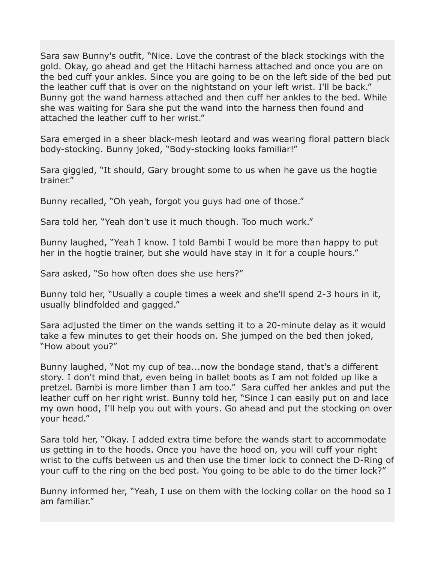Sara saw Bunny's outfit, "Nice. Love the contrast of the black stockings with the gold. Okay, go ahead and get the Hitachi harness attached and once you are on the bed cuff your ankles. Since you are going to be on the left side of the bed put the leather cuff that is over on the nightstand on your left wrist. I'll be back." Bunny got the wand harness attached and then cuff her ankles to the bed. While she was waiting for Sara she put the wand into the harness then found and attached the leather cuff to her wrist."

Sara emerged in a sheer black-mesh leotard and was wearing floral pattern black body-stocking. Bunny joked, "Body-stocking looks familiar!"

Sara giggled, "It should, Gary brought some to us when he gave us the hogtie trainer."

Bunny recalled, "Oh yeah, forgot you guys had one of those."

Sara told her, "Yeah don't use it much though. Too much work."

Bunny laughed, "Yeah I know. I told Bambi I would be more than happy to put her in the hogtie trainer, but she would have stay in it for a couple hours."

Sara asked, "So how often does she use hers?"

Bunny told her, "Usually a couple times a week and she'll spend 2-3 hours in it, usually blindfolded and gagged."

Sara adjusted the timer on the wands setting it to a 20-minute delay as it would take a few minutes to get their hoods on. She jumped on the bed then joked, "How about you?"

Bunny laughed, "Not my cup of tea...now the bondage stand, that's a different story. I don't mind that, even being in ballet boots as I am not folded up like a pretzel. Bambi is more limber than I am too." Sara cuffed her ankles and put the leather cuff on her right wrist. Bunny told her, "Since I can easily put on and lace my own hood, I'll help you out with yours. Go ahead and put the stocking on over your head."

Sara told her, "Okay. I added extra time before the wands start to accommodate us getting in to the hoods. Once you have the hood on, you will cuff your right wrist to the cuffs between us and then use the timer lock to connect the D-Ring of your cuff to the ring on the bed post. You going to be able to do the timer lock?"

Bunny informed her, "Yeah, I use on them with the locking collar on the hood so I am familiar."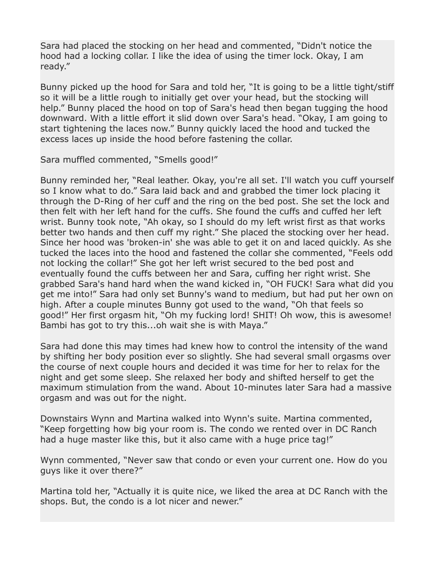Sara had placed the stocking on her head and commented, "Didn't notice the hood had a locking collar. I like the idea of using the timer lock. Okay, I am ready."

Bunny picked up the hood for Sara and told her, "It is going to be a little tight/stiff so it will be a little rough to initially get over your head, but the stocking will help." Bunny placed the hood on top of Sara's head then began tugging the hood downward. With a little effort it slid down over Sara's head. "Okay, I am going to start tightening the laces now." Bunny quickly laced the hood and tucked the excess laces up inside the hood before fastening the collar.

Sara muffled commented, "Smells good!"

Bunny reminded her, "Real leather. Okay, you're all set. I'll watch you cuff yourself so I know what to do." Sara laid back and and grabbed the timer lock placing it through the D-Ring of her cuff and the ring on the bed post. She set the lock and then felt with her left hand for the cuffs. She found the cuffs and cuffed her left wrist. Bunny took note, "Ah okay, so I should do my left wrist first as that works better two hands and then cuff my right." She placed the stocking over her head. Since her hood was 'broken-in' she was able to get it on and laced quickly. As she tucked the laces into the hood and fastened the collar she commented, "Feels odd not locking the collar!" She got her left wrist secured to the bed post and eventually found the cuffs between her and Sara, cuffing her right wrist. She grabbed Sara's hand hard when the wand kicked in, "OH FUCK! Sara what did you get me into!" Sara had only set Bunny's wand to medium, but had put her own on high. After a couple minutes Bunny got used to the wand, "Oh that feels so good!" Her first orgasm hit, "Oh my fucking lord! SHIT! Oh wow, this is awesome! Bambi has got to try this...oh wait she is with Maya."

Sara had done this may times had knew how to control the intensity of the wand by shifting her body position ever so slightly. She had several small orgasms over the course of next couple hours and decided it was time for her to relax for the night and get some sleep. She relaxed her body and shifted herself to get the maximum stimulation from the wand. About 10-minutes later Sara had a massive orgasm and was out for the night.

Downstairs Wynn and Martina walked into Wynn's suite. Martina commented, "Keep forgetting how big your room is. The condo we rented over in DC Ranch had a huge master like this, but it also came with a huge price tag!"

Wynn commented, "Never saw that condo or even your current one. How do you guys like it over there?"

Martina told her, "Actually it is quite nice, we liked the area at DC Ranch with the shops. But, the condo is a lot nicer and newer."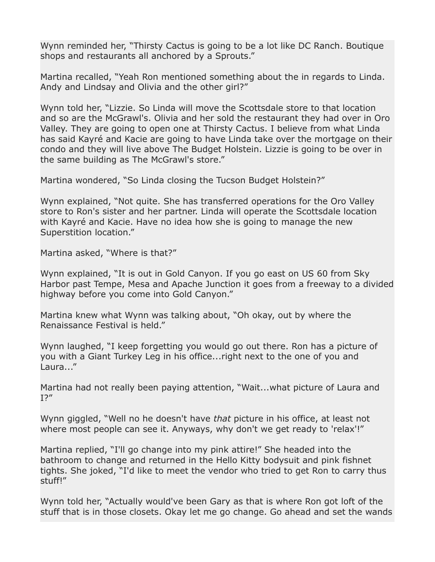Wynn reminded her, "Thirsty Cactus is going to be a lot like DC Ranch. Boutique shops and restaurants all anchored by a Sprouts."

Martina recalled, "Yeah Ron mentioned something about the in regards to Linda. Andy and Lindsay and Olivia and the other girl?"

Wynn told her, "Lizzie. So Linda will move the Scottsdale store to that location and so are the McGrawl's. Olivia and her sold the restaurant they had over in Oro Valley. They are going to open one at Thirsty Cactus. I believe from what Linda has said Kayré and Kacie are going to have Linda take over the mortgage on their condo and they will live above The Budget Holstein. Lizzie is going to be over in the same building as The McGrawl's store."

Martina wondered, "So Linda closing the Tucson Budget Holstein?"

Wynn explained, "Not quite. She has transferred operations for the Oro Valley store to Ron's sister and her partner. Linda will operate the Scottsdale location with Kayré and Kacie. Have no idea how she is going to manage the new Superstition location."

Martina asked, "Where is that?"

Wynn explained, "It is out in Gold Canyon. If you go east on US 60 from Sky Harbor past Tempe, Mesa and Apache Junction it goes from a freeway to a divided highway before you come into Gold Canyon."

Martina knew what Wynn was talking about, "Oh okay, out by where the Renaissance Festival is held."

Wynn laughed, "I keep forgetting you would go out there. Ron has a picture of you with a Giant Turkey Leg in his office...right next to the one of you and Laura..."

Martina had not really been paying attention, "Wait...what picture of Laura and I?"

Wynn giggled, "Well no he doesn't have *that* picture in his office, at least not where most people can see it. Anyways, why don't we get ready to 'relax'!"

Martina replied, "I'll go change into my pink attire!" She headed into the bathroom to change and returned in the Hello Kitty bodysuit and pink fishnet tights. She joked, "I'd like to meet the vendor who tried to get Ron to carry thus stuff!"

Wynn told her, "Actually would've been Gary as that is where Ron got loft of the stuff that is in those closets. Okay let me go change. Go ahead and set the wands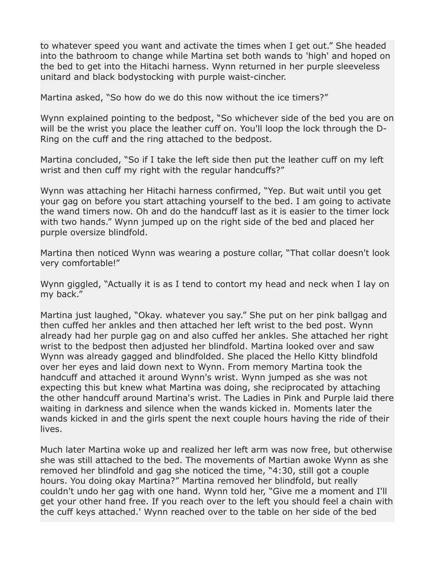to whatever speed you want and activate the times when I get out." She headed into the bathroom to change while Martina set both wands to 'high' and hoped on the bed to get into the Hitachi harness. Wynn returned in her purple sleeveless unitard and black bodystocking with purple waist-cincher.

Martina asked, "So how do we do this now without the ice timers?"

Wynn explained pointing to the bedpost, "So whichever side of the bed you are on will be the wrist you place the leather cuff on. You'll loop the lock through the D-Ring on the cuff and the ring attached to the bedpost.

Martina concluded, "So if I take the left side then put the leather cuff on my left wrist and then cuff my right with the regular handcuffs?"

Wynn was attaching her Hitachi harness confirmed, "Yep. But wait until you get your gag on before you start attaching yourself to the bed. I am going to activate the wand timers now. Oh and do the handcuff last as it is easier to the timer lock with two hands." Wynn jumped up on the right side of the bed and placed her purple oversize blindfold.

Martina then noticed Wynn was wearing a posture collar, "That collar doesn't look very comfortable!"

Wynn giggled, "Actually it is as I tend to contort my head and neck when I lay on my back."

Martina just laughed, "Okay. whatever you say." She put on her pink ballgag and then cuffed her ankles and then attached her left wrist to the bed post. Wynn already had her purple gag on and also cuffed her ankles. She attached her right wrist to the bedpost then adjusted her blindfold. Martina looked over and saw Wynn was already gagged and blindfolded. She placed the Hello Kitty blindfold over her eyes and laid down next to Wynn. From memory Martina took the handcuff and attached it around Wynn's wrist. Wynn jumped as she was not expecting this but knew what Martina was doing, she reciprocated by attaching the other handcuff around Martina's wrist. The Ladies in Pink and Purple laid there waiting in darkness and silence when the wands kicked in. Moments later the wands kicked in and the girls spent the next couple hours having the ride of their lives.

Much later Martina woke up and realized her left arm was now free, but otherwise she was still attached to the bed. The movements of Martian awoke Wynn as she removed her blindfold and gag she noticed the time, "4:30, still got a couple hours. You doing okay Martina?" Martina removed her blindfold, but really couldn't undo her gag with one hand. Wynn told her, "Give me a moment and I'll get your other hand free. If you reach over to the left you should feel a chain with the cuff keys attached.' Wynn reached over to the table on her side of the bed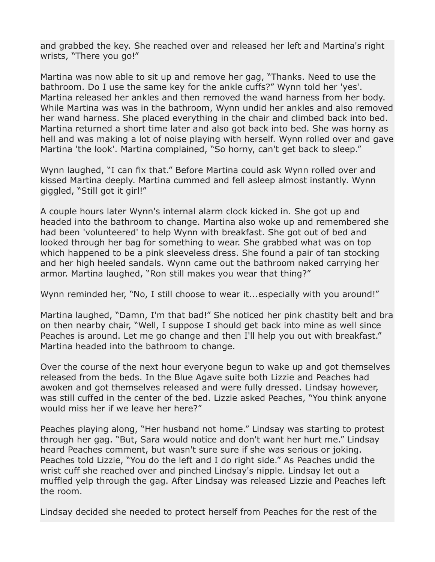and grabbed the key. She reached over and released her left and Martina's right wrists, "There you go!"

Martina was now able to sit up and remove her gag, "Thanks. Need to use the bathroom. Do I use the same key for the ankle cuffs?" Wynn told her 'yes'. Martina released her ankles and then removed the wand harness from her body. While Martina was was in the bathroom, Wynn undid her ankles and also removed her wand harness. She placed everything in the chair and climbed back into bed. Martina returned a short time later and also got back into bed. She was horny as hell and was making a lot of noise playing with herself. Wynn rolled over and gave Martina 'the look'. Martina complained, "So horny, can't get back to sleep."

Wynn laughed, "I can fix that." Before Martina could ask Wynn rolled over and kissed Martina deeply. Martina cummed and fell asleep almost instantly. Wynn giggled, "Still got it girl!"

A couple hours later Wynn's internal alarm clock kicked in. She got up and headed into the bathroom to change. Martina also woke up and remembered she had been 'volunteered' to help Wynn with breakfast. She got out of bed and looked through her bag for something to wear. She grabbed what was on top which happened to be a pink sleeveless dress. She found a pair of tan stocking and her high heeled sandals. Wynn came out the bathroom naked carrying her armor. Martina laughed, "Ron still makes you wear that thing?"

Wynn reminded her, "No, I still choose to wear it...especially with you around!"

Martina laughed, "Damn, I'm that bad!" She noticed her pink chastity belt and bra on then nearby chair, "Well, I suppose I should get back into mine as well since Peaches is around. Let me go change and then I'll help you out with breakfast." Martina headed into the bathroom to change.

Over the course of the next hour everyone begun to wake up and got themselves released from the beds. In the Blue Agave suite both Lizzie and Peaches had awoken and got themselves released and were fully dressed. Lindsay however, was still cuffed in the center of the bed. Lizzie asked Peaches, "You think anyone would miss her if we leave her here?"

Peaches playing along, "Her husband not home." Lindsay was starting to protest through her gag. "But, Sara would notice and don't want her hurt me." Lindsay heard Peaches comment, but wasn't sure sure if she was serious or joking. Peaches told Lizzie, "You do the left and I do right side." As Peaches undid the wrist cuff she reached over and pinched Lindsay's nipple. Lindsay let out a muffled yelp through the gag. After Lindsay was released Lizzie and Peaches left the room.

Lindsay decided she needed to protect herself from Peaches for the rest of the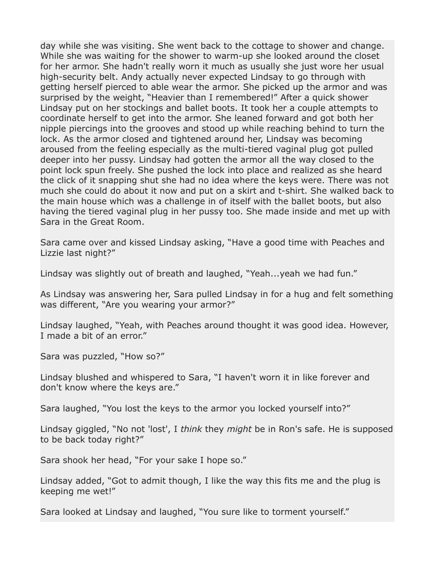day while she was visiting. She went back to the cottage to shower and change. While she was waiting for the shower to warm-up she looked around the closet for her armor. She hadn't really worn it much as usually she just wore her usual high-security belt. Andy actually never expected Lindsay to go through with getting herself pierced to able wear the armor. She picked up the armor and was surprised by the weight, "Heavier than I remembered!" After a quick shower Lindsay put on her stockings and ballet boots. It took her a couple attempts to coordinate herself to get into the armor. She leaned forward and got both her nipple piercings into the grooves and stood up while reaching behind to turn the lock. As the armor closed and tightened around her, Lindsay was becoming aroused from the feeling especially as the multi-tiered vaginal plug got pulled deeper into her pussy. Lindsay had gotten the armor all the way closed to the point lock spun freely. She pushed the lock into place and realized as she heard the click of it snapping shut she had no idea where the keys were. There was not much she could do about it now and put on a skirt and t-shirt. She walked back to the main house which was a challenge in of itself with the ballet boots, but also having the tiered vaginal plug in her pussy too. She made inside and met up with Sara in the Great Room.

Sara came over and kissed Lindsay asking, "Have a good time with Peaches and Lizzie last night?"

Lindsay was slightly out of breath and laughed, "Yeah...yeah we had fun."

As Lindsay was answering her, Sara pulled Lindsay in for a hug and felt something was different, "Are you wearing your armor?"

Lindsay laughed, "Yeah, with Peaches around thought it was good idea. However, I made a bit of an error."

Sara was puzzled, "How so?"

Lindsay blushed and whispered to Sara, "I haven't worn it in like forever and don't know where the keys are."

Sara laughed, "You lost the keys to the armor you locked yourself into?"

Lindsay giggled, "No not 'lost', I *think* they *might* be in Ron's safe. He is supposed to be back today right?"

Sara shook her head, "For your sake I hope so."

Lindsay added, "Got to admit though, I like the way this fits me and the plug is keeping me wet!"

Sara looked at Lindsay and laughed, "You sure like to torment yourself."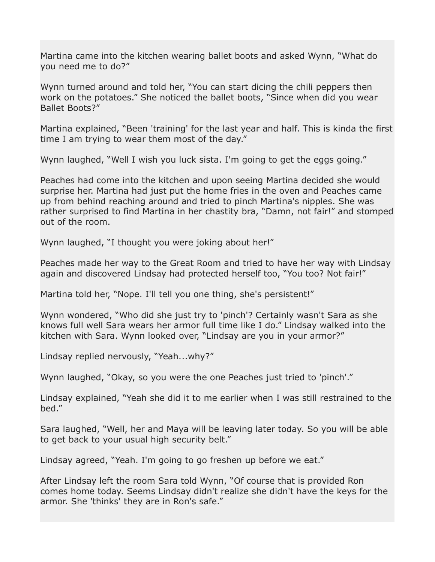Martina came into the kitchen wearing ballet boots and asked Wynn, "What do you need me to do?"

Wynn turned around and told her, "You can start dicing the chili peppers then work on the potatoes." She noticed the ballet boots, "Since when did you wear Ballet Boots?"

Martina explained, "Been 'training' for the last year and half. This is kinda the first time I am trying to wear them most of the day."

Wynn laughed, "Well I wish you luck sista. I'm going to get the eggs going."

Peaches had come into the kitchen and upon seeing Martina decided she would surprise her. Martina had just put the home fries in the oven and Peaches came up from behind reaching around and tried to pinch Martina's nipples. She was rather surprised to find Martina in her chastity bra, "Damn, not fair!" and stomped out of the room.

Wynn laughed, "I thought you were joking about her!"

Peaches made her way to the Great Room and tried to have her way with Lindsay again and discovered Lindsay had protected herself too, "You too? Not fair!"

Martina told her, "Nope. I'll tell you one thing, she's persistent!"

Wynn wondered, "Who did she just try to 'pinch'? Certainly wasn't Sara as she knows full well Sara wears her armor full time like I do." Lindsay walked into the kitchen with Sara. Wynn looked over, "Lindsay are you in your armor?"

Lindsay replied nervously, "Yeah...why?"

Wynn laughed, "Okay, so you were the one Peaches just tried to 'pinch'."

Lindsay explained, "Yeah she did it to me earlier when I was still restrained to the bed."

Sara laughed, "Well, her and Maya will be leaving later today. So you will be able to get back to your usual high security belt."

Lindsay agreed, "Yeah. I'm going to go freshen up before we eat."

After Lindsay left the room Sara told Wynn, "Of course that is provided Ron comes home today. Seems Lindsay didn't realize she didn't have the keys for the armor. She 'thinks' they are in Ron's safe."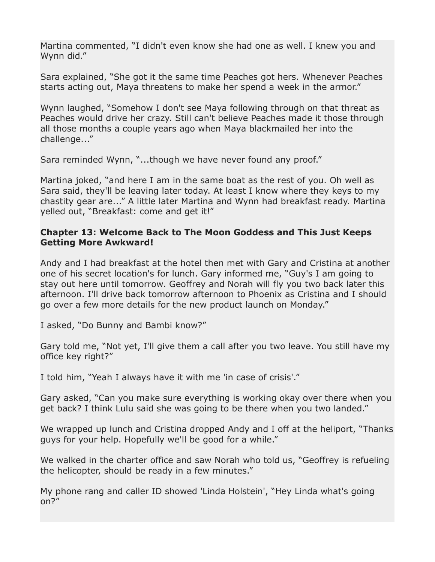Martina commented, "I didn't even know she had one as well. I knew you and Wynn did."

Sara explained, "She got it the same time Peaches got hers. Whenever Peaches starts acting out, Maya threatens to make her spend a week in the armor."

Wynn laughed, "Somehow I don't see Maya following through on that threat as Peaches would drive her crazy. Still can't believe Peaches made it those through all those months a couple years ago when Maya blackmailed her into the challenge..."

Sara reminded Wynn, "...though we have never found any proof."

Martina joked, "and here I am in the same boat as the rest of you. Oh well as Sara said, they'll be leaving later today. At least I know where they keys to my chastity gear are..." A little later Martina and Wynn had breakfast ready. Martina yelled out, "Breakfast: come and get it!"

## **Chapter 13: Welcome Back to The Moon Goddess and This Just Keeps Getting More Awkward!**

Andy and I had breakfast at the hotel then met with Gary and Cristina at another one of his secret location's for lunch. Gary informed me, "Guy's I am going to stay out here until tomorrow. Geoffrey and Norah will fly you two back later this afternoon. I'll drive back tomorrow afternoon to Phoenix as Cristina and I should go over a few more details for the new product launch on Monday."

I asked, "Do Bunny and Bambi know?"

Gary told me, "Not yet, I'll give them a call after you two leave. You still have my office key right?"

I told him, "Yeah I always have it with me 'in case of crisis'."

Gary asked, "Can you make sure everything is working okay over there when you get back? I think Lulu said she was going to be there when you two landed."

We wrapped up lunch and Cristina dropped Andy and I off at the heliport, "Thanks" guys for your help. Hopefully we'll be good for a while."

We walked in the charter office and saw Norah who told us, "Geoffrey is refueling the helicopter, should be ready in a few minutes."

My phone rang and caller ID showed 'Linda Holstein', "Hey Linda what's going on?"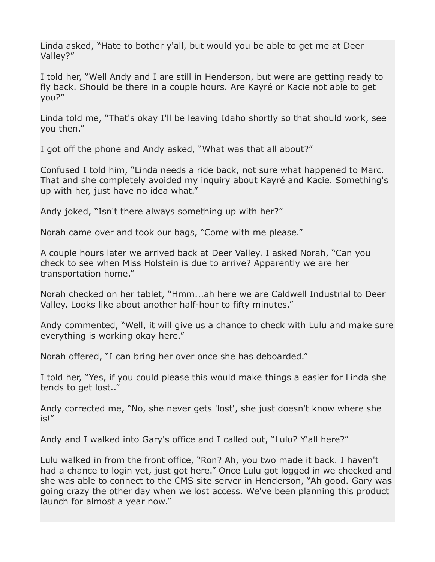Linda asked, "Hate to bother y'all, but would you be able to get me at Deer Valley?"

I told her, "Well Andy and I are still in Henderson, but were are getting ready to fly back. Should be there in a couple hours. Are Kayré or Kacie not able to get you?"

Linda told me, "That's okay I'll be leaving Idaho shortly so that should work, see you then."

I got off the phone and Andy asked, "What was that all about?"

Confused I told him, "Linda needs a ride back, not sure what happened to Marc. That and she completely avoided my inquiry about Kayré and Kacie. Something's up with her, just have no idea what."

Andy joked, "Isn't there always something up with her?"

Norah came over and took our bags, "Come with me please."

A couple hours later we arrived back at Deer Valley. I asked Norah, "Can you check to see when Miss Holstein is due to arrive? Apparently we are her transportation home."

Norah checked on her tablet, "Hmm...ah here we are Caldwell Industrial to Deer Valley. Looks like about another half-hour to fifty minutes."

Andy commented, "Well, it will give us a chance to check with Lulu and make sure everything is working okay here."

Norah offered, "I can bring her over once she has deboarded."

I told her, "Yes, if you could please this would make things a easier for Linda she tends to get lost.."

Andy corrected me, "No, she never gets 'lost', she just doesn't know where she is!"

Andy and I walked into Gary's office and I called out, "Lulu? Y'all here?"

Lulu walked in from the front office, "Ron? Ah, you two made it back. I haven't had a chance to login yet, just got here." Once Lulu got logged in we checked and she was able to connect to the CMS site server in Henderson, "Ah good. Gary was going crazy the other day when we lost access. We've been planning this product launch for almost a year now."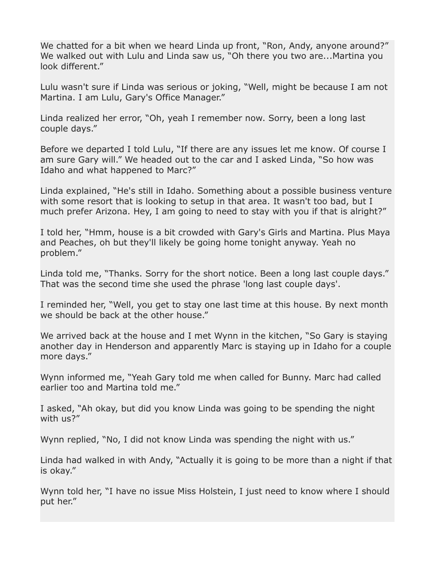We chatted for a bit when we heard Linda up front, "Ron, Andy, anyone around?" We walked out with Lulu and Linda saw us, "Oh there you two are...Martina you look different."

Lulu wasn't sure if Linda was serious or joking, "Well, might be because I am not Martina. I am Lulu, Gary's Office Manager."

Linda realized her error, "Oh, yeah I remember now. Sorry, been a long last couple days."

Before we departed I told Lulu, "If there are any issues let me know. Of course I am sure Gary will." We headed out to the car and I asked Linda, "So how was Idaho and what happened to Marc?"

Linda explained, "He's still in Idaho. Something about a possible business venture with some resort that is looking to setup in that area. It wasn't too bad, but I much prefer Arizona. Hey, I am going to need to stay with you if that is alright?"

I told her, "Hmm, house is a bit crowded with Gary's Girls and Martina. Plus Maya and Peaches, oh but they'll likely be going home tonight anyway. Yeah no problem."

Linda told me, "Thanks. Sorry for the short notice. Been a long last couple days." That was the second time she used the phrase 'long last couple days'.

I reminded her, "Well, you get to stay one last time at this house. By next month we should be back at the other house."

We arrived back at the house and I met Wynn in the kitchen, "So Gary is staying another day in Henderson and apparently Marc is staying up in Idaho for a couple more days."

Wynn informed me, "Yeah Gary told me when called for Bunny. Marc had called earlier too and Martina told me."

I asked, "Ah okay, but did you know Linda was going to be spending the night with us?"

Wynn replied, "No, I did not know Linda was spending the night with us."

Linda had walked in with Andy, "Actually it is going to be more than a night if that is okay."

Wynn told her, "I have no issue Miss Holstein, I just need to know where I should put her."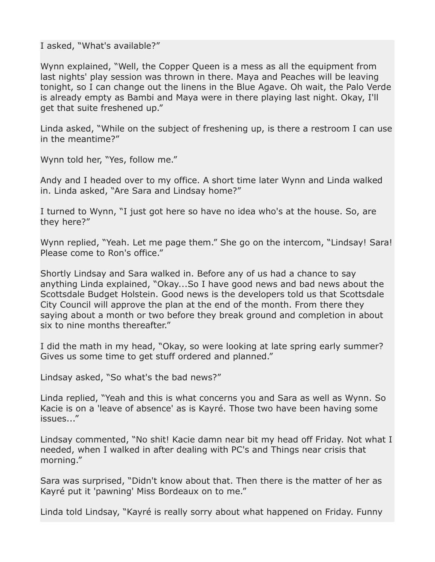I asked, "What's available?"

Wynn explained, "Well, the Copper Queen is a mess as all the equipment from last nights' play session was thrown in there. Maya and Peaches will be leaving tonight, so I can change out the linens in the Blue Agave. Oh wait, the Palo Verde is already empty as Bambi and Maya were in there playing last night. Okay, I'll get that suite freshened up."

Linda asked, "While on the subject of freshening up, is there a restroom I can use in the meantime?"

Wynn told her, "Yes, follow me."

Andy and I headed over to my office. A short time later Wynn and Linda walked in. Linda asked, "Are Sara and Lindsay home?"

I turned to Wynn, "I just got here so have no idea who's at the house. So, are they here?"

Wynn replied, "Yeah. Let me page them." She go on the intercom, "Lindsay! Sara! Please come to Ron's office."

Shortly Lindsay and Sara walked in. Before any of us had a chance to say anything Linda explained, "Okay...So I have good news and bad news about the Scottsdale Budget Holstein. Good news is the developers told us that Scottsdale City Council will approve the plan at the end of the month. From there they saying about a month or two before they break ground and completion in about six to nine months thereafter."

I did the math in my head, "Okay, so were looking at late spring early summer? Gives us some time to get stuff ordered and planned."

Lindsay asked, "So what's the bad news?"

Linda replied, "Yeah and this is what concerns you and Sara as well as Wynn. So Kacie is on a 'leave of absence' as is Kayré. Those two have been having some issues..."

Lindsay commented, "No shit! Kacie damn near bit my head off Friday. Not what I needed, when I walked in after dealing with PC's and Things near crisis that morning."

Sara was surprised, "Didn't know about that. Then there is the matter of her as Kayré put it 'pawning' Miss Bordeaux on to me."

Linda told Lindsay, "Kayré is really sorry about what happened on Friday. Funny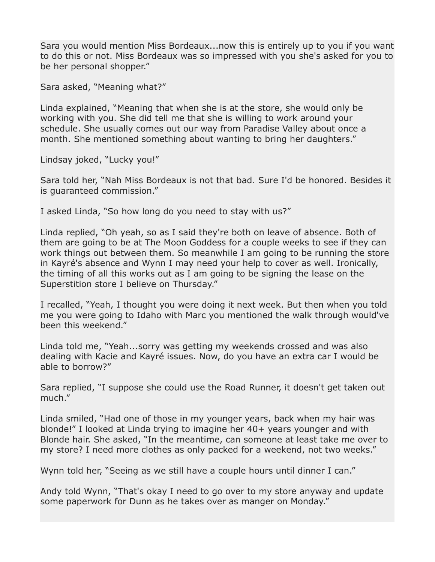Sara you would mention Miss Bordeaux...now this is entirely up to you if you want to do this or not. Miss Bordeaux was so impressed with you she's asked for you to be her personal shopper."

Sara asked, "Meaning what?"

Linda explained, "Meaning that when she is at the store, she would only be working with you. She did tell me that she is willing to work around your schedule. She usually comes out our way from Paradise Valley about once a month. She mentioned something about wanting to bring her daughters."

Lindsay joked, "Lucky you!"

Sara told her, "Nah Miss Bordeaux is not that bad. Sure I'd be honored. Besides it is guaranteed commission."

I asked Linda, "So how long do you need to stay with us?"

Linda replied, "Oh yeah, so as I said they're both on leave of absence. Both of them are going to be at The Moon Goddess for a couple weeks to see if they can work things out between them. So meanwhile I am going to be running the store in Kayré's absence and Wynn I may need your help to cover as well. Ironically, the timing of all this works out as I am going to be signing the lease on the Superstition store I believe on Thursday."

I recalled, "Yeah, I thought you were doing it next week. But then when you told me you were going to Idaho with Marc you mentioned the walk through would've been this weekend."

Linda told me, "Yeah...sorry was getting my weekends crossed and was also dealing with Kacie and Kayré issues. Now, do you have an extra car I would be able to borrow?"

Sara replied, "I suppose she could use the Road Runner, it doesn't get taken out much."

Linda smiled, "Had one of those in my younger years, back when my hair was blonde!" I looked at Linda trying to imagine her 40+ years younger and with Blonde hair. She asked, "In the meantime, can someone at least take me over to my store? I need more clothes as only packed for a weekend, not two weeks."

Wynn told her, "Seeing as we still have a couple hours until dinner I can."

Andy told Wynn, "That's okay I need to go over to my store anyway and update some paperwork for Dunn as he takes over as manger on Monday."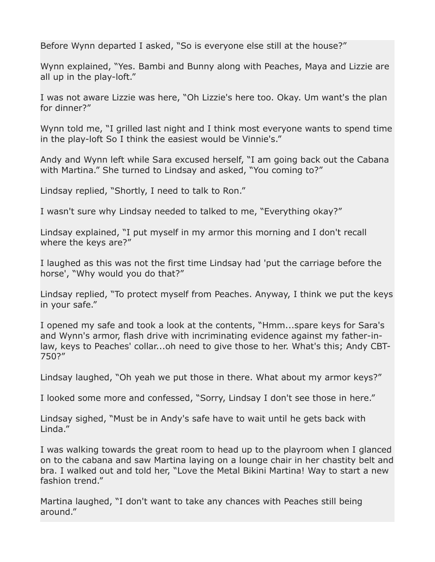Before Wynn departed I asked, "So is everyone else still at the house?"

Wynn explained, "Yes. Bambi and Bunny along with Peaches, Maya and Lizzie are all up in the play-loft."

I was not aware Lizzie was here, "Oh Lizzie's here too. Okay. Um want's the plan for dinner?"

Wynn told me, "I grilled last night and I think most everyone wants to spend time in the play-loft So I think the easiest would be Vinnie's."

Andy and Wynn left while Sara excused herself, "I am going back out the Cabana with Martina." She turned to Lindsay and asked, "You coming to?"

Lindsay replied, "Shortly, I need to talk to Ron."

I wasn't sure why Lindsay needed to talked to me, "Everything okay?"

Lindsay explained, "I put myself in my armor this morning and I don't recall where the keys are?"

I laughed as this was not the first time Lindsay had 'put the carriage before the horse', "Why would you do that?"

Lindsay replied, "To protect myself from Peaches. Anyway, I think we put the keys in your safe."

I opened my safe and took a look at the contents, "Hmm...spare keys for Sara's and Wynn's armor, flash drive with incriminating evidence against my father-inlaw, keys to Peaches' collar...oh need to give those to her. What's this; Andy CBT-750?"

Lindsay laughed, "Oh yeah we put those in there. What about my armor keys?"

I looked some more and confessed, "Sorry, Lindsay I don't see those in here."

Lindsay sighed, "Must be in Andy's safe have to wait until he gets back with Linda."

I was walking towards the great room to head up to the playroom when I glanced on to the cabana and saw Martina laying on a lounge chair in her chastity belt and bra. I walked out and told her, "Love the Metal Bikini Martina! Way to start a new fashion trend."

Martina laughed, "I don't want to take any chances with Peaches still being around."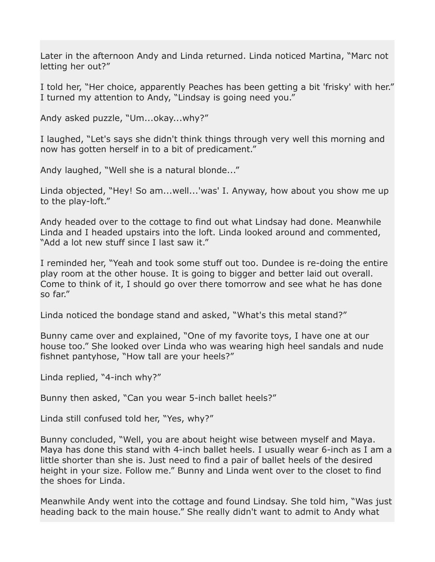Later in the afternoon Andy and Linda returned. Linda noticed Martina, "Marc not letting her out?"

I told her, "Her choice, apparently Peaches has been getting a bit 'frisky' with her." I turned my attention to Andy, "Lindsay is going need you."

Andy asked puzzle, "Um...okay...why?"

I laughed, "Let's says she didn't think things through very well this morning and now has gotten herself in to a bit of predicament."

Andy laughed, "Well she is a natural blonde..."

Linda objected, "Hey! So am...well...'was' I. Anyway, how about you show me up to the play-loft."

Andy headed over to the cottage to find out what Lindsay had done. Meanwhile Linda and I headed upstairs into the loft. Linda looked around and commented, "Add a lot new stuff since I last saw it."

I reminded her, "Yeah and took some stuff out too. Dundee is re-doing the entire play room at the other house. It is going to bigger and better laid out overall. Come to think of it, I should go over there tomorrow and see what he has done so far."

Linda noticed the bondage stand and asked, "What's this metal stand?"

Bunny came over and explained, "One of my favorite toys, I have one at our house too." She looked over Linda who was wearing high heel sandals and nude fishnet pantyhose, "How tall are your heels?"

Linda replied, "4-inch why?"

Bunny then asked, "Can you wear 5-inch ballet heels?"

Linda still confused told her, "Yes, why?"

Bunny concluded, "Well, you are about height wise between myself and Maya. Maya has done this stand with 4-inch ballet heels. I usually wear 6-inch as I am a little shorter than she is. Just need to find a pair of ballet heels of the desired height in your size. Follow me." Bunny and Linda went over to the closet to find the shoes for Linda.

Meanwhile Andy went into the cottage and found Lindsay. She told him, "Was just heading back to the main house." She really didn't want to admit to Andy what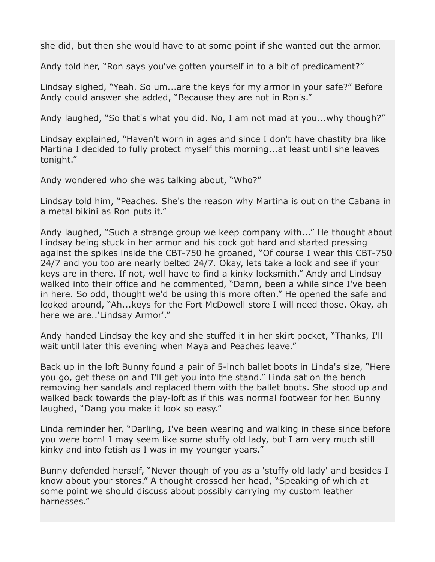she did, but then she would have to at some point if she wanted out the armor.

Andy told her, "Ron says you've gotten yourself in to a bit of predicament?"

Lindsay sighed, "Yeah. So um...are the keys for my armor in your safe?" Before Andy could answer she added, "Because they are not in Ron's."

Andy laughed, "So that's what you did. No, I am not mad at you...why though?"

Lindsay explained, "Haven't worn in ages and since I don't have chastity bra like Martina I decided to fully protect myself this morning...at least until she leaves tonight."

Andy wondered who she was talking about, "Who?"

Lindsay told him, "Peaches. She's the reason why Martina is out on the Cabana in a metal bikini as Ron puts it."

Andy laughed, "Such a strange group we keep company with..." He thought about Lindsay being stuck in her armor and his cock got hard and started pressing against the spikes inside the CBT-750 he groaned, "Of course I wear this CBT-750 24/7 and you too are nearly belted 24/7. Okay, lets take a look and see if your keys are in there. If not, well have to find a kinky locksmith." Andy and Lindsay walked into their office and he commented, "Damn, been a while since I've been in here. So odd, thought we'd be using this more often." He opened the safe and looked around, "Ah...keys for the Fort McDowell store I will need those. Okay, ah here we are..'Lindsay Armor'."

Andy handed Lindsay the key and she stuffed it in her skirt pocket, "Thanks, I'll wait until later this evening when Maya and Peaches leave."

Back up in the loft Bunny found a pair of 5-inch ballet boots in Linda's size, "Here you go, get these on and I'll get you into the stand." Linda sat on the bench removing her sandals and replaced them with the ballet boots. She stood up and walked back towards the play-loft as if this was normal footwear for her. Bunny laughed, "Dang you make it look so easy."

Linda reminder her, "Darling, I've been wearing and walking in these since before you were born! I may seem like some stuffy old lady, but I am very much still kinky and into fetish as I was in my younger years."

Bunny defended herself, "Never though of you as a 'stuffy old lady' and besides I know about your stores." A thought crossed her head, "Speaking of which at some point we should discuss about possibly carrying my custom leather harnesses."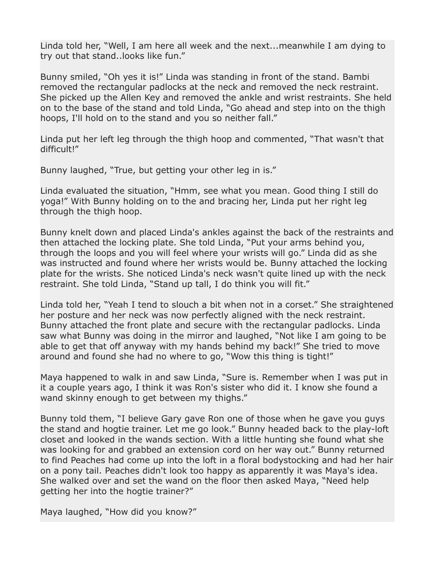Linda told her, "Well, I am here all week and the next...meanwhile I am dying to try out that stand..looks like fun."

Bunny smiled, "Oh yes it is!" Linda was standing in front of the stand. Bambi removed the rectangular padlocks at the neck and removed the neck restraint. She picked up the Allen Key and removed the ankle and wrist restraints. She held on to the base of the stand and told Linda, "Go ahead and step into on the thigh hoops, I'll hold on to the stand and you so neither fall."

Linda put her left leg through the thigh hoop and commented, "That wasn't that difficult!"

Bunny laughed, "True, but getting your other leg in is."

Linda evaluated the situation, "Hmm, see what you mean. Good thing I still do yoga!" With Bunny holding on to the and bracing her, Linda put her right leg through the thigh hoop.

Bunny knelt down and placed Linda's ankles against the back of the restraints and then attached the locking plate. She told Linda, "Put your arms behind you, through the loops and you will feel where your wrists will go." Linda did as she was instructed and found where her wrists would be. Bunny attached the locking plate for the wrists. She noticed Linda's neck wasn't quite lined up with the neck restraint. She told Linda, "Stand up tall, I do think you will fit."

Linda told her, "Yeah I tend to slouch a bit when not in a corset." She straightened her posture and her neck was now perfectly aligned with the neck restraint. Bunny attached the front plate and secure with the rectangular padlocks. Linda saw what Bunny was doing in the mirror and laughed, "Not like I am going to be able to get that off anyway with my hands behind my back!" She tried to move around and found she had no where to go, "Wow this thing is tight!"

Maya happened to walk in and saw Linda, "Sure is. Remember when I was put in it a couple years ago, I think it was Ron's sister who did it. I know she found a wand skinny enough to get between my thighs."

Bunny told them, "I believe Gary gave Ron one of those when he gave you guys the stand and hogtie trainer. Let me go look." Bunny headed back to the play-loft closet and looked in the wands section. With a little hunting she found what she was looking for and grabbed an extension cord on her way out." Bunny returned to find Peaches had come up into the loft in a floral bodystocking and had her hair on a pony tail. Peaches didn't look too happy as apparently it was Maya's idea. She walked over and set the wand on the floor then asked Maya, "Need help getting her into the hogtie trainer?"

Maya laughed, "How did you know?"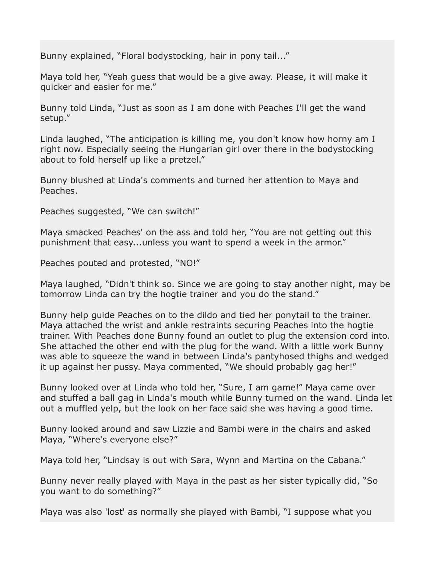Bunny explained, "Floral bodystocking, hair in pony tail..."

Maya told her, "Yeah guess that would be a give away. Please, it will make it quicker and easier for me."

Bunny told Linda, "Just as soon as I am done with Peaches I'll get the wand setup."

Linda laughed, "The anticipation is killing me, you don't know how horny am I right now. Especially seeing the Hungarian girl over there in the bodystocking about to fold herself up like a pretzel."

Bunny blushed at Linda's comments and turned her attention to Maya and Peaches.

Peaches suggested, "We can switch!"

Maya smacked Peaches' on the ass and told her, "You are not getting out this punishment that easy...unless you want to spend a week in the armor."

Peaches pouted and protested, "NO!"

Maya laughed, "Didn't think so. Since we are going to stay another night, may be tomorrow Linda can try the hogtie trainer and you do the stand."

Bunny help guide Peaches on to the dildo and tied her ponytail to the trainer. Maya attached the wrist and ankle restraints securing Peaches into the hogtie trainer. With Peaches done Bunny found an outlet to plug the extension cord into. She attached the other end with the plug for the wand. With a little work Bunny was able to squeeze the wand in between Linda's pantyhosed thighs and wedged it up against her pussy. Maya commented, "We should probably gag her!"

Bunny looked over at Linda who told her, "Sure, I am game!" Maya came over and stuffed a ball gag in Linda's mouth while Bunny turned on the wand. Linda let out a muffled yelp, but the look on her face said she was having a good time.

Bunny looked around and saw Lizzie and Bambi were in the chairs and asked Maya, "Where's everyone else?"

Maya told her, "Lindsay is out with Sara, Wynn and Martina on the Cabana."

Bunny never really played with Maya in the past as her sister typically did, "So you want to do something?"

Maya was also 'lost' as normally she played with Bambi, "I suppose what you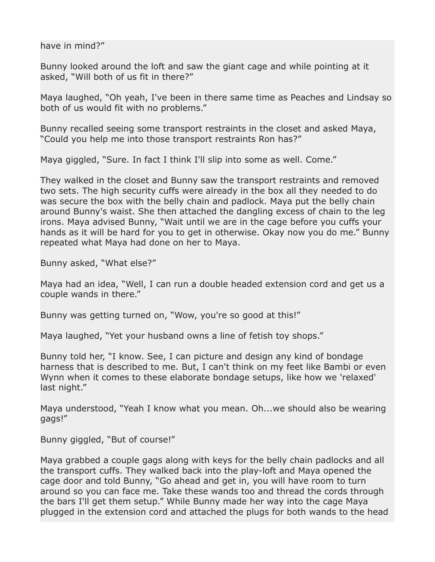have in mind?"

Bunny looked around the loft and saw the giant cage and while pointing at it asked, "Will both of us fit in there?"

Maya laughed, "Oh yeah, I've been in there same time as Peaches and Lindsay so both of us would fit with no problems."

Bunny recalled seeing some transport restraints in the closet and asked Maya, "Could you help me into those transport restraints Ron has?"

Maya giggled, "Sure. In fact I think I'll slip into some as well. Come."

They walked in the closet and Bunny saw the transport restraints and removed two sets. The high security cuffs were already in the box all they needed to do was secure the box with the belly chain and padlock. Maya put the belly chain around Bunny's waist. She then attached the dangling excess of chain to the leg irons. Maya advised Bunny, "Wait until we are in the cage before you cuffs your hands as it will be hard for you to get in otherwise. Okay now you do me." Bunny repeated what Maya had done on her to Maya.

Bunny asked, "What else?"

Maya had an idea, "Well, I can run a double headed extension cord and get us a couple wands in there."

Bunny was getting turned on, "Wow, you're so good at this!"

Maya laughed, "Yet your husband owns a line of fetish toy shops."

Bunny told her, "I know. See, I can picture and design any kind of bondage harness that is described to me. But, I can't think on my feet like Bambi or even Wynn when it comes to these elaborate bondage setups, like how we 'relaxed' last night."

Maya understood, "Yeah I know what you mean. Oh...we should also be wearing gags!"

Bunny giggled, "But of course!"

Maya grabbed a couple gags along with keys for the belly chain padlocks and all the transport cuffs. They walked back into the play-loft and Maya opened the cage door and told Bunny, "Go ahead and get in, you will have room to turn around so you can face me. Take these wands too and thread the cords through the bars I'll get them setup." While Bunny made her way into the cage Maya plugged in the extension cord and attached the plugs for both wands to the head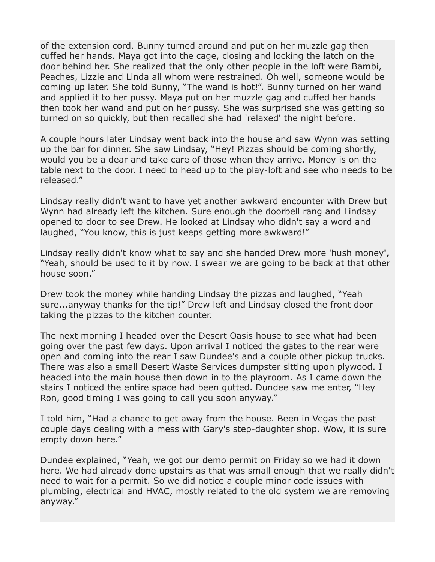of the extension cord. Bunny turned around and put on her muzzle gag then cuffed her hands. Maya got into the cage, closing and locking the latch on the door behind her. She realized that the only other people in the loft were Bambi, Peaches, Lizzie and Linda all whom were restrained. Oh well, someone would be coming up later. She told Bunny, "The wand is hot!". Bunny turned on her wand and applied it to her pussy. Maya put on her muzzle gag and cuffed her hands then took her wand and put on her pussy. She was surprised she was getting so turned on so quickly, but then recalled she had 'relaxed' the night before.

A couple hours later Lindsay went back into the house and saw Wynn was setting up the bar for dinner. She saw Lindsay, "Hey! Pizzas should be coming shortly, would you be a dear and take care of those when they arrive. Money is on the table next to the door. I need to head up to the play-loft and see who needs to be released."

Lindsay really didn't want to have yet another awkward encounter with Drew but Wynn had already left the kitchen. Sure enough the doorbell rang and Lindsay opened to door to see Drew. He looked at Lindsay who didn't say a word and laughed, "You know, this is just keeps getting more awkward!"

Lindsay really didn't know what to say and she handed Drew more 'hush money', "Yeah, should be used to it by now. I swear we are going to be back at that other house soon."

Drew took the money while handing Lindsay the pizzas and laughed, "Yeah sure...anyway thanks for the tip!" Drew left and Lindsay closed the front door taking the pizzas to the kitchen counter.

The next morning I headed over the Desert Oasis house to see what had been going over the past few days. Upon arrival I noticed the gates to the rear were open and coming into the rear I saw Dundee's and a couple other pickup trucks. There was also a small Desert Waste Services dumpster sitting upon plywood. I headed into the main house then down in to the playroom. As I came down the stairs I noticed the entire space had been gutted. Dundee saw me enter, "Hey Ron, good timing I was going to call you soon anyway."

I told him, "Had a chance to get away from the house. Been in Vegas the past couple days dealing with a mess with Gary's step-daughter shop. Wow, it is sure empty down here."

Dundee explained, "Yeah, we got our demo permit on Friday so we had it down here. We had already done upstairs as that was small enough that we really didn't need to wait for a permit. So we did notice a couple minor code issues with plumbing, electrical and HVAC, mostly related to the old system we are removing anyway."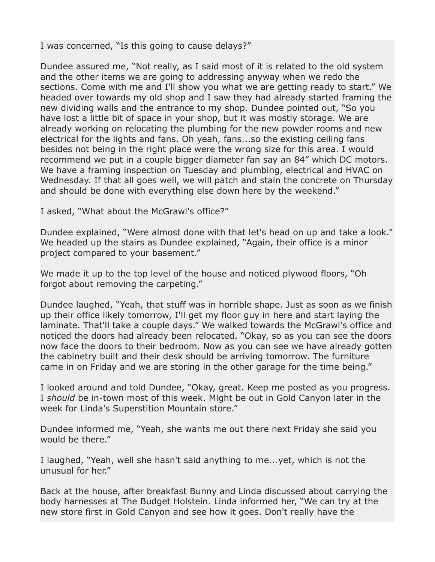I was concerned, "Is this going to cause delays?"

Dundee assured me, "Not really, as I said most of it is related to the old system and the other items we are going to addressing anyway when we redo the sections. Come with me and I'll show you what we are getting ready to start." We headed over towards my old shop and I saw they had already started framing the new dividing walls and the entrance to my shop. Dundee pointed out, "So you have lost a little bit of space in your shop, but it was mostly storage. We are already working on relocating the plumbing for the new powder rooms and new electrical for the lights and fans. Oh yeah, fans...so the existing ceiling fans besides not being in the right place were the wrong size for this area. I would recommend we put in a couple bigger diameter fan say an 84" which DC motors. We have a framing inspection on Tuesday and plumbing, electrical and HVAC on Wednesday. If that all goes well, we will patch and stain the concrete on Thursday and should be done with everything else down here by the weekend."

I asked, "What about the McGrawl's office?"

Dundee explained, "Were almost done with that let's head on up and take a look." We headed up the stairs as Dundee explained, "Again, their office is a minor project compared to your basement."

We made it up to the top level of the house and noticed plywood floors, "Oh forgot about removing the carpeting."

Dundee laughed, "Yeah, that stuff was in horrible shape. Just as soon as we finish up their office likely tomorrow, I'll get my floor guy in here and start laying the laminate. That'll take a couple days." We walked towards the McGrawl's office and noticed the doors had already been relocated. "Okay, so as you can see the doors now face the doors to their bedroom. Now as you can see we have already gotten the cabinetry built and their desk should be arriving tomorrow. The furniture came in on Friday and we are storing in the other garage for the time being."

I looked around and told Dundee, "Okay, great. Keep me posted as you progress. I *should* be in-town most of this week. Might be out in Gold Canyon later in the week for Linda's Superstition Mountain store."

Dundee informed me, "Yeah, she wants me out there next Friday she said you would be there."

I laughed, "Yeah, well she hasn't said anything to me...yet, which is not the unusual for her."

Back at the house, after breakfast Bunny and Linda discussed about carrying the body harnesses at The Budget Holstein. Linda informed her, "We can try at the new store first in Gold Canyon and see how it goes. Don't really have the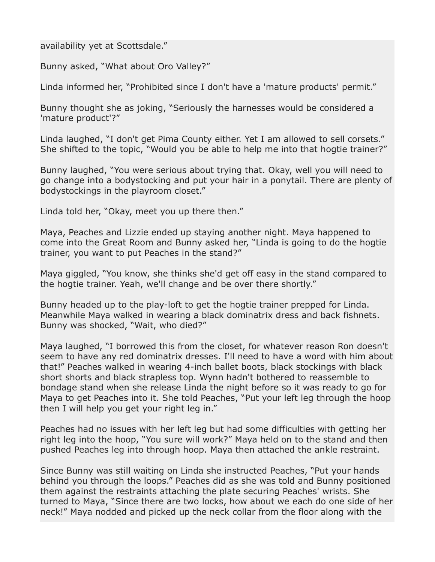## availability yet at Scottsdale."

Bunny asked, "What about Oro Valley?"

Linda informed her, "Prohibited since I don't have a 'mature products' permit."

Bunny thought she as joking, "Seriously the harnesses would be considered a 'mature product'?"

Linda laughed, "I don't get Pima County either. Yet I am allowed to sell corsets." She shifted to the topic, "Would you be able to help me into that hogtie trainer?"

Bunny laughed, "You were serious about trying that. Okay, well you will need to go change into a bodystocking and put your hair in a ponytail. There are plenty of bodystockings in the playroom closet."

Linda told her, "Okay, meet you up there then."

Maya, Peaches and Lizzie ended up staying another night. Maya happened to come into the Great Room and Bunny asked her, "Linda is going to do the hogtie trainer, you want to put Peaches in the stand?"

Maya giggled, "You know, she thinks she'd get off easy in the stand compared to the hogtie trainer. Yeah, we'll change and be over there shortly."

Bunny headed up to the play-loft to get the hogtie trainer prepped for Linda. Meanwhile Maya walked in wearing a black dominatrix dress and back fishnets. Bunny was shocked, "Wait, who died?"

Maya laughed, "I borrowed this from the closet, for whatever reason Ron doesn't seem to have any red dominatrix dresses. I'll need to have a word with him about that!" Peaches walked in wearing 4-inch ballet boots, black stockings with black short shorts and black strapless top. Wynn hadn't bothered to reassemble to bondage stand when she release Linda the night before so it was ready to go for Maya to get Peaches into it. She told Peaches, "Put your left leg through the hoop then I will help you get your right leg in."

Peaches had no issues with her left leg but had some difficulties with getting her right leg into the hoop, "You sure will work?" Maya held on to the stand and then pushed Peaches leg into through hoop. Maya then attached the ankle restraint.

Since Bunny was still waiting on Linda she instructed Peaches, "Put your hands behind you through the loops." Peaches did as she was told and Bunny positioned them against the restraints attaching the plate securing Peaches' wrists. She turned to Maya, "Since there are two locks, how about we each do one side of her neck!" Maya nodded and picked up the neck collar from the floor along with the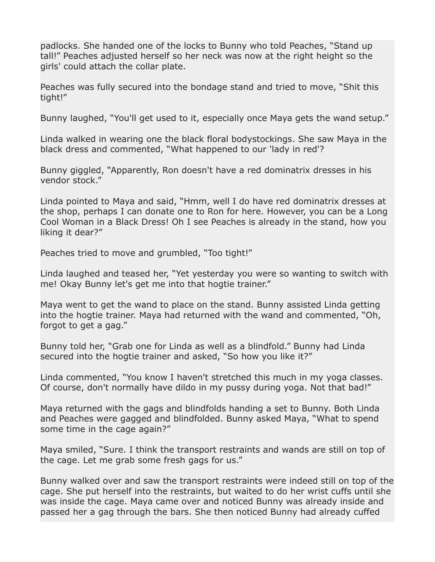padlocks. She handed one of the locks to Bunny who told Peaches, "Stand up tall!" Peaches adjusted herself so her neck was now at the right height so the girls' could attach the collar plate.

Peaches was fully secured into the bondage stand and tried to move, "Shit this tight!"

Bunny laughed, "You'll get used to it, especially once Maya gets the wand setup."

Linda walked in wearing one the black floral bodystockings. She saw Maya in the black dress and commented, "What happened to our 'lady in red'?

Bunny giggled, "Apparently, Ron doesn't have a red dominatrix dresses in his vendor stock."

Linda pointed to Maya and said, "Hmm, well I do have red dominatrix dresses at the shop, perhaps I can donate one to Ron for here. However, you can be a Long Cool Woman in a Black Dress! Oh I see Peaches is already in the stand, how you liking it dear?"

Peaches tried to move and grumbled, "Too tight!"

Linda laughed and teased her, "Yet yesterday you were so wanting to switch with me! Okay Bunny let's get me into that hogtie trainer."

Maya went to get the wand to place on the stand. Bunny assisted Linda getting into the hogtie trainer. Maya had returned with the wand and commented, "Oh, forgot to get a gag."

Bunny told her, "Grab one for Linda as well as a blindfold." Bunny had Linda secured into the hogtie trainer and asked, "So how you like it?"

Linda commented, "You know I haven't stretched this much in my yoga classes. Of course, don't normally have dildo in my pussy during yoga. Not that bad!"

Maya returned with the gags and blindfolds handing a set to Bunny. Both Linda and Peaches were gagged and blindfolded. Bunny asked Maya, "What to spend some time in the cage again?"

Maya smiled, "Sure. I think the transport restraints and wands are still on top of the cage. Let me grab some fresh gags for us."

Bunny walked over and saw the transport restraints were indeed still on top of the cage. She put herself into the restraints, but waited to do her wrist cuffs until she was inside the cage. Maya came over and noticed Bunny was already inside and passed her a gag through the bars. She then noticed Bunny had already cuffed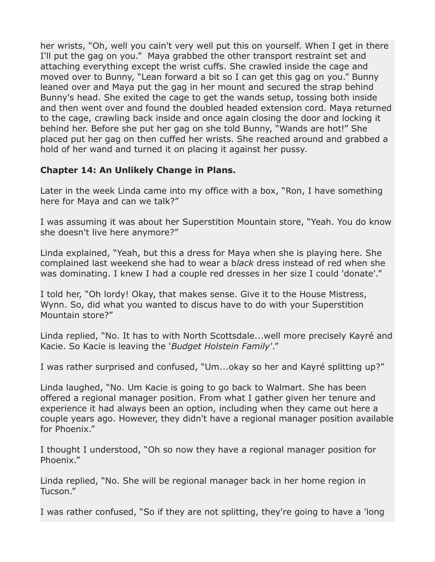her wrists, "Oh, well you cain't very well put this on yourself. When I get in there I'll put the gag on you." Maya grabbed the other transport restraint set and attaching everything except the wrist cuffs. She crawled inside the cage and moved over to Bunny, "Lean forward a bit so I can get this gag on you." Bunny leaned over and Maya put the gag in her mount and secured the strap behind Bunny's head. She exited the cage to get the wands setup, tossing both inside and then went over and found the doubled headed extension cord. Maya returned to the cage, crawling back inside and once again closing the door and locking it behind her. Before she put her gag on she told Bunny, "Wands are hot!" She placed put her gag on then cuffed her wrists. She reached around and grabbed a hold of her wand and turned it on placing it against her pussy.

## **Chapter 14: An Unlikely Change in Plans.**

Later in the week Linda came into my office with a box, "Ron, I have something here for Maya and can we talk?"

I was assuming it was about her Superstition Mountain store, "Yeah. You do know she doesn't live here anymore?"

Linda explained, "Yeah, but this a dress for Maya when she is playing here. She complained last weekend she had to wear a b*lack* dress instead of red when she was dominating. I knew I had a couple red dresses in her size I could 'donate'."

I told her, "Oh lordy! Okay, that makes sense. Give it to the House Mistress, Wynn. So, did what you wanted to discus have to do with your Superstition Mountain store?"

Linda replied, "No. It has to with North Scottsdale...well more precisely Kayré and Kacie. So Kacie is leaving the '*Budget Holstein Family'*."

I was rather surprised and confused, "Um...okay so her and Kayré splitting up?"

Linda laughed, "No. Um Kacie is going to go back to Walmart. She has been offered a regional manager position. From what I gather given her tenure and experience it had always been an option, including when they came out here a couple years ago. However, they didn't have a regional manager position available for Phoenix."

I thought I understood, "Oh so now they have a regional manager position for Phoenix."

Linda replied, "No. She will be regional manager back in her home region in Tucson."

I was rather confused, "So if they are not splitting, they're going to have a 'long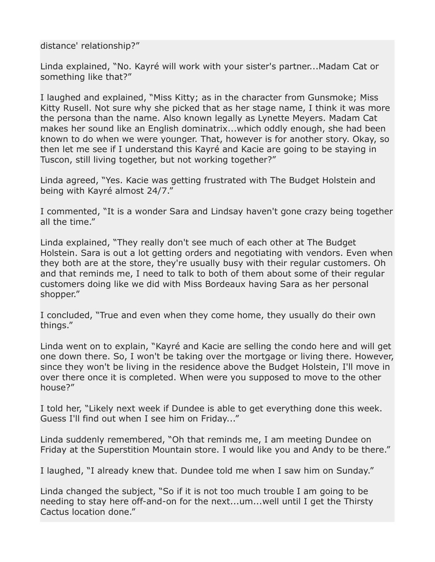distance' relationship?"

Linda explained, "No. Kayré will work with your sister's partner...Madam Cat or something like that?"

I laughed and explained, "Miss Kitty; as in the character from Gunsmoke; Miss Kitty Rusell. Not sure why she picked that as her stage name, I think it was more the persona than the name. Also known legally as Lynette Meyers. Madam Cat makes her sound like an English dominatrix...which oddly enough, she had been known to do when we were younger. That, however is for another story. Okay, so then let me see if I understand this Kayré and Kacie are going to be staying in Tuscon, still living together, but not working together?"

Linda agreed, "Yes. Kacie was getting frustrated with The Budget Holstein and being with Kayré almost 24/7."

I commented, "It is a wonder Sara and Lindsay haven't gone crazy being together all the time."

Linda explained, "They really don't see much of each other at The Budget Holstein. Sara is out a lot getting orders and negotiating with vendors. Even when they both are at the store, they're usually busy with their regular customers. Oh and that reminds me, I need to talk to both of them about some of their regular customers doing like we did with Miss Bordeaux having Sara as her personal shopper."

I concluded, "True and even when they come home, they usually do their own things."

Linda went on to explain, "Kayré and Kacie are selling the condo here and will get one down there. So, I won't be taking over the mortgage or living there. However, since they won't be living in the residence above the Budget Holstein, I'll move in over there once it is completed. When were you supposed to move to the other house?"

I told her, "Likely next week if Dundee is able to get everything done this week. Guess I'll find out when I see him on Friday..."

Linda suddenly remembered, "Oh that reminds me, I am meeting Dundee on Friday at the Superstition Mountain store. I would like you and Andy to be there."

I laughed, "I already knew that. Dundee told me when I saw him on Sunday."

Linda changed the subject, "So if it is not too much trouble I am going to be needing to stay here off-and-on for the next...um...well until I get the Thirsty Cactus location done."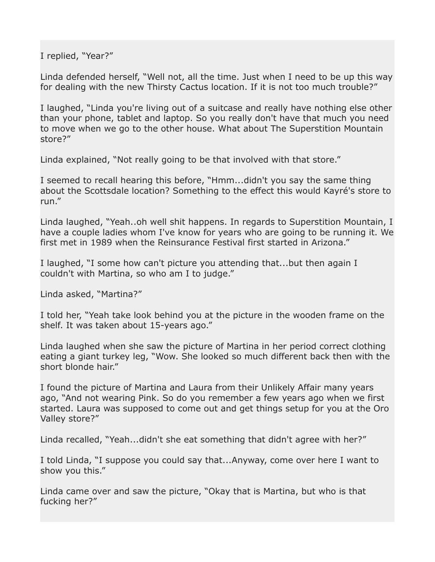I replied, "Year?"

Linda defended herself, "Well not, all the time. Just when I need to be up this way for dealing with the new Thirsty Cactus location. If it is not too much trouble?"

I laughed, "Linda you're living out of a suitcase and really have nothing else other than your phone, tablet and laptop. So you really don't have that much you need to move when we go to the other house. What about The Superstition Mountain store?"

Linda explained, "Not really going to be that involved with that store."

I seemed to recall hearing this before, "Hmm...didn't you say the same thing about the Scottsdale location? Something to the effect this would Kayré's store to run."

Linda laughed, "Yeah..oh well shit happens. In regards to Superstition Mountain, I have a couple ladies whom I've know for years who are going to be running it. We first met in 1989 when the Reinsurance Festival first started in Arizona."

I laughed, "I some how can't picture you attending that...but then again I couldn't with Martina, so who am I to judge."

Linda asked, "Martina?"

I told her, "Yeah take look behind you at the picture in the wooden frame on the shelf. It was taken about 15-years ago."

Linda laughed when she saw the picture of Martina in her period correct clothing eating a giant turkey leg, "Wow. She looked so much different back then with the short blonde hair."

I found the picture of Martina and Laura from their Unlikely Affair many years ago, "And not wearing Pink. So do you remember a few years ago when we first started. Laura was supposed to come out and get things setup for you at the Oro Valley store?"

Linda recalled, "Yeah...didn't she eat something that didn't agree with her?"

I told Linda, "I suppose you could say that...Anyway, come over here I want to show you this."

Linda came over and saw the picture, "Okay that is Martina, but who is that fucking her?"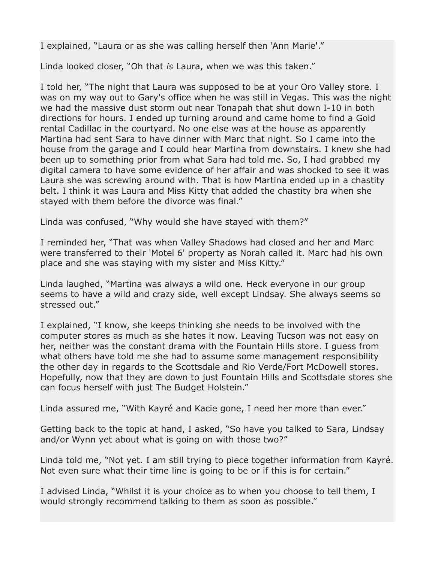I explained, "Laura or as she was calling herself then 'Ann Marie'."

Linda looked closer, "Oh that *is* Laura, when we was this taken."

I told her, "The night that Laura was supposed to be at your Oro Valley store. I was on my way out to Gary's office when he was still in Vegas. This was the night we had the massive dust storm out near Tonapah that shut down I-10 in both directions for hours. I ended up turning around and came home to find a Gold rental Cadillac in the courtyard. No one else was at the house as apparently Martina had sent Sara to have dinner with Marc that night. So I came into the house from the garage and I could hear Martina from downstairs. I knew she had been up to something prior from what Sara had told me. So, I had grabbed my digital camera to have some evidence of her affair and was shocked to see it was Laura she was screwing around with. That is how Martina ended up in a chastity belt. I think it was Laura and Miss Kitty that added the chastity bra when she stayed with them before the divorce was final."

Linda was confused, "Why would she have stayed with them?"

I reminded her, "That was when Valley Shadows had closed and her and Marc were transferred to their 'Motel 6' property as Norah called it. Marc had his own place and she was staying with my sister and Miss Kitty."

Linda laughed, "Martina was always a wild one. Heck everyone in our group seems to have a wild and crazy side, well except Lindsay. She always seems so stressed out."

I explained, "I know, she keeps thinking she needs to be involved with the computer stores as much as she hates it now. Leaving Tucson was not easy on her, neither was the constant drama with the Fountain Hills store. I guess from what others have told me she had to assume some management responsibility the other day in regards to the Scottsdale and Rio Verde/Fort McDowell stores. Hopefully, now that they are down to just Fountain Hills and Scottsdale stores she can focus herself with just The Budget Holstein."

Linda assured me, "With Kayré and Kacie gone, I need her more than ever."

Getting back to the topic at hand, I asked, "So have you talked to Sara, Lindsay and/or Wynn yet about what is going on with those two?"

Linda told me, "Not yet. I am still trying to piece together information from Kayré. Not even sure what their time line is going to be or if this is for certain."

I advised Linda, "Whilst it is your choice as to when you choose to tell them, I would strongly recommend talking to them as soon as possible."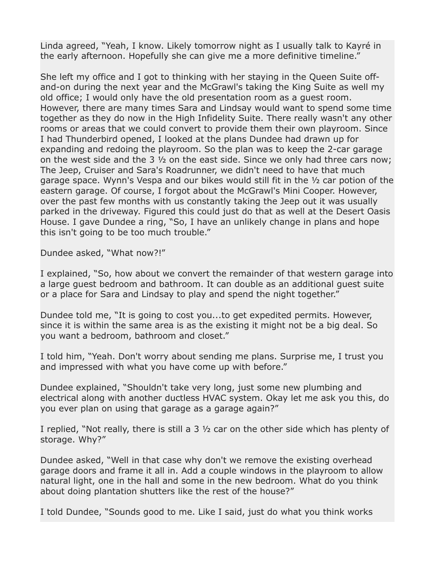Linda agreed, "Yeah, I know. Likely tomorrow night as I usually talk to Kayré in the early afternoon. Hopefully she can give me a more definitive timeline."

She left my office and I got to thinking with her staying in the Queen Suite offand-on during the next year and the McGrawl's taking the King Suite as well my old office; I would only have the old presentation room as a guest room. However, there are many times Sara and Lindsay would want to spend some time together as they do now in the High Infidelity Suite. There really wasn't any other rooms or areas that we could convert to provide them their own playroom. Since I had Thunderbird opened, I looked at the plans Dundee had drawn up for expanding and redoing the playroom. So the plan was to keep the 2-car garage on the west side and the 3 ½ on the east side. Since we only had three cars now; The Jeep, Cruiser and Sara's Roadrunner, we didn't need to have that much garage space. Wynn's Vespa and our bikes would still fit in the ½ car potion of the eastern garage. Of course, I forgot about the McGrawl's Mini Cooper. However, over the past few months with us constantly taking the Jeep out it was usually parked in the driveway. Figured this could just do that as well at the Desert Oasis House. I gave Dundee a ring, "So, I have an unlikely change in plans and hope this isn't going to be too much trouble."

Dundee asked, "What now?!"

I explained, "So, how about we convert the remainder of that western garage into a large guest bedroom and bathroom. It can double as an additional guest suite or a place for Sara and Lindsay to play and spend the night together."

Dundee told me, "It is going to cost you...to get expedited permits. However, since it is within the same area is as the existing it might not be a big deal. So you want a bedroom, bathroom and closet."

I told him, "Yeah. Don't worry about sending me plans. Surprise me, I trust you and impressed with what you have come up with before."

Dundee explained, "Shouldn't take very long, just some new plumbing and electrical along with another ductless HVAC system. Okay let me ask you this, do you ever plan on using that garage as a garage again?"

I replied, "Not really, there is still a 3 ½ car on the other side which has plenty of storage. Why?"

Dundee asked, "Well in that case why don't we remove the existing overhead garage doors and frame it all in. Add a couple windows in the playroom to allow natural light, one in the hall and some in the new bedroom. What do you think about doing plantation shutters like the rest of the house?"

I told Dundee, "Sounds good to me. Like I said, just do what you think works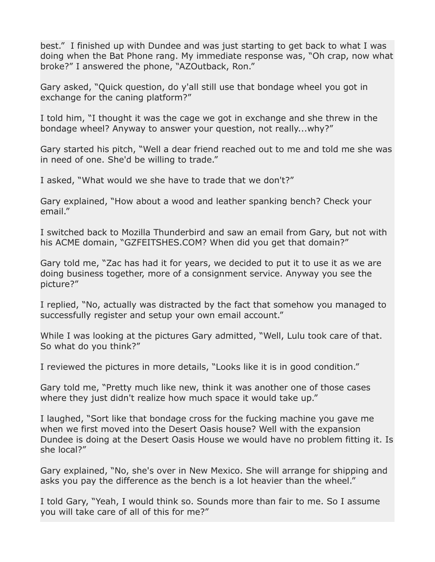best." I finished up with Dundee and was just starting to get back to what I was doing when the Bat Phone rang. My immediate response was, "Oh crap, now what broke?" I answered the phone, "AZOutback, Ron."

Gary asked, "Quick question, do y'all still use that bondage wheel you got in exchange for the caning platform?"

I told him, "I thought it was the cage we got in exchange and she threw in the bondage wheel? Anyway to answer your question, not really...why?"

Gary started his pitch, "Well a dear friend reached out to me and told me she was in need of one. She'd be willing to trade."

I asked, "What would we she have to trade that we don't?"

Gary explained, "How about a wood and leather spanking bench? Check your email."

I switched back to Mozilla Thunderbird and saw an email from Gary, but not with his ACME domain, "GZFEITSHES.COM? When did you get that domain?"

Gary told me, "Zac has had it for years, we decided to put it to use it as we are doing business together, more of a consignment service. Anyway you see the picture?"

I replied, "No, actually was distracted by the fact that somehow you managed to successfully register and setup your own email account."

While I was looking at the pictures Gary admitted, "Well, Lulu took care of that. So what do you think?"

I reviewed the pictures in more details, "Looks like it is in good condition."

Gary told me, "Pretty much like new, think it was another one of those cases where they just didn't realize how much space it would take up."

I laughed, "Sort like that bondage cross for the fucking machine you gave me when we first moved into the Desert Oasis house? Well with the expansion Dundee is doing at the Desert Oasis House we would have no problem fitting it. Is she local?"

Gary explained, "No, she's over in New Mexico. She will arrange for shipping and asks you pay the difference as the bench is a lot heavier than the wheel."

I told Gary, "Yeah, I would think so. Sounds more than fair to me. So I assume you will take care of all of this for me?"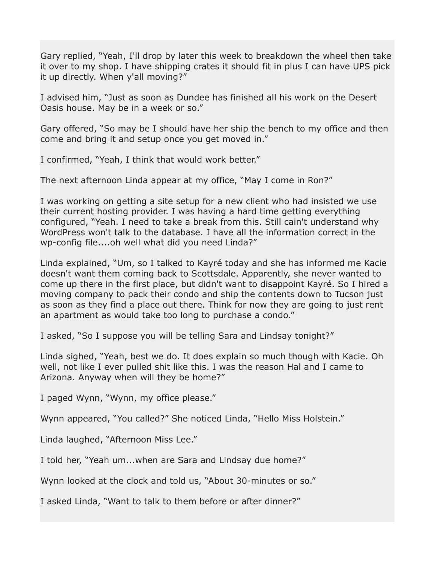Gary replied, "Yeah, I'll drop by later this week to breakdown the wheel then take it over to my shop. I have shipping crates it should fit in plus I can have UPS pick it up directly. When y'all moving?"

I advised him, "Just as soon as Dundee has finished all his work on the Desert Oasis house. May be in a week or so."

Gary offered, "So may be I should have her ship the bench to my office and then come and bring it and setup once you get moved in."

I confirmed, "Yeah, I think that would work better."

The next afternoon Linda appear at my office, "May I come in Ron?"

I was working on getting a site setup for a new client who had insisted we use their current hosting provider. I was having a hard time getting everything configured, "Yeah. I need to take a break from this. Still cain't understand why WordPress won't talk to the database. I have all the information correct in the wp-config file....oh well what did you need Linda?"

Linda explained, "Um, so I talked to Kayré today and she has informed me Kacie doesn't want them coming back to Scottsdale. Apparently, she never wanted to come up there in the first place, but didn't want to disappoint Kayré. So I hired a moving company to pack their condo and ship the contents down to Tucson just as soon as they find a place out there. Think for now they are going to just rent an apartment as would take too long to purchase a condo."

I asked, "So I suppose you will be telling Sara and Lindsay tonight?"

Linda sighed, "Yeah, best we do. It does explain so much though with Kacie. Oh well, not like I ever pulled shit like this. I was the reason Hal and I came to Arizona. Anyway when will they be home?"

I paged Wynn, "Wynn, my office please."

Wynn appeared, "You called?" She noticed Linda, "Hello Miss Holstein."

Linda laughed, "Afternoon Miss Lee."

I told her, "Yeah um...when are Sara and Lindsay due home?"

Wynn looked at the clock and told us, "About 30-minutes or so."

I asked Linda, "Want to talk to them before or after dinner?"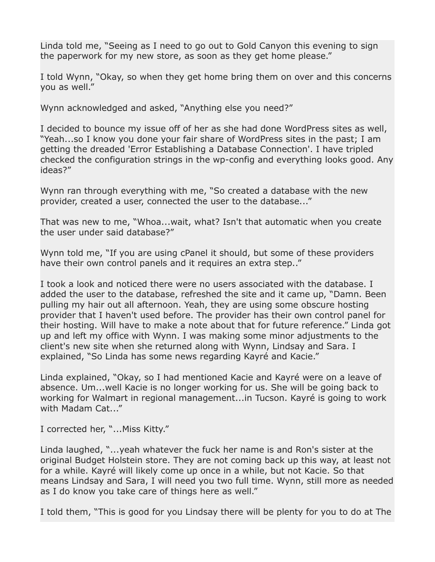Linda told me, "Seeing as I need to go out to Gold Canyon this evening to sign the paperwork for my new store, as soon as they get home please."

I told Wynn, "Okay, so when they get home bring them on over and this concerns you as well."

Wynn acknowledged and asked, "Anything else you need?"

I decided to bounce my issue off of her as she had done WordPress sites as well, "Yeah...so I know you done your fair share of WordPress sites in the past; I am getting the dreaded 'Error Establishing a Database Connection'. I have tripled checked the configuration strings in the wp-config and everything looks good. Any ideas?"

Wynn ran through everything with me, "So created a database with the new provider, created a user, connected the user to the database..."

That was new to me, "Whoa...wait, what? Isn't that automatic when you create the user under said database?"

Wynn told me, "If you are using cPanel it should, but some of these providers have their own control panels and it requires an extra step.."

I took a look and noticed there were no users associated with the database. I added the user to the database, refreshed the site and it came up, "Damn. Been pulling my hair out all afternoon. Yeah, they are using some obscure hosting provider that I haven't used before. The provider has their own control panel for their hosting. Will have to make a note about that for future reference." Linda got up and left my office with Wynn. I was making some minor adjustments to the client's new site when she returned along with Wynn, Lindsay and Sara. I explained, "So Linda has some news regarding Kayré and Kacie."

Linda explained, "Okay, so I had mentioned Kacie and Kayré were on a leave of absence. Um...well Kacie is no longer working for us. She will be going back to working for Walmart in regional management...in Tucson. Kayré is going to work with Madam Cat..."

I corrected her, "...Miss Kitty."

Linda laughed, "...yeah whatever the fuck her name is and Ron's sister at the original Budget Holstein store. They are not coming back up this way, at least not for a while. Kayré will likely come up once in a while, but not Kacie. So that means Lindsay and Sara, I will need you two full time. Wynn, still more as needed as I do know you take care of things here as well."

I told them, "This is good for you Lindsay there will be plenty for you to do at The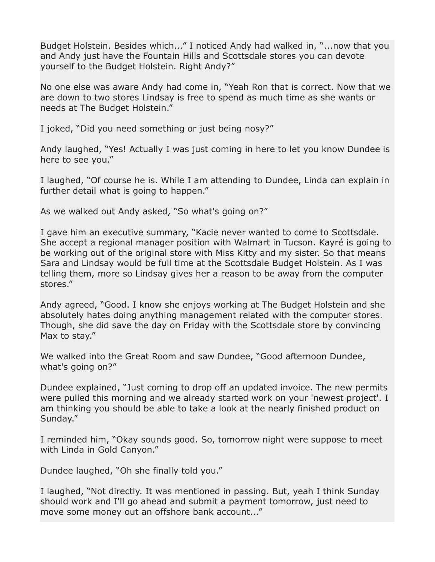Budget Holstein. Besides which..." I noticed Andy had walked in, "...now that you and Andy just have the Fountain Hills and Scottsdale stores you can devote yourself to the Budget Holstein. Right Andy?"

No one else was aware Andy had come in, "Yeah Ron that is correct. Now that we are down to two stores Lindsay is free to spend as much time as she wants or needs at The Budget Holstein."

I joked, "Did you need something or just being nosy?"

Andy laughed, "Yes! Actually I was just coming in here to let you know Dundee is here to see you."

I laughed, "Of course he is. While I am attending to Dundee, Linda can explain in further detail what is going to happen."

As we walked out Andy asked, "So what's going on?"

I gave him an executive summary, "Kacie never wanted to come to Scottsdale. She accept a regional manager position with Walmart in Tucson. Kayré is going to be working out of the original store with Miss Kitty and my sister. So that means Sara and Lindsay would be full time at the Scottsdale Budget Holstein. As I was telling them, more so Lindsay gives her a reason to be away from the computer stores."

Andy agreed, "Good. I know she enjoys working at The Budget Holstein and she absolutely hates doing anything management related with the computer stores. Though, she did save the day on Friday with the Scottsdale store by convincing Max to stay."

We walked into the Great Room and saw Dundee, "Good afternoon Dundee, what's going on?"

Dundee explained, "Just coming to drop off an updated invoice. The new permits were pulled this morning and we already started work on your 'newest project'. I am thinking you should be able to take a look at the nearly finished product on Sunday."

I reminded him, "Okay sounds good. So, tomorrow night were suppose to meet with Linda in Gold Canyon."

Dundee laughed, "Oh she finally told you."

I laughed, "Not directly. It was mentioned in passing. But, yeah I think Sunday should work and I'll go ahead and submit a payment tomorrow, just need to move some money out an offshore bank account..."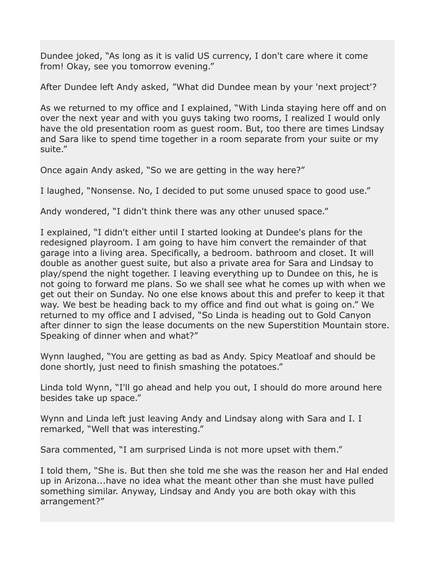Dundee joked, "As long as it is valid US currency, I don't care where it come from! Okay, see you tomorrow evening."

After Dundee left Andy asked, "What did Dundee mean by your 'next project'?

As we returned to my office and I explained, "With Linda staying here off and on over the next year and with you guys taking two rooms, I realized I would only have the old presentation room as guest room. But, too there are times Lindsay and Sara like to spend time together in a room separate from your suite or my suite."

Once again Andy asked, "So we are getting in the way here?"

I laughed, "Nonsense. No, I decided to put some unused space to good use."

Andy wondered, "I didn't think there was any other unused space."

I explained, "I didn't either until I started looking at Dundee's plans for the redesigned playroom. I am going to have him convert the remainder of that garage into a living area. Specifically, a bedroom. bathroom and closet. It will double as another guest suite, but also a private area for Sara and Lindsay to play/spend the night together. I leaving everything up to Dundee on this, he is not going to forward me plans. So we shall see what he comes up with when we get out their on Sunday. No one else knows about this and prefer to keep it that way. We best be heading back to my office and find out what is going on." We returned to my office and I advised, "So Linda is heading out to Gold Canyon after dinner to sign the lease documents on the new Superstition Mountain store. Speaking of dinner when and what?"

Wynn laughed, "You are getting as bad as Andy. Spicy Meatloaf and should be done shortly, just need to finish smashing the potatoes."

Linda told Wynn, "I'll go ahead and help you out, I should do more around here besides take up space."

Wynn and Linda left just leaving Andy and Lindsay along with Sara and I. I remarked, "Well that was interesting."

Sara commented, "I am surprised Linda is not more upset with them."

I told them, "She is. But then she told me she was the reason her and Hal ended up in Arizona...have no idea what the meant other than she must have pulled something similar. Anyway, Lindsay and Andy you are both okay with this arrangement?"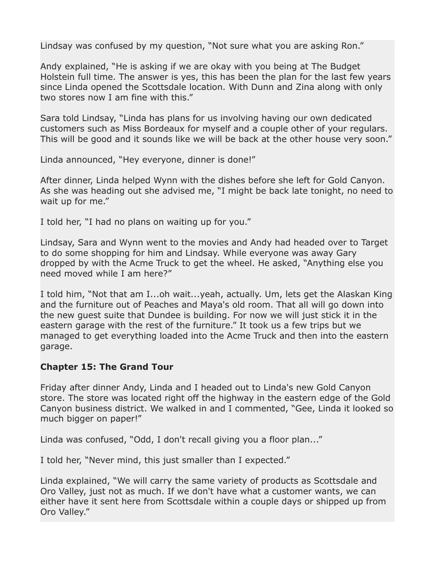Lindsay was confused by my question, "Not sure what you are asking Ron."

Andy explained, "He is asking if we are okay with you being at The Budget Holstein full time. The answer is yes, this has been the plan for the last few years since Linda opened the Scottsdale location. With Dunn and Zina along with only two stores now I am fine with this."

Sara told Lindsay, "Linda has plans for us involving having our own dedicated customers such as Miss Bordeaux for myself and a couple other of your regulars. This will be good and it sounds like we will be back at the other house very soon."

Linda announced, "Hey everyone, dinner is done!"

After dinner, Linda helped Wynn with the dishes before she left for Gold Canyon. As she was heading out she advised me, "I might be back late tonight, no need to wait up for me."

I told her, "I had no plans on waiting up for you."

Lindsay, Sara and Wynn went to the movies and Andy had headed over to Target to do some shopping for him and Lindsay. While everyone was away Gary dropped by with the Acme Truck to get the wheel. He asked, "Anything else you need moved while I am here?"

I told him, "Not that am I...oh wait...yeah, actually. Um, lets get the Alaskan King and the furniture out of Peaches and Maya's old room. That all will go down into the new guest suite that Dundee is building. For now we will just stick it in the eastern garage with the rest of the furniture." It took us a few trips but we managed to get everything loaded into the Acme Truck and then into the eastern garage.

## **Chapter 15: The Grand Tour**

Friday after dinner Andy, Linda and I headed out to Linda's new Gold Canyon store. The store was located right off the highway in the eastern edge of the Gold Canyon business district. We walked in and I commented, "Gee, Linda it looked so much bigger on paper!"

Linda was confused, "Odd, I don't recall giving you a floor plan..."

I told her, "Never mind, this just smaller than I expected."

Linda explained, "We will carry the same variety of products as Scottsdale and Oro Valley, just not as much. If we don't have what a customer wants, we can either have it sent here from Scottsdale within a couple days or shipped up from Oro Valley."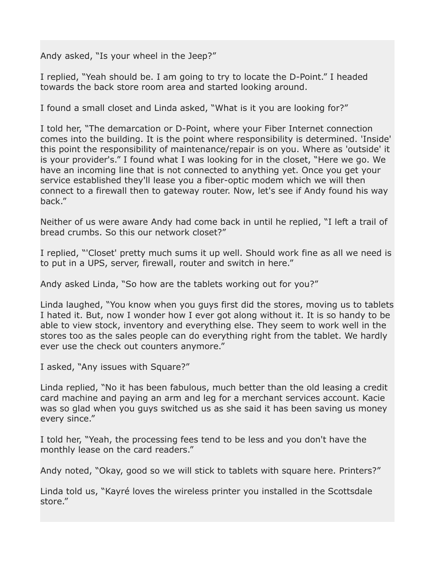Andy asked, "Is your wheel in the Jeep?"

I replied, "Yeah should be. I am going to try to locate the D-Point." I headed towards the back store room area and started looking around.

I found a small closet and Linda asked, "What is it you are looking for?"

I told her, "The demarcation or D-Point, where your Fiber Internet connection comes into the building. It is the point where responsibility is determined. 'Inside' this point the responsibility of maintenance/repair is on you. Where as 'outside' it is your provider's." I found what I was looking for in the closet, "Here we go. We have an incoming line that is not connected to anything yet. Once you get your service established they'll lease you a fiber-optic modem which we will then connect to a firewall then to gateway router. Now, let's see if Andy found his way back."

Neither of us were aware Andy had come back in until he replied, "I left a trail of bread crumbs. So this our network closet?"

I replied, "'Closet' pretty much sums it up well. Should work fine as all we need is to put in a UPS, server, firewall, router and switch in here."

Andy asked Linda, "So how are the tablets working out for you?"

Linda laughed, "You know when you guys first did the stores, moving us to tablets I hated it. But, now I wonder how I ever got along without it. It is so handy to be able to view stock, inventory and everything else. They seem to work well in the stores too as the sales people can do everything right from the tablet. We hardly ever use the check out counters anymore."

I asked, "Any issues with Square?"

Linda replied, "No it has been fabulous, much better than the old leasing a credit card machine and paying an arm and leg for a merchant services account. Kacie was so glad when you guys switched us as she said it has been saving us money every since."

I told her, "Yeah, the processing fees tend to be less and you don't have the monthly lease on the card readers."

Andy noted, "Okay, good so we will stick to tablets with square here. Printers?"

Linda told us, "Kayré loves the wireless printer you installed in the Scottsdale store."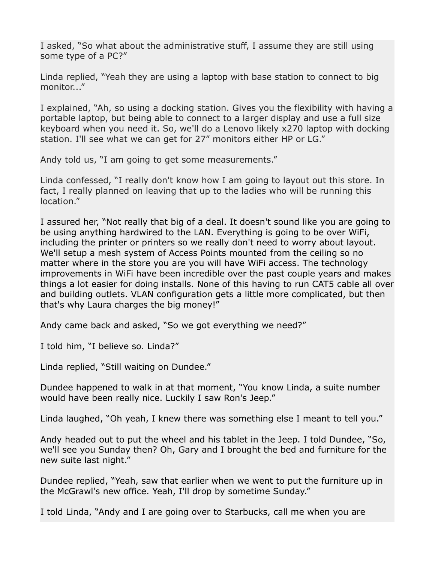I asked, "So what about the administrative stuff, I assume they are still using some type of a PC?"

Linda replied, "Yeah they are using a laptop with base station to connect to big monitor..."

I explained, "Ah, so using a docking station. Gives you the flexibility with having a portable laptop, but being able to connect to a larger display and use a full size keyboard when you need it. So, we'll do a Lenovo likely x270 laptop with docking station. I'll see what we can get for 27" monitors either HP or LG."

Andy told us, "I am going to get some measurements."

Linda confessed, "I really don't know how I am going to layout out this store. In fact, I really planned on leaving that up to the ladies who will be running this location."

I assured her, "Not really that big of a deal. It doesn't sound like you are going to be using anything hardwired to the LAN. Everything is going to be over WiFi, including the printer or printers so we really don't need to worry about layout. We'll setup a mesh system of Access Points mounted from the ceiling so no matter where in the store you are you will have WiFi access. The technology improvements in WiFi have been incredible over the past couple years and makes things a lot easier for doing installs. None of this having to run CAT5 cable all over and building outlets. VLAN configuration gets a little more complicated, but then that's why Laura charges the big money!"

Andy came back and asked, "So we got everything we need?"

I told him, "I believe so. Linda?"

Linda replied, "Still waiting on Dundee."

Dundee happened to walk in at that moment, "You know Linda, a suite number would have been really nice. Luckily I saw Ron's Jeep."

Linda laughed, "Oh yeah, I knew there was something else I meant to tell you."

Andy headed out to put the wheel and his tablet in the Jeep. I told Dundee, "So, we'll see you Sunday then? Oh, Gary and I brought the bed and furniture for the new suite last night."

Dundee replied, "Yeah, saw that earlier when we went to put the furniture up in the McGrawl's new office. Yeah, I'll drop by sometime Sunday."

I told Linda, "Andy and I are going over to Starbucks, call me when you are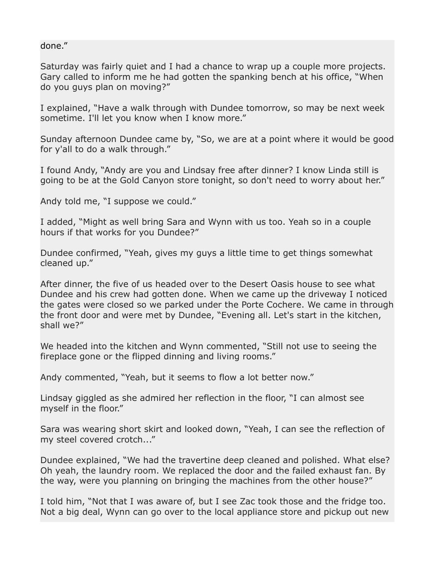done."

Saturday was fairly quiet and I had a chance to wrap up a couple more projects. Gary called to inform me he had gotten the spanking bench at his office, "When do you guys plan on moving?"

I explained, "Have a walk through with Dundee tomorrow, so may be next week sometime. I'll let you know when I know more."

Sunday afternoon Dundee came by, "So, we are at a point where it would be good for y'all to do a walk through."

I found Andy, "Andy are you and Lindsay free after dinner? I know Linda still is going to be at the Gold Canyon store tonight, so don't need to worry about her."

Andy told me, "I suppose we could."

I added, "Might as well bring Sara and Wynn with us too. Yeah so in a couple hours if that works for you Dundee?"

Dundee confirmed, "Yeah, gives my guys a little time to get things somewhat cleaned up."

After dinner, the five of us headed over to the Desert Oasis house to see what Dundee and his crew had gotten done. When we came up the driveway I noticed the gates were closed so we parked under the Porte Cochere. We came in through the front door and were met by Dundee, "Evening all. Let's start in the kitchen, shall we?"

We headed into the kitchen and Wynn commented, "Still not use to seeing the fireplace gone or the flipped dinning and living rooms."

Andy commented, "Yeah, but it seems to flow a lot better now."

Lindsay giggled as she admired her reflection in the floor, "I can almost see myself in the floor."

Sara was wearing short skirt and looked down, "Yeah, I can see the reflection of my steel covered crotch..."

Dundee explained, "We had the travertine deep cleaned and polished. What else? Oh yeah, the laundry room. We replaced the door and the failed exhaust fan. By the way, were you planning on bringing the machines from the other house?"

I told him, "Not that I was aware of, but I see Zac took those and the fridge too. Not a big deal, Wynn can go over to the local appliance store and pickup out new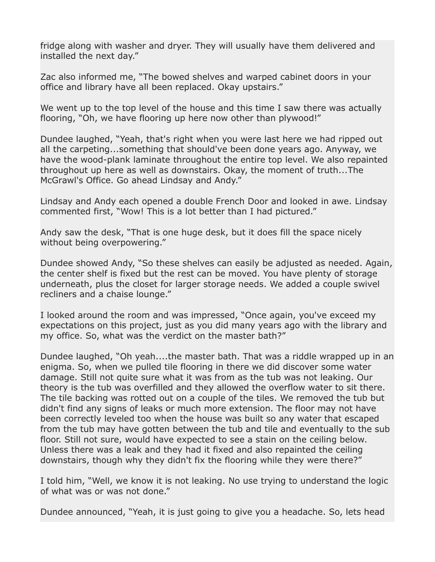fridge along with washer and dryer. They will usually have them delivered and installed the next day."

Zac also informed me, "The bowed shelves and warped cabinet doors in your office and library have all been replaced. Okay upstairs."

We went up to the top level of the house and this time I saw there was actually flooring, "Oh, we have flooring up here now other than plywood!"

Dundee laughed, "Yeah, that's right when you were last here we had ripped out all the carpeting...something that should've been done years ago. Anyway, we have the wood-plank laminate throughout the entire top level. We also repainted throughout up here as well as downstairs. Okay, the moment of truth...The McGrawl's Office. Go ahead Lindsay and Andy."

Lindsay and Andy each opened a double French Door and looked in awe. Lindsay commented first, "Wow! This is a lot better than I had pictured."

Andy saw the desk, "That is one huge desk, but it does fill the space nicely without being overpowering."

Dundee showed Andy, "So these shelves can easily be adjusted as needed. Again, the center shelf is fixed but the rest can be moved. You have plenty of storage underneath, plus the closet for larger storage needs. We added a couple swivel recliners and a chaise lounge."

I looked around the room and was impressed, "Once again, you've exceed my expectations on this project, just as you did many years ago with the library and my office. So, what was the verdict on the master bath?"

Dundee laughed, "Oh yeah....the master bath. That was a riddle wrapped up in an enigma. So, when we pulled tile flooring in there we did discover some water damage. Still not quite sure what it was from as the tub was not leaking. Our theory is the tub was overfilled and they allowed the overflow water to sit there. The tile backing was rotted out on a couple of the tiles. We removed the tub but didn't find any signs of leaks or much more extension. The floor may not have been correctly leveled too when the house was built so any water that escaped from the tub may have gotten between the tub and tile and eventually to the sub floor. Still not sure, would have expected to see a stain on the ceiling below. Unless there was a leak and they had it fixed and also repainted the ceiling downstairs, though why they didn't fix the flooring while they were there?"

I told him, "Well, we know it is not leaking. No use trying to understand the logic of what was or was not done."

Dundee announced, "Yeah, it is just going to give you a headache. So, lets head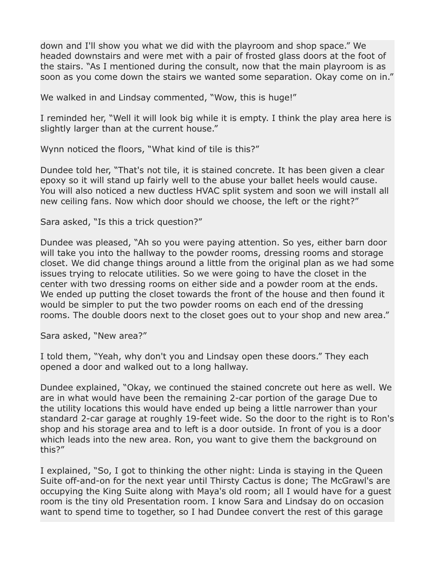down and I'll show you what we did with the playroom and shop space." We headed downstairs and were met with a pair of frosted glass doors at the foot of the stairs. "As I mentioned during the consult, now that the main playroom is as soon as you come down the stairs we wanted some separation. Okay come on in."

We walked in and Lindsay commented, "Wow, this is huge!"

I reminded her, "Well it will look big while it is empty. I think the play area here is slightly larger than at the current house."

Wynn noticed the floors, "What kind of tile is this?"

Dundee told her, "That's not tile, it is stained concrete. It has been given a clear epoxy so it will stand up fairly well to the abuse your ballet heels would cause. You will also noticed a new ductless HVAC split system and soon we will install all new ceiling fans. Now which door should we choose, the left or the right?"

Sara asked, "Is this a trick question?"

Dundee was pleased, "Ah so you were paying attention. So yes, either barn door will take you into the hallway to the powder rooms, dressing rooms and storage closet. We did change things around a little from the original plan as we had some issues trying to relocate utilities. So we were going to have the closet in the center with two dressing rooms on either side and a powder room at the ends. We ended up putting the closet towards the front of the house and then found it would be simpler to put the two powder rooms on each end of the dressing rooms. The double doors next to the closet goes out to your shop and new area."

Sara asked, "New area?"

I told them, "Yeah, why don't you and Lindsay open these doors." They each opened a door and walked out to a long hallway.

Dundee explained, "Okay, we continued the stained concrete out here as well. We are in what would have been the remaining 2-car portion of the garage Due to the utility locations this would have ended up being a little narrower than your standard 2-car garage at roughly 19-feet wide. So the door to the right is to Ron's shop and his storage area and to left is a door outside. In front of you is a door which leads into the new area. Ron, you want to give them the background on this?"

I explained, "So, I got to thinking the other night: Linda is staying in the Queen Suite off-and-on for the next year until Thirsty Cactus is done; The McGrawl's are occupying the King Suite along with Maya's old room; all I would have for a guest room is the tiny old Presentation room. I know Sara and Lindsay do on occasion want to spend time to together, so I had Dundee convert the rest of this garage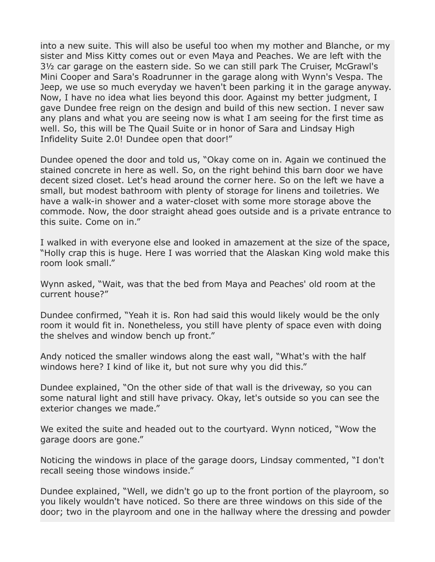into a new suite. This will also be useful too when my mother and Blanche, or my sister and Miss Kitty comes out or even Maya and Peaches. We are left with the 3½ car garage on the eastern side. So we can still park The Cruiser, McGrawl's Mini Cooper and Sara's Roadrunner in the garage along with Wynn's Vespa. The Jeep, we use so much everyday we haven't been parking it in the garage anyway. Now, I have no idea what lies beyond this door. Against my better judgment, I gave Dundee free reign on the design and build of this new section. I never saw any plans and what you are seeing now is what I am seeing for the first time as well. So, this will be The Quail Suite or in honor of Sara and Lindsay High Infidelity Suite 2.0! Dundee open that door!"

Dundee opened the door and told us, "Okay come on in. Again we continued the stained concrete in here as well. So, on the right behind this barn door we have decent sized closet. Let's head around the corner here. So on the left we have a small, but modest bathroom with plenty of storage for linens and toiletries. We have a walk-in shower and a water-closet with some more storage above the commode. Now, the door straight ahead goes outside and is a private entrance to this suite. Come on in."

I walked in with everyone else and looked in amazement at the size of the space, "Holly crap this is huge. Here I was worried that the Alaskan King wold make this room look small."

Wynn asked, "Wait, was that the bed from Maya and Peaches' old room at the current house?"

Dundee confirmed, "Yeah it is. Ron had said this would likely would be the only room it would fit in. Nonetheless, you still have plenty of space even with doing the shelves and window bench up front."

Andy noticed the smaller windows along the east wall, "What's with the half windows here? I kind of like it, but not sure why you did this."

Dundee explained, "On the other side of that wall is the driveway, so you can some natural light and still have privacy. Okay, let's outside so you can see the exterior changes we made."

We exited the suite and headed out to the courtyard. Wynn noticed, "Wow the garage doors are gone."

Noticing the windows in place of the garage doors, Lindsay commented, "I don't recall seeing those windows inside."

Dundee explained, "Well, we didn't go up to the front portion of the playroom, so you likely wouldn't have noticed. So there are three windows on this side of the door; two in the playroom and one in the hallway where the dressing and powder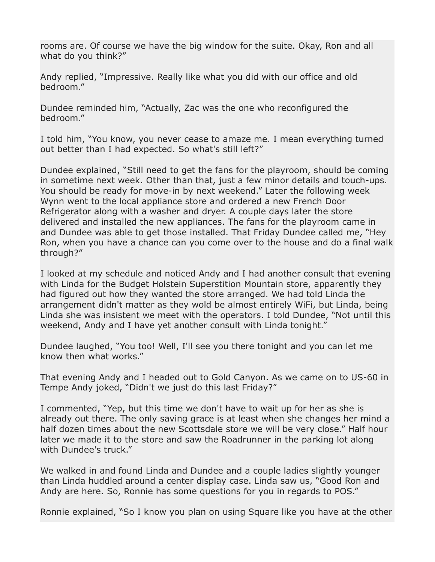rooms are. Of course we have the big window for the suite. Okay, Ron and all what do you think?"

Andy replied, "Impressive. Really like what you did with our office and old bedroom."

Dundee reminded him, "Actually, Zac was the one who reconfigured the bedroom."

I told him, "You know, you never cease to amaze me. I mean everything turned out better than I had expected. So what's still left?"

Dundee explained, "Still need to get the fans for the playroom, should be coming in sometime next week. Other than that, just a few minor details and touch-ups. You should be ready for move-in by next weekend." Later the following week Wynn went to the local appliance store and ordered a new French Door Refrigerator along with a washer and dryer. A couple days later the store delivered and installed the new appliances. The fans for the playroom came in and Dundee was able to get those installed. That Friday Dundee called me, "Hey Ron, when you have a chance can you come over to the house and do a final walk through?"

I looked at my schedule and noticed Andy and I had another consult that evening with Linda for the Budget Holstein Superstition Mountain store, apparently they had figured out how they wanted the store arranged. We had told Linda the arrangement didn't matter as they wold be almost entirely WiFi, but Linda, being Linda she was insistent we meet with the operators. I told Dundee, "Not until this weekend, Andy and I have yet another consult with Linda tonight."

Dundee laughed, "You too! Well, I'll see you there tonight and you can let me know then what works."

That evening Andy and I headed out to Gold Canyon. As we came on to US-60 in Tempe Andy joked, "Didn't we just do this last Friday?"

I commented, "Yep, but this time we don't have to wait up for her as she is already out there. The only saving grace is at least when she changes her mind a half dozen times about the new Scottsdale store we will be very close." Half hour later we made it to the store and saw the Roadrunner in the parking lot along with Dundee's truck."

We walked in and found Linda and Dundee and a couple ladies slightly younger than Linda huddled around a center display case. Linda saw us, "Good Ron and Andy are here. So, Ronnie has some questions for you in regards to POS."

Ronnie explained, "So I know you plan on using Square like you have at the other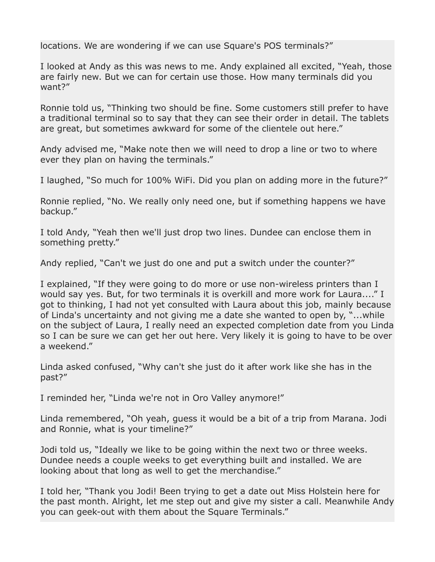locations. We are wondering if we can use Square's POS terminals?"

I looked at Andy as this was news to me. Andy explained all excited, "Yeah, those are fairly new. But we can for certain use those. How many terminals did you want?"

Ronnie told us, "Thinking two should be fine. Some customers still prefer to have a traditional terminal so to say that they can see their order in detail. The tablets are great, but sometimes awkward for some of the clientele out here."

Andy advised me, "Make note then we will need to drop a line or two to where ever they plan on having the terminals."

I laughed, "So much for 100% WiFi. Did you plan on adding more in the future?"

Ronnie replied, "No. We really only need one, but if something happens we have backup."

I told Andy, "Yeah then we'll just drop two lines. Dundee can enclose them in something pretty."

Andy replied, "Can't we just do one and put a switch under the counter?"

I explained, "If they were going to do more or use non-wireless printers than I would say yes. But, for two terminals it is overkill and more work for Laura...." I got to thinking, I had not yet consulted with Laura about this job, mainly because of Linda's uncertainty and not giving me a date she wanted to open by, "...while on the subject of Laura, I really need an expected completion date from you Linda so I can be sure we can get her out here. Very likely it is going to have to be over a weekend."

Linda asked confused, "Why can't she just do it after work like she has in the past?"

I reminded her, "Linda we're not in Oro Valley anymore!"

Linda remembered, "Oh yeah, guess it would be a bit of a trip from Marana. Jodi and Ronnie, what is your timeline?"

Jodi told us, "Ideally we like to be going within the next two or three weeks. Dundee needs a couple weeks to get everything built and installed. We are looking about that long as well to get the merchandise."

I told her, "Thank you Jodi! Been trying to get a date out Miss Holstein here for the past month. Alright, let me step out and give my sister a call. Meanwhile Andy you can geek-out with them about the Square Terminals."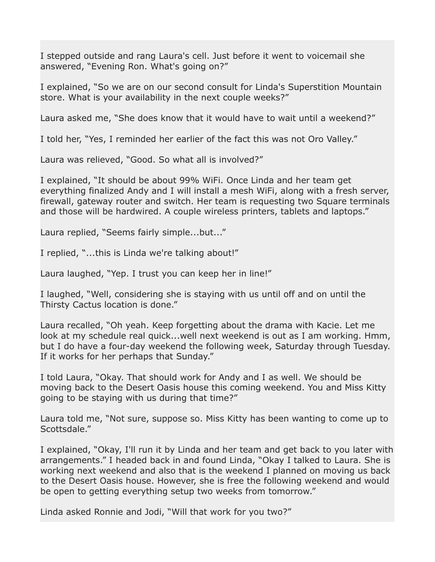I stepped outside and rang Laura's cell. Just before it went to voicemail she answered, "Evening Ron. What's going on?"

I explained, "So we are on our second consult for Linda's Superstition Mountain store. What is your availability in the next couple weeks?"

Laura asked me, "She does know that it would have to wait until a weekend?"

I told her, "Yes, I reminded her earlier of the fact this was not Oro Valley."

Laura was relieved, "Good. So what all is involved?"

I explained, "It should be about 99% WiFi. Once Linda and her team get everything finalized Andy and I will install a mesh WiFi, along with a fresh server, firewall, gateway router and switch. Her team is requesting two Square terminals and those will be hardwired. A couple wireless printers, tablets and laptops."

Laura replied, "Seems fairly simple...but..."

I replied, "...this is Linda we're talking about!"

Laura laughed, "Yep. I trust you can keep her in line!"

I laughed, "Well, considering she is staying with us until off and on until the Thirsty Cactus location is done."

Laura recalled, "Oh yeah. Keep forgetting about the drama with Kacie. Let me look at my schedule real quick...well next weekend is out as I am working. Hmm, but I do have a four-day weekend the following week, Saturday through Tuesday. If it works for her perhaps that Sunday."

I told Laura, "Okay. That should work for Andy and I as well. We should be moving back to the Desert Oasis house this coming weekend. You and Miss Kitty going to be staying with us during that time?"

Laura told me, "Not sure, suppose so. Miss Kitty has been wanting to come up to Scottsdale."

I explained, "Okay, I'll run it by Linda and her team and get back to you later with arrangements." I headed back in and found Linda, "Okay I talked to Laura. She is working next weekend and also that is the weekend I planned on moving us back to the Desert Oasis house. However, she is free the following weekend and would be open to getting everything setup two weeks from tomorrow."

Linda asked Ronnie and Jodi, "Will that work for you two?"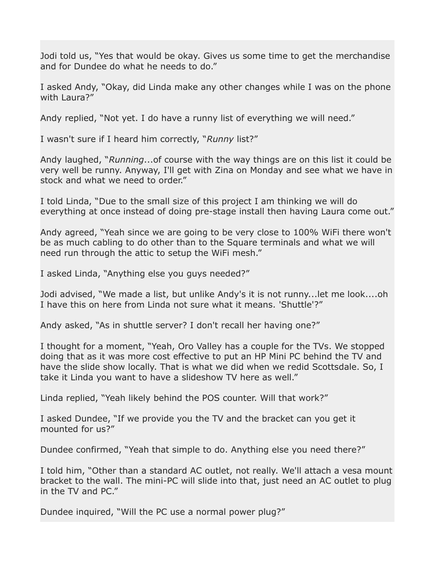Jodi told us, "Yes that would be okay. Gives us some time to get the merchandise and for Dundee do what he needs to do."

I asked Andy, "Okay, did Linda make any other changes while I was on the phone with Laura?"

Andy replied, "Not yet. I do have a runny list of everything we will need."

I wasn't sure if I heard him correctly, "*Runny* list?"

Andy laughed, "*Running*...of course with the way things are on this list it could be very well be runny. Anyway, I'll get with Zina on Monday and see what we have in stock and what we need to order."

I told Linda, "Due to the small size of this project I am thinking we will do everything at once instead of doing pre-stage install then having Laura come out."

Andy agreed, "Yeah since we are going to be very close to 100% WiFi there won't be as much cabling to do other than to the Square terminals and what we will need run through the attic to setup the WiFi mesh."

I asked Linda, "Anything else you guys needed?"

Jodi advised, "We made a list, but unlike Andy's it is not runny...let me look....oh I have this on here from Linda not sure what it means. 'Shuttle'?"

Andy asked, "As in shuttle server? I don't recall her having one?"

I thought for a moment, "Yeah, Oro Valley has a couple for the TVs. We stopped doing that as it was more cost effective to put an HP Mini PC behind the TV and have the slide show locally. That is what we did when we redid Scottsdale. So, I take it Linda you want to have a slideshow TV here as well."

Linda replied, "Yeah likely behind the POS counter. Will that work?"

I asked Dundee, "If we provide you the TV and the bracket can you get it mounted for us?"

Dundee confirmed, "Yeah that simple to do. Anything else you need there?"

I told him, "Other than a standard AC outlet, not really. We'll attach a vesa mount bracket to the wall. The mini-PC will slide into that, just need an AC outlet to plug in the TV and PC."

Dundee inquired, "Will the PC use a normal power plug?"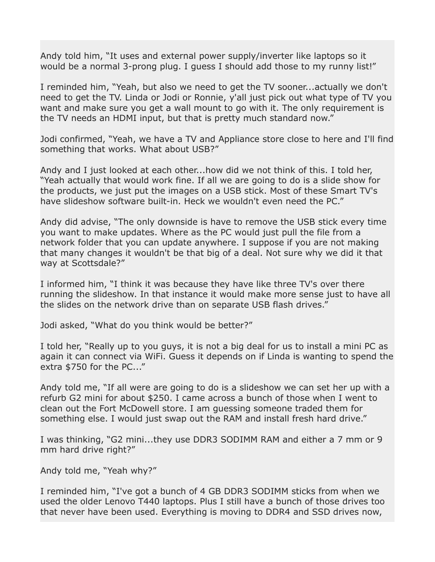Andy told him, "It uses and external power supply/inverter like laptops so it would be a normal 3-prong plug. I guess I should add those to my runny list!"

I reminded him, "Yeah, but also we need to get the TV sooner...actually we don't need to get the TV. Linda or Jodi or Ronnie, y'all just pick out what type of TV you want and make sure you get a wall mount to go with it. The only requirement is the TV needs an HDMI input, but that is pretty much standard now."

Jodi confirmed, "Yeah, we have a TV and Appliance store close to here and I'll find something that works. What about USB?"

Andy and I just looked at each other...how did we not think of this. I told her, "Yeah actually that would work fine. If all we are going to do is a slide show for the products, we just put the images on a USB stick. Most of these Smart TV's have slideshow software built-in. Heck we wouldn't even need the PC."

Andy did advise, "The only downside is have to remove the USB stick every time you want to make updates. Where as the PC would just pull the file from a network folder that you can update anywhere. I suppose if you are not making that many changes it wouldn't be that big of a deal. Not sure why we did it that way at Scottsdale?"

I informed him, "I think it was because they have like three TV's over there running the slideshow. In that instance it would make more sense just to have all the slides on the network drive than on separate USB flash drives."

Jodi asked, "What do you think would be better?"

I told her, "Really up to you guys, it is not a big deal for us to install a mini PC as again it can connect via WiFi. Guess it depends on if Linda is wanting to spend the extra \$750 for the PC..."

Andy told me, "If all were are going to do is a slideshow we can set her up with a refurb G2 mini for about \$250. I came across a bunch of those when I went to clean out the Fort McDowell store. I am guessing someone traded them for something else. I would just swap out the RAM and install fresh hard drive."

I was thinking, "G2 mini...they use DDR3 SODIMM RAM and either a 7 mm or 9 mm hard drive right?"

Andy told me, "Yeah why?"

I reminded him, "I've got a bunch of 4 GB DDR3 SODIMM sticks from when we used the older Lenovo T440 laptops. Plus I still have a bunch of those drives too that never have been used. Everything is moving to DDR4 and SSD drives now,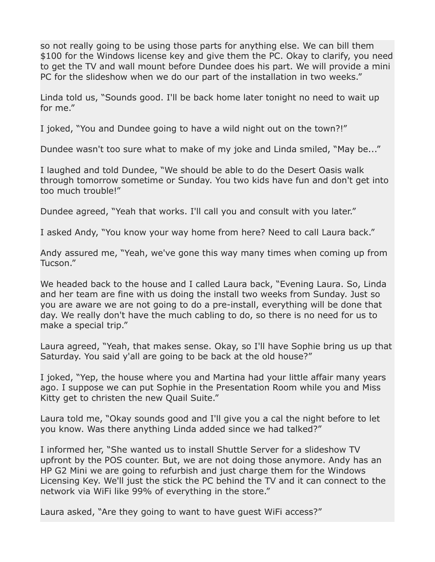so not really going to be using those parts for anything else. We can bill them \$100 for the Windows license key and give them the PC. Okay to clarify, you need to get the TV and wall mount before Dundee does his part. We will provide a mini PC for the slideshow when we do our part of the installation in two weeks."

Linda told us, "Sounds good. I'll be back home later tonight no need to wait up for me."

I joked, "You and Dundee going to have a wild night out on the town?!"

Dundee wasn't too sure what to make of my joke and Linda smiled, "May be..."

I laughed and told Dundee, "We should be able to do the Desert Oasis walk through tomorrow sometime or Sunday. You two kids have fun and don't get into too much trouble!"

Dundee agreed, "Yeah that works. I'll call you and consult with you later."

I asked Andy, "You know your way home from here? Need to call Laura back."

Andy assured me, "Yeah, we've gone this way many times when coming up from Tucson."

We headed back to the house and I called Laura back, "Evening Laura. So, Linda and her team are fine with us doing the install two weeks from Sunday. Just so you are aware we are not going to do a pre-install, everything will be done that day. We really don't have the much cabling to do, so there is no need for us to make a special trip."

Laura agreed, "Yeah, that makes sense. Okay, so I'll have Sophie bring us up that Saturday. You said y'all are going to be back at the old house?"

I joked, "Yep, the house where you and Martina had your little affair many years ago. I suppose we can put Sophie in the Presentation Room while you and Miss Kitty get to christen the new Quail Suite."

Laura told me, "Okay sounds good and I'll give you a cal the night before to let you know. Was there anything Linda added since we had talked?"

I informed her, "She wanted us to install Shuttle Server for a slideshow TV upfront by the POS counter. But, we are not doing those anymore. Andy has an HP G2 Mini we are going to refurbish and just charge them for the Windows Licensing Key. We'll just the stick the PC behind the TV and it can connect to the network via WiFi like 99% of everything in the store."

Laura asked, "Are they going to want to have guest WiFi access?"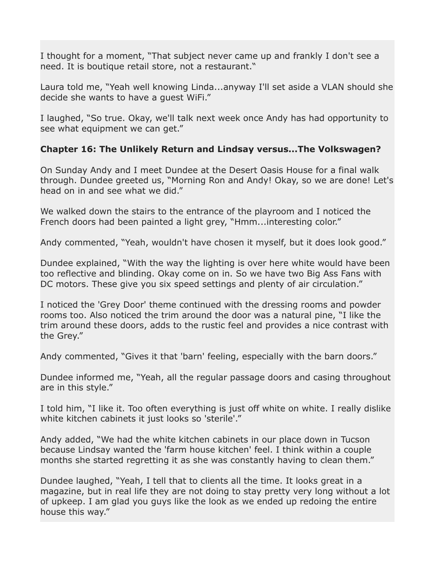I thought for a moment, "That subject never came up and frankly I don't see a need. It is boutique retail store, not a restaurant."

Laura told me, "Yeah well knowing Linda...anyway I'll set aside a VLAN should she decide she wants to have a guest WiFi."

I laughed, "So true. Okay, we'll talk next week once Andy has had opportunity to see what equipment we can get."

## **Chapter 16: The Unlikely Return and Lindsay versus...The Volkswagen?**

On Sunday Andy and I meet Dundee at the Desert Oasis House for a final walk through. Dundee greeted us, "Morning Ron and Andy! Okay, so we are done! Let's head on in and see what we did."

We walked down the stairs to the entrance of the playroom and I noticed the French doors had been painted a light grey, "Hmm...interesting color."

Andy commented, "Yeah, wouldn't have chosen it myself, but it does look good."

Dundee explained, "With the way the lighting is over here white would have been too reflective and blinding. Okay come on in. So we have two Big Ass Fans with DC motors. These give you six speed settings and plenty of air circulation."

I noticed the 'Grey Door' theme continued with the dressing rooms and powder rooms too. Also noticed the trim around the door was a natural pine, "I like the trim around these doors, adds to the rustic feel and provides a nice contrast with the Grey."

Andy commented, "Gives it that 'barn' feeling, especially with the barn doors."

Dundee informed me, "Yeah, all the regular passage doors and casing throughout are in this style."

I told him, "I like it. Too often everything is just off white on white. I really dislike white kitchen cabinets it just looks so 'sterile'."

Andy added, "We had the white kitchen cabinets in our place down in Tucson because Lindsay wanted the 'farm house kitchen' feel. I think within a couple months she started regretting it as she was constantly having to clean them."

Dundee laughed, "Yeah, I tell that to clients all the time. It looks great in a magazine, but in real life they are not doing to stay pretty very long without a lot of upkeep. I am glad you guys like the look as we ended up redoing the entire house this way."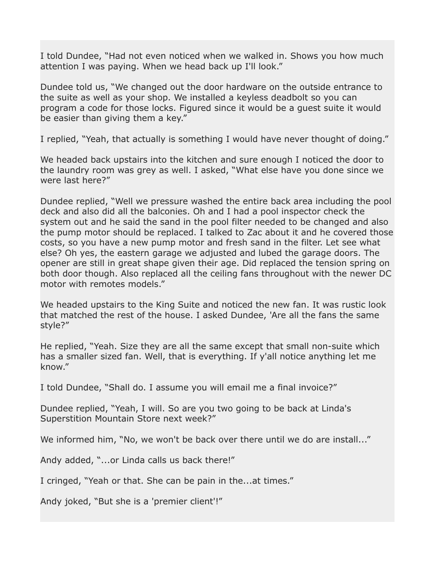I told Dundee, "Had not even noticed when we walked in. Shows you how much attention I was paying. When we head back up I'll look."

Dundee told us, "We changed out the door hardware on the outside entrance to the suite as well as your shop. We installed a keyless deadbolt so you can program a code for those locks. Figured since it would be a guest suite it would be easier than giving them a key."

I replied, "Yeah, that actually is something I would have never thought of doing."

We headed back upstairs into the kitchen and sure enough I noticed the door to the laundry room was grey as well. I asked, "What else have you done since we were last here?"

Dundee replied, "Well we pressure washed the entire back area including the pool deck and also did all the balconies. Oh and I had a pool inspector check the system out and he said the sand in the pool filter needed to be changed and also the pump motor should be replaced. I talked to Zac about it and he covered those costs, so you have a new pump motor and fresh sand in the filter. Let see what else? Oh yes, the eastern garage we adjusted and lubed the garage doors. The opener are still in great shape given their age. Did replaced the tension spring on both door though. Also replaced all the ceiling fans throughout with the newer DC motor with remotes models."

We headed upstairs to the King Suite and noticed the new fan. It was rustic look that matched the rest of the house. I asked Dundee, 'Are all the fans the same style?"

He replied, "Yeah. Size they are all the same except that small non-suite which has a smaller sized fan. Well, that is everything. If y'all notice anything let me know."

I told Dundee, "Shall do. I assume you will email me a final invoice?"

Dundee replied, "Yeah, I will. So are you two going to be back at Linda's Superstition Mountain Store next week?"

We informed him, "No, we won't be back over there until we do are install..."

Andy added, "...or Linda calls us back there!"

I cringed, "Yeah or that. She can be pain in the...at times."

Andy joked, "But she is a 'premier client'!"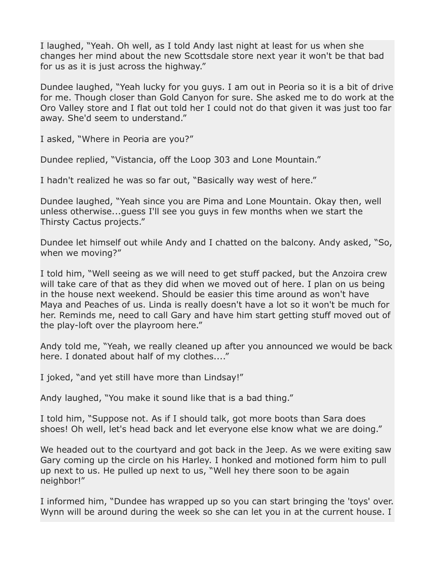I laughed, "Yeah. Oh well, as I told Andy last night at least for us when she changes her mind about the new Scottsdale store next year it won't be that bad for us as it is just across the highway."

Dundee laughed, "Yeah lucky for you guys. I am out in Peoria so it is a bit of drive for me. Though closer than Gold Canyon for sure. She asked me to do work at the Oro Valley store and I flat out told her I could not do that given it was just too far away. She'd seem to understand."

I asked, "Where in Peoria are you?"

Dundee replied, "Vistancia, off the Loop 303 and Lone Mountain."

I hadn't realized he was so far out, "Basically way west of here."

Dundee laughed, "Yeah since you are Pima and Lone Mountain. Okay then, well unless otherwise...guess I'll see you guys in few months when we start the Thirsty Cactus projects."

Dundee let himself out while Andy and I chatted on the balcony. Andy asked, "So, when we moving?"

I told him, "Well seeing as we will need to get stuff packed, but the Anzoira crew will take care of that as they did when we moved out of here. I plan on us being in the house next weekend. Should be easier this time around as won't have Maya and Peaches of us. Linda is really doesn't have a lot so it won't be much for her. Reminds me, need to call Gary and have him start getting stuff moved out of the play-loft over the playroom here."

Andy told me, "Yeah, we really cleaned up after you announced we would be back here. I donated about half of my clothes...."

I joked, "and yet still have more than Lindsay!"

Andy laughed, "You make it sound like that is a bad thing."

I told him, "Suppose not. As if I should talk, got more boots than Sara does shoes! Oh well, let's head back and let everyone else know what we are doing."

We headed out to the courtyard and got back in the Jeep. As we were exiting saw Gary coming up the circle on his Harley. I honked and motioned form him to pull up next to us. He pulled up next to us, "Well hey there soon to be again neighbor!"

I informed him, "Dundee has wrapped up so you can start bringing the 'toys' over. Wynn will be around during the week so she can let you in at the current house. I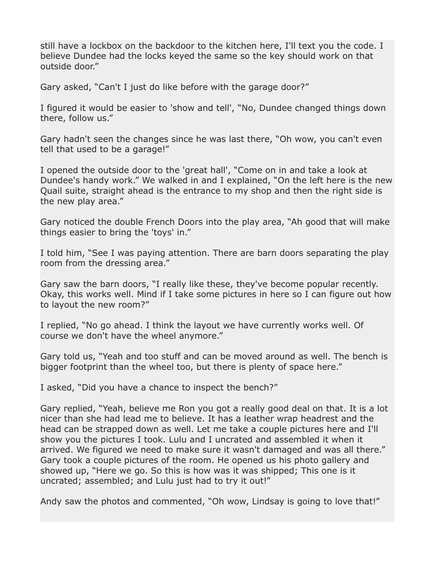still have a lockbox on the backdoor to the kitchen here, I'll text you the code. I believe Dundee had the locks keyed the same so the key should work on that outside door."

Gary asked, "Can't I just do like before with the garage door?"

I figured it would be easier to 'show and tell', "No, Dundee changed things down there, follow us."

Gary hadn't seen the changes since he was last there, "Oh wow, you can't even tell that used to be a garage!"

I opened the outside door to the 'great hall', "Come on in and take a look at Dundee's handy work." We walked in and I explained, "On the left here is the new Quail suite, straight ahead is the entrance to my shop and then the right side is the new play area."

Gary noticed the double French Doors into the play area, "Ah good that will make things easier to bring the 'toys' in."

I told him, "See I was paying attention. There are barn doors separating the play room from the dressing area."

Gary saw the barn doors, "I really like these, they've become popular recently. Okay, this works well. Mind if I take some pictures in here so I can figure out how to layout the new room?"

I replied, "No go ahead. I think the layout we have currently works well. Of course we don't have the wheel anymore."

Gary told us, "Yeah and too stuff and can be moved around as well. The bench is bigger footprint than the wheel too, but there is plenty of space here."

I asked, "Did you have a chance to inspect the bench?"

Gary replied, "Yeah, believe me Ron you got a really good deal on that. It is a lot nicer than she had lead me to believe. It has a leather wrap headrest and the head can be strapped down as well. Let me take a couple pictures here and I'll show you the pictures I took. Lulu and I uncrated and assembled it when it arrived. We figured we need to make sure it wasn't damaged and was all there." Gary took a couple pictures of the room. He opened us his photo gallery and showed up, "Here we go. So this is how was it was shipped; This one is it uncrated; assembled; and Lulu just had to try it out!"

Andy saw the photos and commented, "Oh wow, Lindsay is going to love that!"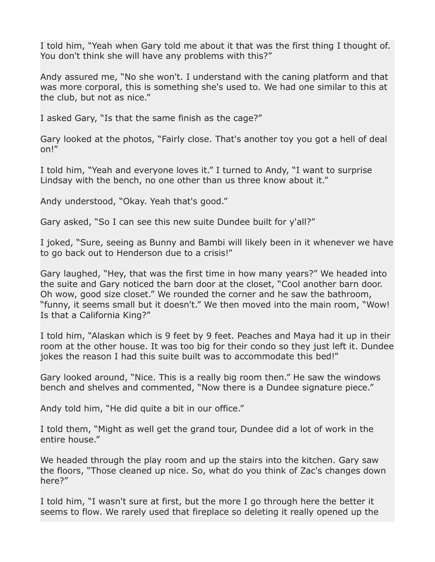I told him, "Yeah when Gary told me about it that was the first thing I thought of. You don't think she will have any problems with this?"

Andy assured me, "No she won't. I understand with the caning platform and that was more corporal, this is something she's used to. We had one similar to this at the club, but not as nice."

I asked Gary, "Is that the same finish as the cage?"

Gary looked at the photos, "Fairly close. That's another toy you got a hell of deal on!"

I told him, "Yeah and everyone loves it." I turned to Andy, "I want to surprise Lindsay with the bench, no one other than us three know about it."

Andy understood, "Okay. Yeah that's good."

Gary asked, "So I can see this new suite Dundee built for y'all?"

I joked, "Sure, seeing as Bunny and Bambi will likely been in it whenever we have to go back out to Henderson due to a crisis!"

Gary laughed, "Hey, that was the first time in how many years?" We headed into the suite and Gary noticed the barn door at the closet, "Cool another barn door. Oh wow, good size closet." We rounded the corner and he saw the bathroom, "funny, it seems small but it doesn't." We then moved into the main room, "Wow! Is that a California King?"

I told him, "Alaskan which is 9 feet by 9 feet. Peaches and Maya had it up in their room at the other house. It was too big for their condo so they just left it. Dundee jokes the reason I had this suite built was to accommodate this bed!"

Gary looked around, "Nice. This is a really big room then." He saw the windows bench and shelves and commented, "Now there is a Dundee signature piece."

Andy told him, "He did quite a bit in our office."

I told them, "Might as well get the grand tour, Dundee did a lot of work in the entire house."

We headed through the play room and up the stairs into the kitchen. Gary saw the floors, "Those cleaned up nice. So, what do you think of Zac's changes down here?"

I told him, "I wasn't sure at first, but the more I go through here the better it seems to flow. We rarely used that fireplace so deleting it really opened up the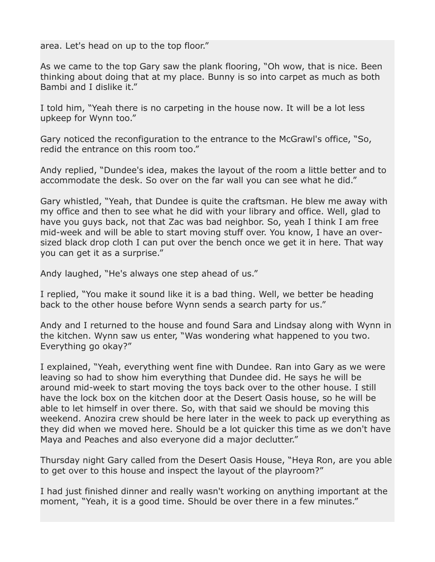area. Let's head on up to the top floor."

As we came to the top Gary saw the plank flooring, "Oh wow, that is nice. Been thinking about doing that at my place. Bunny is so into carpet as much as both Bambi and I dislike it."

I told him, "Yeah there is no carpeting in the house now. It will be a lot less upkeep for Wynn too."

Gary noticed the reconfiguration to the entrance to the McGrawl's office, "So, redid the entrance on this room too."

Andy replied, "Dundee's idea, makes the layout of the room a little better and to accommodate the desk. So over on the far wall you can see what he did."

Gary whistled, "Yeah, that Dundee is quite the craftsman. He blew me away with my office and then to see what he did with your library and office. Well, glad to have you guys back, not that Zac was bad neighbor. So, yeah I think I am free mid-week and will be able to start moving stuff over. You know, I have an oversized black drop cloth I can put over the bench once we get it in here. That way you can get it as a surprise."

Andy laughed, "He's always one step ahead of us."

I replied, "You make it sound like it is a bad thing. Well, we better be heading back to the other house before Wynn sends a search party for us."

Andy and I returned to the house and found Sara and Lindsay along with Wynn in the kitchen. Wynn saw us enter, "Was wondering what happened to you two. Everything go okay?"

I explained, "Yeah, everything went fine with Dundee. Ran into Gary as we were leaving so had to show him everything that Dundee did. He says he will be around mid-week to start moving the toys back over to the other house. I still have the lock box on the kitchen door at the Desert Oasis house, so he will be able to let himself in over there. So, with that said we should be moving this weekend. Anozira crew should be here later in the week to pack up everything as they did when we moved here. Should be a lot quicker this time as we don't have Maya and Peaches and also everyone did a major declutter."

Thursday night Gary called from the Desert Oasis House, "Heya Ron, are you able to get over to this house and inspect the layout of the playroom?"

I had just finished dinner and really wasn't working on anything important at the moment, "Yeah, it is a good time. Should be over there in a few minutes."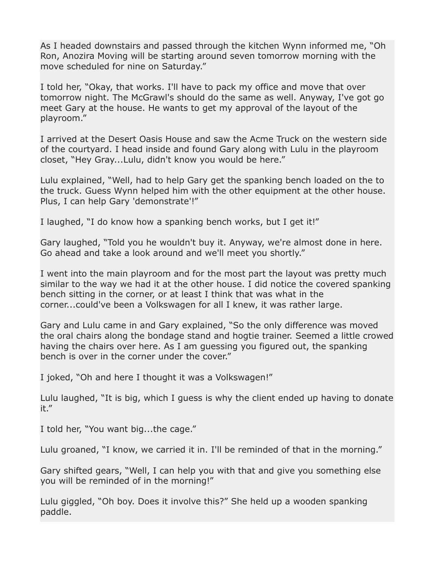As I headed downstairs and passed through the kitchen Wynn informed me, "Oh Ron, Anozira Moving will be starting around seven tomorrow morning with the move scheduled for nine on Saturday."

I told her, "Okay, that works. I'll have to pack my office and move that over tomorrow night. The McGrawl's should do the same as well. Anyway, I've got go meet Gary at the house. He wants to get my approval of the layout of the playroom."

I arrived at the Desert Oasis House and saw the Acme Truck on the western side of the courtyard. I head inside and found Gary along with Lulu in the playroom closet, "Hey Gray...Lulu, didn't know you would be here."

Lulu explained, "Well, had to help Gary get the spanking bench loaded on the to the truck. Guess Wynn helped him with the other equipment at the other house. Plus, I can help Gary 'demonstrate'!"

I laughed, "I do know how a spanking bench works, but I get it!"

Gary laughed, "Told you he wouldn't buy it. Anyway, we're almost done in here. Go ahead and take a look around and we'll meet you shortly."

I went into the main playroom and for the most part the layout was pretty much similar to the way we had it at the other house. I did notice the covered spanking bench sitting in the corner, or at least I think that was what in the corner...could've been a Volkswagen for all I knew, it was rather large.

Gary and Lulu came in and Gary explained, "So the only difference was moved the oral chairs along the bondage stand and hogtie trainer. Seemed a little crowed having the chairs over here. As I am guessing you figured out, the spanking bench is over in the corner under the cover."

I joked, "Oh and here I thought it was a Volkswagen!"

Lulu laughed, "It is big, which I guess is why the client ended up having to donate it."

I told her, "You want big...the cage."

Lulu groaned, "I know, we carried it in. I'll be reminded of that in the morning."

Gary shifted gears, "Well, I can help you with that and give you something else you will be reminded of in the morning!"

Lulu giggled, "Oh boy. Does it involve this?" She held up a wooden spanking paddle.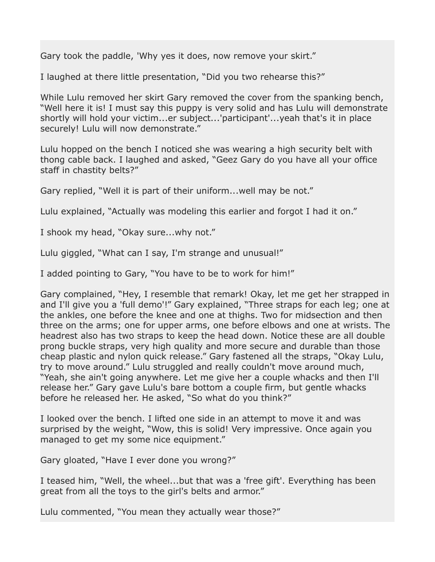Gary took the paddle, 'Why yes it does, now remove your skirt."

I laughed at there little presentation, "Did you two rehearse this?"

While Lulu removed her skirt Gary removed the cover from the spanking bench, "Well here it is! I must say this puppy is very solid and has Lulu will demonstrate shortly will hold your victim...er subject...'participant'...yeah that's it in place securely! Lulu will now demonstrate."

Lulu hopped on the bench I noticed she was wearing a high security belt with thong cable back. I laughed and asked, "Geez Gary do you have all your office staff in chastity belts?"

Gary replied, "Well it is part of their uniform...well may be not."

Lulu explained, "Actually was modeling this earlier and forgot I had it on."

I shook my head, "Okay sure...why not."

Lulu giggled, "What can I say, I'm strange and unusual!"

I added pointing to Gary, "You have to be to work for him!"

Gary complained, "Hey, I resemble that remark! Okay, let me get her strapped in and I'll give you a 'full demo'!" Gary explained, "Three straps for each leg; one at the ankles, one before the knee and one at thighs. Two for midsection and then three on the arms; one for upper arms, one before elbows and one at wrists. The headrest also has two straps to keep the head down. Notice these are all double prong buckle straps, very high quality and more secure and durable than those cheap plastic and nylon quick release." Gary fastened all the straps, "Okay Lulu, try to move around." Lulu struggled and really couldn't move around much, "Yeah, she ain't going anywhere. Let me give her a couple whacks and then I'll release her." Gary gave Lulu's bare bottom a couple firm, but gentle whacks before he released her. He asked, "So what do you think?"

I looked over the bench. I lifted one side in an attempt to move it and was surprised by the weight, "Wow, this is solid! Very impressive. Once again you managed to get my some nice equipment."

Gary gloated, "Have I ever done you wrong?"

I teased him, "Well, the wheel...but that was a 'free gift'. Everything has been great from all the toys to the girl's belts and armor."

Lulu commented, "You mean they actually wear those?"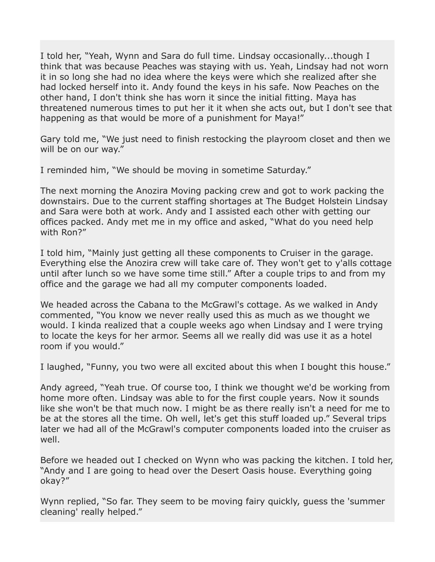I told her, "Yeah, Wynn and Sara do full time. Lindsay occasionally...though I think that was because Peaches was staying with us. Yeah, Lindsay had not worn it in so long she had no idea where the keys were which she realized after she had locked herself into it. Andy found the keys in his safe. Now Peaches on the other hand, I don't think she has worn it since the initial fitting. Maya has threatened numerous times to put her it it when she acts out, but I don't see that happening as that would be more of a punishment for Maya!"

Gary told me, "We just need to finish restocking the playroom closet and then we will be on our way."

I reminded him, "We should be moving in sometime Saturday."

The next morning the Anozira Moving packing crew and got to work packing the downstairs. Due to the current staffing shortages at The Budget Holstein Lindsay and Sara were both at work. Andy and I assisted each other with getting our offices packed. Andy met me in my office and asked, "What do you need help with Ron?"

I told him, "Mainly just getting all these components to Cruiser in the garage. Everything else the Anozira crew will take care of. They won't get to y'alls cottage until after lunch so we have some time still." After a couple trips to and from my office and the garage we had all my computer components loaded.

We headed across the Cabana to the McGrawl's cottage. As we walked in Andy commented, "You know we never really used this as much as we thought we would. I kinda realized that a couple weeks ago when Lindsay and I were trying to locate the keys for her armor. Seems all we really did was use it as a hotel room if you would."

I laughed, "Funny, you two were all excited about this when I bought this house."

Andy agreed, "Yeah true. Of course too, I think we thought we'd be working from home more often. Lindsay was able to for the first couple years. Now it sounds like she won't be that much now. I might be as there really isn't a need for me to be at the stores all the time. Oh well, let's get this stuff loaded up." Several trips later we had all of the McGrawl's computer components loaded into the cruiser as well.

Before we headed out I checked on Wynn who was packing the kitchen. I told her, "Andy and I are going to head over the Desert Oasis house. Everything going okay?"

Wynn replied, "So far. They seem to be moving fairy quickly, guess the 'summer cleaning' really helped."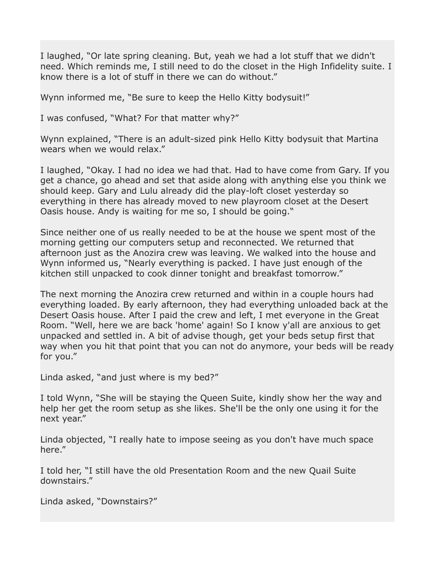I laughed, "Or late spring cleaning. But, yeah we had a lot stuff that we didn't need. Which reminds me, I still need to do the closet in the High Infidelity suite. I know there is a lot of stuff in there we can do without."

Wynn informed me, "Be sure to keep the Hello Kitty bodysuit!"

I was confused, "What? For that matter why?"

Wynn explained, "There is an adult-sized pink Hello Kitty bodysuit that Martina wears when we would relax."

I laughed, "Okay. I had no idea we had that. Had to have come from Gary. If you get a chance, go ahead and set that aside along with anything else you think we should keep. Gary and Lulu already did the play-loft closet yesterday so everything in there has already moved to new playroom closet at the Desert Oasis house. Andy is waiting for me so, I should be going."

Since neither one of us really needed to be at the house we spent most of the morning getting our computers setup and reconnected. We returned that afternoon just as the Anozira crew was leaving. We walked into the house and Wynn informed us, "Nearly everything is packed. I have just enough of the kitchen still unpacked to cook dinner tonight and breakfast tomorrow."

The next morning the Anozira crew returned and within in a couple hours had everything loaded. By early afternoon, they had everything unloaded back at the Desert Oasis house. After I paid the crew and left, I met everyone in the Great Room. "Well, here we are back 'home' again! So I know y'all are anxious to get unpacked and settled in. A bit of advise though, get your beds setup first that way when you hit that point that you can not do anymore, your beds will be ready for you."

Linda asked, "and just where is my bed?"

I told Wynn, "She will be staying the Queen Suite, kindly show her the way and help her get the room setup as she likes. She'll be the only one using it for the next year."

Linda objected, "I really hate to impose seeing as you don't have much space here."

I told her, "I still have the old Presentation Room and the new Quail Suite downstairs."

Linda asked, "Downstairs?"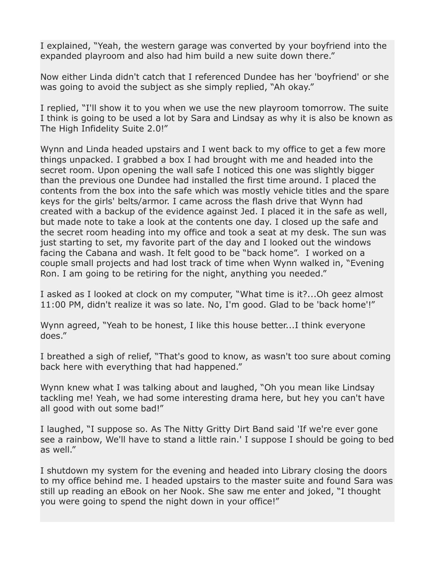I explained, "Yeah, the western garage was converted by your boyfriend into the expanded playroom and also had him build a new suite down there."

Now either Linda didn't catch that I referenced Dundee has her 'boyfriend' or she was going to avoid the subject as she simply replied, "Ah okay."

I replied, "I'll show it to you when we use the new playroom tomorrow. The suite I think is going to be used a lot by Sara and Lindsay as why it is also be known as The High Infidelity Suite 2.0!"

Wynn and Linda headed upstairs and I went back to my office to get a few more things unpacked. I grabbed a box I had brought with me and headed into the secret room. Upon opening the wall safe I noticed this one was slightly bigger than the previous one Dundee had installed the first time around. I placed the contents from the box into the safe which was mostly vehicle titles and the spare keys for the girls' belts/armor. I came across the flash drive that Wynn had created with a backup of the evidence against Jed. I placed it in the safe as well, but made note to take a look at the contents one day. I closed up the safe and the secret room heading into my office and took a seat at my desk. The sun was just starting to set, my favorite part of the day and I looked out the windows facing the Cabana and wash. It felt good to be "back home". I worked on a couple small projects and had lost track of time when Wynn walked in, "Evening Ron. I am going to be retiring for the night, anything you needed."

I asked as I looked at clock on my computer, "What time is it?...Oh geez almost 11:00 PM, didn't realize it was so late. No, I'm good. Glad to be 'back home'!"

Wynn agreed, "Yeah to be honest, I like this house better...I think everyone does."

I breathed a sigh of relief, "That's good to know, as wasn't too sure about coming back here with everything that had happened."

Wynn knew what I was talking about and laughed, "Oh you mean like Lindsay tackling me! Yeah, we had some interesting drama here, but hey you can't have all good with out some bad!"

I laughed, "I suppose so. As The Nitty Gritty Dirt Band said 'If we're ever gone see a rainbow, We'll have to stand a little rain.' I suppose I should be going to bed as well."

I shutdown my system for the evening and headed into Library closing the doors to my office behind me. I headed upstairs to the master suite and found Sara was still up reading an eBook on her Nook. She saw me enter and joked, "I thought you were going to spend the night down in your office!"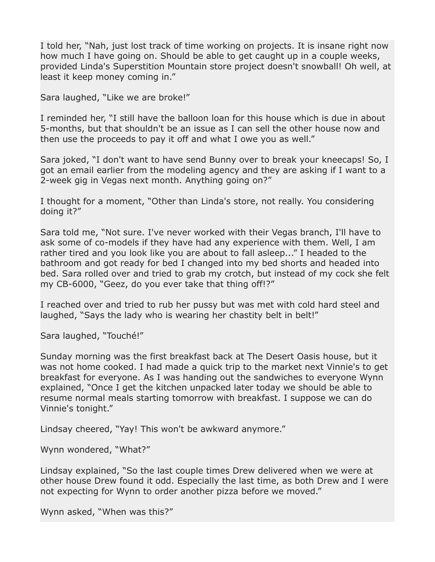I told her, "Nah, just lost track of time working on projects. It is insane right now how much I have going on. Should be able to get caught up in a couple weeks, provided Linda's Superstition Mountain store project doesn't snowball! Oh well, at least it keep money coming in."

Sara laughed, "Like we are broke!"

I reminded her, "I still have the balloon loan for this house which is due in about 5-months, but that shouldn't be an issue as I can sell the other house now and then use the proceeds to pay it off and what I owe you as well."

Sara joked, "I don't want to have send Bunny over to break your kneecaps! So, I got an email earlier from the modeling agency and they are asking if I want to a 2-week gig in Vegas next month. Anything going on?"

I thought for a moment, "Other than Linda's store, not really. You considering doing it?"

Sara told me, "Not sure. I've never worked with their Vegas branch, I'll have to ask some of co-models if they have had any experience with them. Well, I am rather tired and you look like you are about to fall asleep..." I headed to the bathroom and got ready for bed I changed into my bed shorts and headed into bed. Sara rolled over and tried to grab my crotch, but instead of my cock she felt my CB-6000, "Geez, do you ever take that thing off!?"

I reached over and tried to rub her pussy but was met with cold hard steel and laughed, "Says the lady who is wearing her chastity belt in belt!"

Sara laughed, "Touché!"

Sunday morning was the first breakfast back at The Desert Oasis house, but it was not home cooked. I had made a quick trip to the market next Vinnie's to get breakfast for everyone. As I was handing out the sandwiches to everyone Wynn explained, "Once I get the kitchen unpacked later today we should be able to resume normal meals starting tomorrow with breakfast. I suppose we can do Vinnie's tonight."

Lindsay cheered, "Yay! This won't be awkward anymore."

Wynn wondered, "What?"

Lindsay explained, "So the last couple times Drew delivered when we were at other house Drew found it odd. Especially the last time, as both Drew and I were not expecting for Wynn to order another pizza before we moved."

Wynn asked, "When was this?"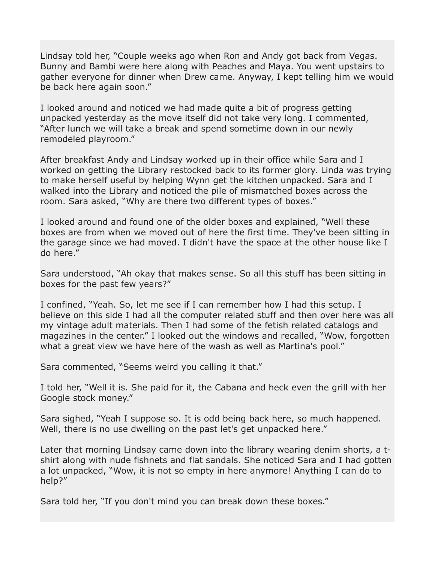Lindsay told her, "Couple weeks ago when Ron and Andy got back from Vegas. Bunny and Bambi were here along with Peaches and Maya. You went upstairs to gather everyone for dinner when Drew came. Anyway, I kept telling him we would be back here again soon."

I looked around and noticed we had made quite a bit of progress getting unpacked yesterday as the move itself did not take very long. I commented, "After lunch we will take a break and spend sometime down in our newly remodeled playroom."

After breakfast Andy and Lindsay worked up in their office while Sara and I worked on getting the Library restocked back to its former glory. Linda was trying to make herself useful by helping Wynn get the kitchen unpacked. Sara and I walked into the Library and noticed the pile of mismatched boxes across the room. Sara asked, "Why are there two different types of boxes."

I looked around and found one of the older boxes and explained, "Well these boxes are from when we moved out of here the first time. They've been sitting in the garage since we had moved. I didn't have the space at the other house like I do here."

Sara understood, "Ah okay that makes sense. So all this stuff has been sitting in boxes for the past few years?"

I confined, "Yeah. So, let me see if I can remember how I had this setup. I believe on this side I had all the computer related stuff and then over here was all my vintage adult materials. Then I had some of the fetish related catalogs and magazines in the center." I looked out the windows and recalled, "Wow, forgotten what a great view we have here of the wash as well as Martina's pool."

Sara commented, "Seems weird you calling it that."

I told her, "Well it is. She paid for it, the Cabana and heck even the grill with her Google stock money."

Sara sighed, "Yeah I suppose so. It is odd being back here, so much happened. Well, there is no use dwelling on the past let's get unpacked here."

Later that morning Lindsay came down into the library wearing denim shorts, a tshirt along with nude fishnets and flat sandals. She noticed Sara and I had gotten a lot unpacked, "Wow, it is not so empty in here anymore! Anything I can do to help?"

Sara told her, "If you don't mind you can break down these boxes."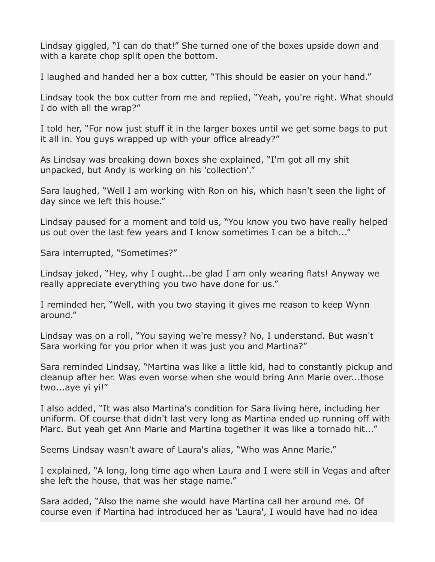Lindsay giggled, "I can do that!" She turned one of the boxes upside down and with a karate chop split open the bottom.

I laughed and handed her a box cutter, "This should be easier on your hand."

Lindsay took the box cutter from me and replied, "Yeah, you're right. What should I do with all the wrap?"

I told her, "For now just stuff it in the larger boxes until we get some bags to put it all in. You guys wrapped up with your office already?"

As Lindsay was breaking down boxes she explained, "I'm got all my shit unpacked, but Andy is working on his 'collection'."

Sara laughed, "Well I am working with Ron on his, which hasn't seen the light of day since we left this house."

Lindsay paused for a moment and told us, "You know you two have really helped us out over the last few years and I know sometimes I can be a bitch..."

Sara interrupted, "Sometimes?"

Lindsay joked, "Hey, why I ought...be glad I am only wearing flats! Anyway we really appreciate everything you two have done for us."

I reminded her, "Well, with you two staying it gives me reason to keep Wynn around."

Lindsay was on a roll, "You saying we're messy? No, I understand. But wasn't Sara working for you prior when it was just you and Martina?"

Sara reminded Lindsay, "Martina was like a little kid, had to constantly pickup and cleanup after her. Was even worse when she would bring Ann Marie over...those two...aye yi yi!"

I also added, "It was also Martina's condition for Sara living here, including her uniform. Of course that didn't last very long as Martina ended up running off with Marc. But yeah get Ann Marie and Martina together it was like a tornado hit..."

Seems Lindsay wasn't aware of Laura's alias, "Who was Anne Marie."

I explained, "A long, long time ago when Laura and I were still in Vegas and after she left the house, that was her stage name."

Sara added, "Also the name she would have Martina call her around me. Of course even if Martina had introduced her as 'Laura', I would have had no idea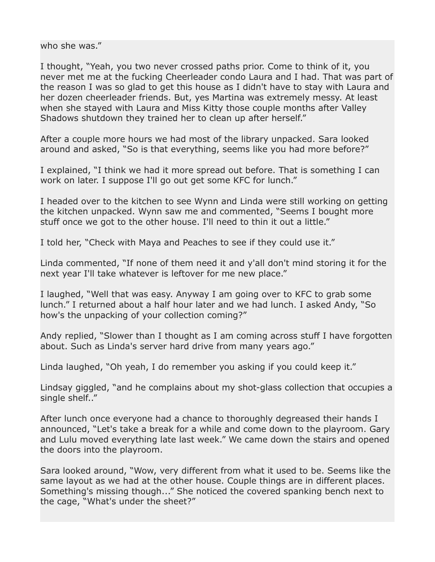who she was."

I thought, "Yeah, you two never crossed paths prior. Come to think of it, you never met me at the fucking Cheerleader condo Laura and I had. That was part of the reason I was so glad to get this house as I didn't have to stay with Laura and her dozen cheerleader friends. But, yes Martina was extremely messy. At least when she stayed with Laura and Miss Kitty those couple months after Valley Shadows shutdown they trained her to clean up after herself."

After a couple more hours we had most of the library unpacked. Sara looked around and asked, "So is that everything, seems like you had more before?"

I explained, "I think we had it more spread out before. That is something I can work on later. I suppose I'll go out get some KFC for lunch."

I headed over to the kitchen to see Wynn and Linda were still working on getting the kitchen unpacked. Wynn saw me and commented, "Seems I bought more stuff once we got to the other house. I'll need to thin it out a little."

I told her, "Check with Maya and Peaches to see if they could use it."

Linda commented, "If none of them need it and y'all don't mind storing it for the next year I'll take whatever is leftover for me new place."

I laughed, "Well that was easy. Anyway I am going over to KFC to grab some lunch." I returned about a half hour later and we had lunch. I asked Andy, "So how's the unpacking of your collection coming?"

Andy replied, "Slower than I thought as I am coming across stuff I have forgotten about. Such as Linda's server hard drive from many years ago."

Linda laughed, "Oh yeah, I do remember you asking if you could keep it."

Lindsay giggled, "and he complains about my shot-glass collection that occupies a single shelf.."

After lunch once everyone had a chance to thoroughly degreased their hands I announced, "Let's take a break for a while and come down to the playroom. Gary and Lulu moved everything late last week." We came down the stairs and opened the doors into the playroom.

Sara looked around, "Wow, very different from what it used to be. Seems like the same layout as we had at the other house. Couple things are in different places. Something's missing though..." She noticed the covered spanking bench next to the cage, "What's under the sheet?"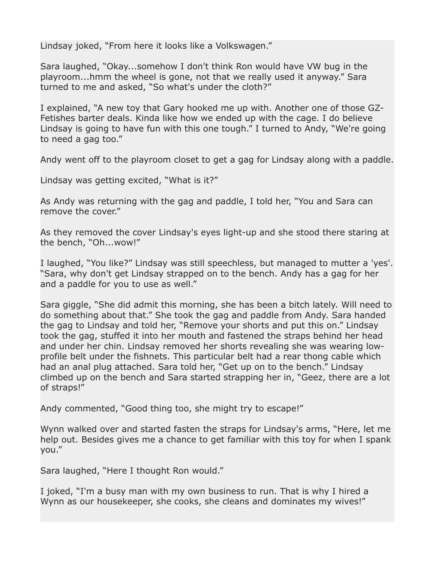Lindsay joked, "From here it looks like a Volkswagen."

Sara laughed, "Okay...somehow I don't think Ron would have VW bug in the playroom...hmm the wheel is gone, not that we really used it anyway." Sara turned to me and asked, "So what's under the cloth?"

I explained, "A new toy that Gary hooked me up with. Another one of those GZ-Fetishes barter deals. Kinda like how we ended up with the cage. I do believe Lindsay is going to have fun with this one tough." I turned to Andy, "We're going to need a gag too."

Andy went off to the playroom closet to get a gag for Lindsay along with a paddle.

Lindsay was getting excited, "What is it?"

As Andy was returning with the gag and paddle, I told her, "You and Sara can remove the cover."

As they removed the cover Lindsay's eyes light-up and she stood there staring at the bench, "Oh...wow!"

I laughed, "You like?" Lindsay was still speechless, but managed to mutter a 'yes'. "Sara, why don't get Lindsay strapped on to the bench. Andy has a gag for her and a paddle for you to use as well."

Sara giggle, "She did admit this morning, she has been a bitch lately. Will need to do something about that." She took the gag and paddle from Andy. Sara handed the gag to Lindsay and told her, "Remove your shorts and put this on." Lindsay took the gag, stuffed it into her mouth and fastened the straps behind her head and under her chin. Lindsay removed her shorts revealing she was wearing lowprofile belt under the fishnets. This particular belt had a rear thong cable which had an anal plug attached. Sara told her, "Get up on to the bench." Lindsay climbed up on the bench and Sara started strapping her in, "Geez, there are a lot of straps!"

Andy commented, "Good thing too, she might try to escape!"

Wynn walked over and started fasten the straps for Lindsay's arms, "Here, let me help out. Besides gives me a chance to get familiar with this toy for when I spank you."

Sara laughed, "Here I thought Ron would."

I joked, "I'm a busy man with my own business to run. That is why I hired a Wynn as our housekeeper, she cooks, she cleans and dominates my wives!"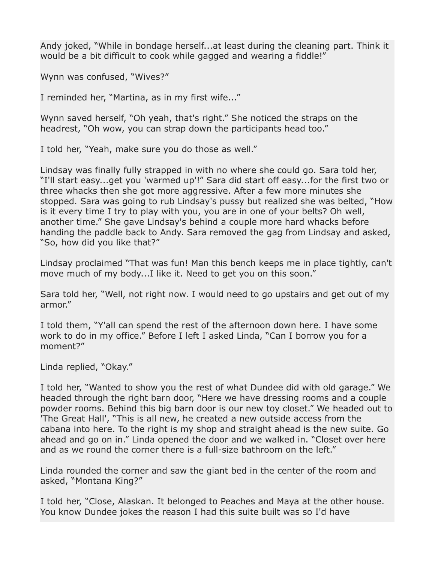Andy joked, "While in bondage herself...at least during the cleaning part. Think it would be a bit difficult to cook while gagged and wearing a fiddle!"

Wynn was confused, "Wives?"

I reminded her, "Martina, as in my first wife..."

Wynn saved herself, "Oh yeah, that's right." She noticed the straps on the headrest, "Oh wow, you can strap down the participants head too."

I told her, "Yeah, make sure you do those as well."

Lindsay was finally fully strapped in with no where she could go. Sara told her, "I'll start easy...get you 'warmed up'!" Sara did start off easy...for the first two or three whacks then she got more aggressive. After a few more minutes she stopped. Sara was going to rub Lindsay's pussy but realized she was belted, "How is it every time I try to play with you, you are in one of your belts? Oh well, another time." She gave Lindsay's behind a couple more hard whacks before handing the paddle back to Andy. Sara removed the gag from Lindsay and asked, "So, how did you like that?"

Lindsay proclaimed "That was fun! Man this bench keeps me in place tightly, can't move much of my body...I like it. Need to get you on this soon."

Sara told her, "Well, not right now. I would need to go upstairs and get out of my armor."

I told them, "Y'all can spend the rest of the afternoon down here. I have some work to do in my office." Before I left I asked Linda, "Can I borrow you for a moment?"

Linda replied, "Okay."

I told her, "Wanted to show you the rest of what Dundee did with old garage." We headed through the right barn door, "Here we have dressing rooms and a couple powder rooms. Behind this big barn door is our new toy closet." We headed out to 'The Great Hall', "This is all new, he created a new outside access from the cabana into here. To the right is my shop and straight ahead is the new suite. Go ahead and go on in." Linda opened the door and we walked in. "Closet over here and as we round the corner there is a full-size bathroom on the left."

Linda rounded the corner and saw the giant bed in the center of the room and asked, "Montana King?"

I told her, "Close, Alaskan. It belonged to Peaches and Maya at the other house. You know Dundee jokes the reason I had this suite built was so I'd have